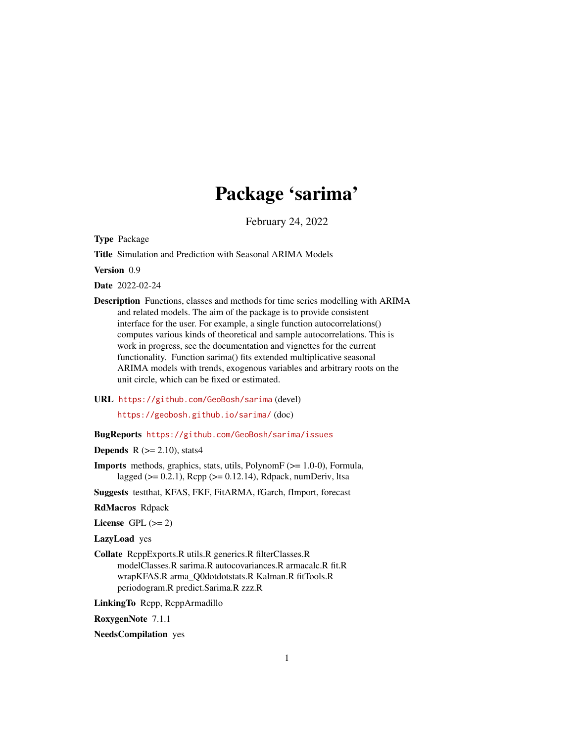# Package 'sarima'

February 24, 2022

<span id="page-0-0"></span>Type Package

Title Simulation and Prediction with Seasonal ARIMA Models

Version 0.9

Date 2022-02-24

Description Functions, classes and methods for time series modelling with ARIMA and related models. The aim of the package is to provide consistent interface for the user. For example, a single function autocorrelations() computes various kinds of theoretical and sample autocorrelations. This is work in progress, see the documentation and vignettes for the current functionality. Function sarima() fits extended multiplicative seasonal ARIMA models with trends, exogenous variables and arbitrary roots on the unit circle, which can be fixed or estimated.

URL <https://github.com/GeoBosh/sarima> (devel)

<https://geobosh.github.io/sarima/> (doc)

# BugReports <https://github.com/GeoBosh/sarima/issues>

**Depends** R  $(>= 2.10)$ , stats4

Imports methods, graphics, stats, utils, PolynomF (>= 1.0-0), Formula, lagged ( $> = 0.2.1$ ), Rcpp ( $> = 0.12.14$ ), Rdpack, numDeriv, ltsa

Suggests testthat, KFAS, FKF, FitARMA, fGarch, fImport, forecast

RdMacros Rdpack

License GPL  $(>= 2)$ 

LazyLoad yes

Collate RcppExports.R utils.R generics.R filterClasses.R modelClasses.R sarima.R autocovariances.R armacalc.R fit.R wrapKFAS.R arma\_Q0dotdotstats.R Kalman.R fitTools.R periodogram.R predict.Sarima.R zzz.R

LinkingTo Rcpp, RcppArmadillo

RoxygenNote 7.1.1

NeedsCompilation yes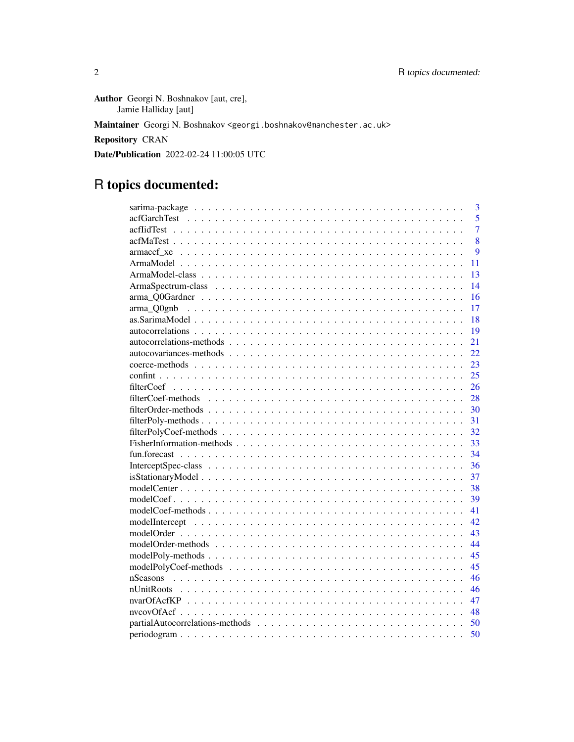Author Georgi N. Boshnakov [aut, cre], Jamie Halliday [aut] Maintainer Georgi N. Boshnakov <georgi.boshnakov@manchester.ac.uk>

Repository CRAN

Date/Publication 2022-02-24 11:00:05 UTC

# R topics documented:

| 3                           |
|-----------------------------|
| 5                           |
| 7                           |
| 8                           |
| 9                           |
| 11                          |
| 13                          |
| 14                          |
| 16                          |
| 17                          |
| 18                          |
| 19                          |
| 21                          |
| 22                          |
| 23                          |
| 25                          |
| 26                          |
| 28                          |
| 30                          |
| 31                          |
| 32                          |
| 33                          |
| 34                          |
| 36                          |
| 37                          |
| 38                          |
| 39                          |
| 41                          |
| 42                          |
| 43                          |
| 44                          |
| 45                          |
| modelPolyCoef-methods<br>45 |
| 46                          |
| 46                          |
| 47                          |
| 48                          |
| 50                          |
| 50                          |
|                             |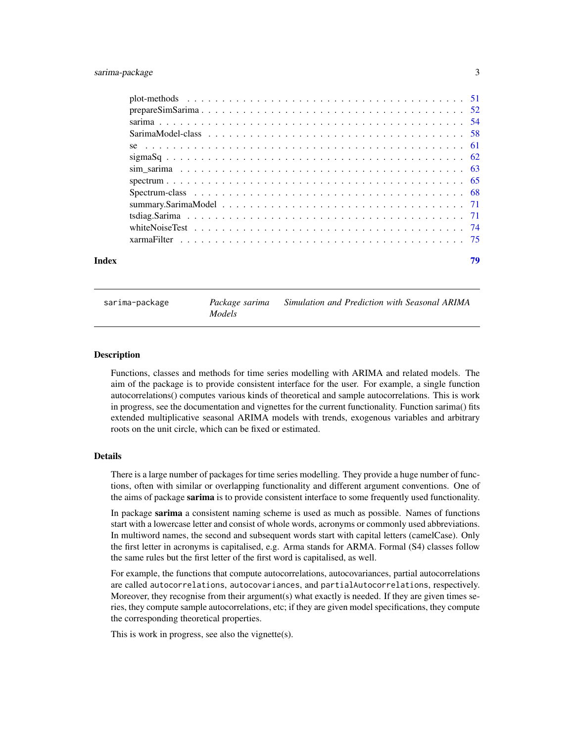# <span id="page-2-0"></span>sarima-package 3

| Index |                                                                                                               | 79 |
|-------|---------------------------------------------------------------------------------------------------------------|----|
|       |                                                                                                               |    |
|       | white Noise Test $\ldots \ldots \ldots \ldots \ldots \ldots \ldots \ldots \ldots \ldots \ldots \ldots \ldots$ |    |
|       |                                                                                                               |    |
|       |                                                                                                               |    |
|       |                                                                                                               |    |
|       |                                                                                                               |    |
|       |                                                                                                               |    |
|       |                                                                                                               |    |
|       |                                                                                                               |    |
|       |                                                                                                               |    |
|       |                                                                                                               |    |
|       |                                                                                                               |    |
|       |                                                                                                               |    |

sarima-package *Package sarima Simulation and Prediction with Seasonal ARIMA Models*

#### Description

Functions, classes and methods for time series modelling with ARIMA and related models. The aim of the package is to provide consistent interface for the user. For example, a single function autocorrelations() computes various kinds of theoretical and sample autocorrelations. This is work in progress, see the documentation and vignettes for the current functionality. Function sarima() fits extended multiplicative seasonal ARIMA models with trends, exogenous variables and arbitrary roots on the unit circle, which can be fixed or estimated.

#### Details

There is a large number of packages for time series modelling. They provide a huge number of functions, often with similar or overlapping functionality and different argument conventions. One of the aims of package sarima is to provide consistent interface to some frequently used functionality.

In package sarima a consistent naming scheme is used as much as possible. Names of functions start with a lowercase letter and consist of whole words, acronyms or commonly used abbreviations. In multiword names, the second and subsequent words start with capital letters (camelCase). Only the first letter in acronyms is capitalised, e.g. Arma stands for ARMA. Formal (S4) classes follow the same rules but the first letter of the first word is capitalised, as well.

For example, the functions that compute autocorrelations, autocovariances, partial autocorrelations are called autocorrelations, autocovariances, and partialAutocorrelations, respectively. Moreover, they recognise from their argument(s) what exactly is needed. If they are given times series, they compute sample autocorrelations, etc; if they are given model specifications, they compute the corresponding theoretical properties.

This is work in progress, see also the vignette(s).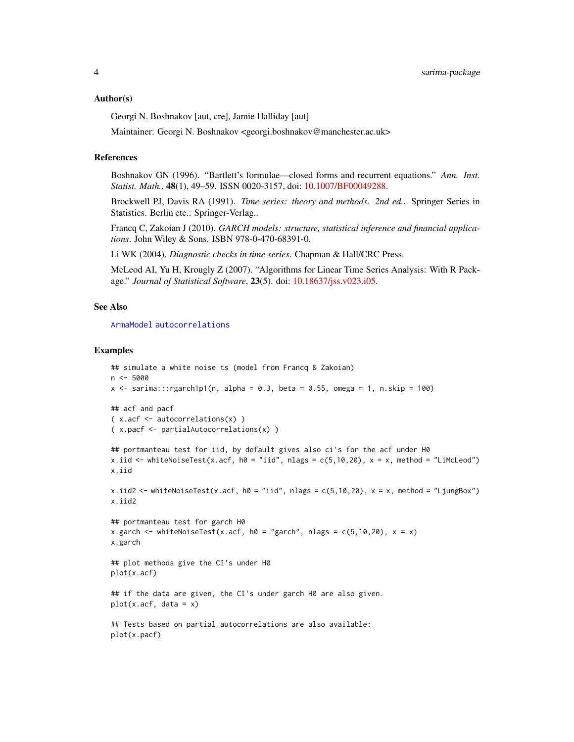#### Author(s)

Georgi N. Boshnakov [aut, cre], Jamie Halliday [aut]

Maintainer: Georgi N. Boshnakov <georgi.boshnakov@manchester.ac.uk>

#### References

Boshnakov GN (1996). "Bartlett's formulae—closed forms and recurrent equations." *Ann. Inst. Statist. Math.*, 48(1), 49–59. ISSN 0020-3157, doi: [10.1007/BF00049288.](https://doi.org/10.1007/BF00049288)

Brockwell PJ, Davis RA (1991). *Time series: theory and methods. 2nd ed.*. Springer Series in Statistics. Berlin etc.: Springer-Verlag..

Francq C, Zakoian J (2010). *GARCH models: structure, statistical inference and financial applications*. John Wiley & Sons. ISBN 978-0-470-68391-0.

Li WK (2004). *Diagnostic checks in time series*. Chapman & Hall/CRC Press.

McLeod AI, Yu H, Krougly Z (2007). "Algorithms for Linear Time Series Analysis: With R Package." *Journal of Statistical Software*, 23(5). doi: [10.18637/jss.v023.i05.](https://doi.org/10.18637/jss.v023.i05)

# See Also

[ArmaModel](#page-10-1) [autocorrelations](#page-18-1)

```
## simulate a white noise ts (model from Francq & Zakoian)
n < -5000x \le - sarima:::rgarch1p1(n, alpha = 0.3, beta = 0.55, omega = 1, n.skip = 100)
## acf and pacf
( x.acf <- autocorrelations(x) )
( x.pacf <- partialAutocorrelations(x) )
## portmanteau test for iid, by default gives also ci's for the acf under H0
x.iid <- whiteNoiseTest(x.acf, h0 = "iid", nlags = c(5,10,20), x = x, method = "LiMcLeod")
x.iid
x.iid2 <- whiteNoiseTest(x.acf, h0 = "iid", nlags = c(5,10,20), x = x, method = "LjungBox")
x.iid2
## portmanteau test for garch H0
x.garch <- whiteNoiseTest(x.acf, h0 = "garch", nlags = c(5, 10, 20), x = x)
x.garch
## plot methods give the CI's under H0
plot(x.acf)
## if the data are given, the CI's under garch H0 are also given.
plot(x.act, data = x)## Tests based on partial autocorrelations are also available:
plot(x.pacf)
```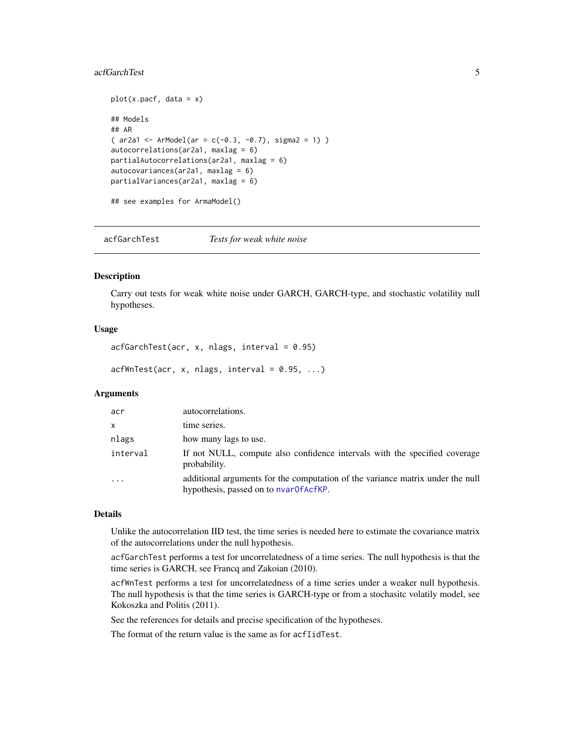#### <span id="page-4-0"></span>acfGarchTest 5

```
plot(x.pack, data = x)## Models
## AR
( ar2a1 <- ArModel(ar = c(-0.3, -0.7), sigma2 = 1) )
autocorrelations(ar2a1, maxlag = 6)
partialAutocorrelations(ar2a1, maxlag = 6)
autocovariances(ar2a1, maxlag = 6)
partialVariances(ar2a1, maxlag = 6)
## see examples for ArmaModel()
```
<span id="page-4-1"></span>acfGarchTest *Tests for weak white noise*

#### Description

Carry out tests for weak white noise under GARCH, GARCH-type, and stochastic volatility null hypotheses.

# Usage

```
acffarchTest(acr, x, nlags, interval = 0.95)
```

```
acfWnTest(acr, x, nlags, interval = 0.95, ...)
```
#### **Arguments**

| acr      | autocorrelations.                                                                                                       |
|----------|-------------------------------------------------------------------------------------------------------------------------|
| X        | time series.                                                                                                            |
| nlags    | how many lags to use.                                                                                                   |
| interval | If not NULL, compute also confidence intervals with the specified coverage<br>probability.                              |
| $\cdot$  | additional arguments for the computation of the variance matrix under the null<br>hypothesis, passed on to nvar0fAcfKP. |

#### Details

Unlike the autocorrelation IID test, the time series is needed here to estimate the covariance matrix of the autocorrelations under the null hypothesis.

acfGarchTest performs a test for uncorrelatedness of a time series. The null hypothesis is that the time series is GARCH, see Francq and Zakoian (2010).

acfWnTest performs a test for uncorrelatedness of a time series under a weaker null hypothesis. The null hypothesis is that the time series is GARCH-type or from a stochasitc volatily model, see Kokoszka and Politis (2011).

See the references for details and precise specification of the hypotheses.

The format of the return value is the same as for acfIidTest.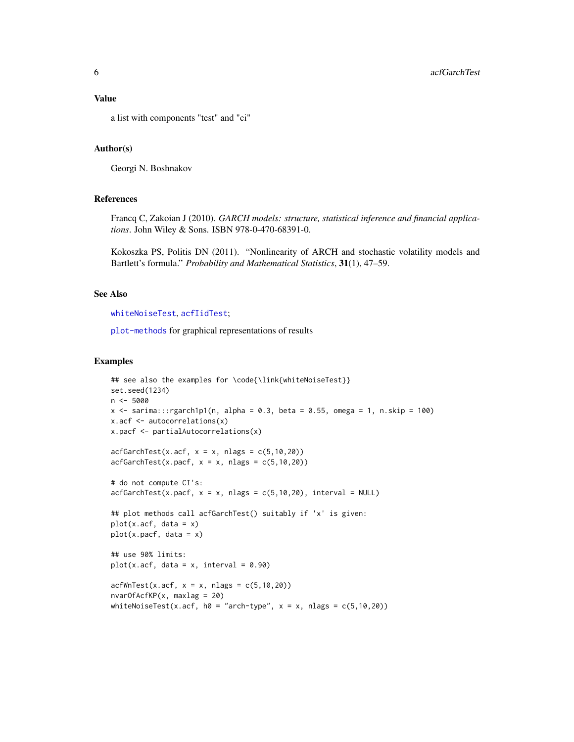#### Value

a list with components "test" and "ci"

# Author(s)

Georgi N. Boshnakov

#### References

Francq C, Zakoian J (2010). *GARCH models: structure, statistical inference and financial applications*. John Wiley & Sons. ISBN 978-0-470-68391-0.

Kokoszka PS, Politis DN (2011). "Nonlinearity of ARCH and stochastic volatility models and Bartlett's formula." *Probability and Mathematical Statistics*, 31(1), 47–59.

# See Also

[whiteNoiseTest](#page-73-1), [acfIidTest](#page-6-1);

[plot-methods](#page-50-1) for graphical representations of results

```
## see also the examples for \code{\link{whiteNoiseTest}}
set.seed(1234)
n <- 5000
x <- sarima:::rgarch1p1(n, alpha = 0.3, beta = 0.55, omega = 1, n.skip = 100)
x.acf <- autocorrelations(x)
x.pacf <- partialAutocorrelations(x)
acfGarchTest(x.acf, x = x, nlags = c(5, 10, 20))acfGarchTest(x.pack, x = x, \text{ nlags} = c(5, 10, 20))# do not compute CI's:
\text{a}cfGarchTest(x.pacf, x = x, nlags = c(5,10,20), interval = NULL)
## plot methods call acfGarchTest() suitably if 'x' is given:
plot(x.act, data = x)plot(x.pack, data = x)## use 90% limits:
plot(x.act, data = x, interval = 0.90)acfWnTest(x.acf, x = x, nlags = c(5, 10, 20))nvarOfAcfKP(x, maxlag = 20)
whiteNoiseTest(x.acf, h0 = "arch-type", x = x, nlags = c(5, 10, 20))
```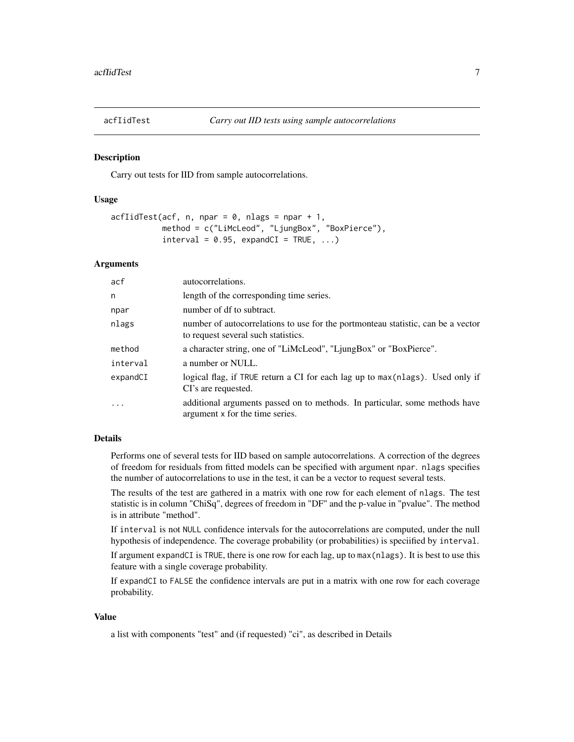<span id="page-6-1"></span><span id="page-6-0"></span>

#### **Description**

Carry out tests for IID from sample autocorrelations.

#### Usage

```
\text{acflidTest}(\text{acf}, n, \text{npar} = 0, \text{nlags} = \text{npar} + 1,method = c("LiMcLeod", "LjungBox", "BoxPierce"),
             interval = 0.95, expandCI = TRUE, ...)
```
# Arguments

| acf      | autocorrelations.                                                                                                       |
|----------|-------------------------------------------------------------------------------------------------------------------------|
| n        | length of the corresponding time series.                                                                                |
| npar     | number of df to subtract.                                                                                               |
| nlags    | number of autocorrelations to use for the portmonteau statistic, can be a vector<br>to request several such statistics. |
| method   | a character string, one of "LiMcLeod", "LjungBox" or "BoxPierce".                                                       |
| interval | a number or NULL.                                                                                                       |
| expandCI | logical flag, if TRUE return a CI for each lag up to max (nlags). Used only if<br>CI's are requested.                   |
| $\ddots$ | additional arguments passed on to methods. In particular, some methods have<br>argument x for the time series.          |

# Details

Performs one of several tests for IID based on sample autocorrelations. A correction of the degrees of freedom for residuals from fitted models can be specified with argument npar. nlags specifies the number of autocorrelations to use in the test, it can be a vector to request several tests.

The results of the test are gathered in a matrix with one row for each element of nlags. The test statistic is in column "ChiSq", degrees of freedom in "DF" and the p-value in "pvalue". The method is in attribute "method".

If interval is not NULL confidence intervals for the autocorrelations are computed, under the null hypothesis of independence. The coverage probability (or probabilities) is speciified by interval.

If argument expandCI is TRUE, there is one row for each lag, up to max(nlags). It is best to use this feature with a single coverage probability.

If expandCI to FALSE the confidence intervals are put in a matrix with one row for each coverage probability.

#### Value

a list with components "test" and (if requested) "ci", as described in Details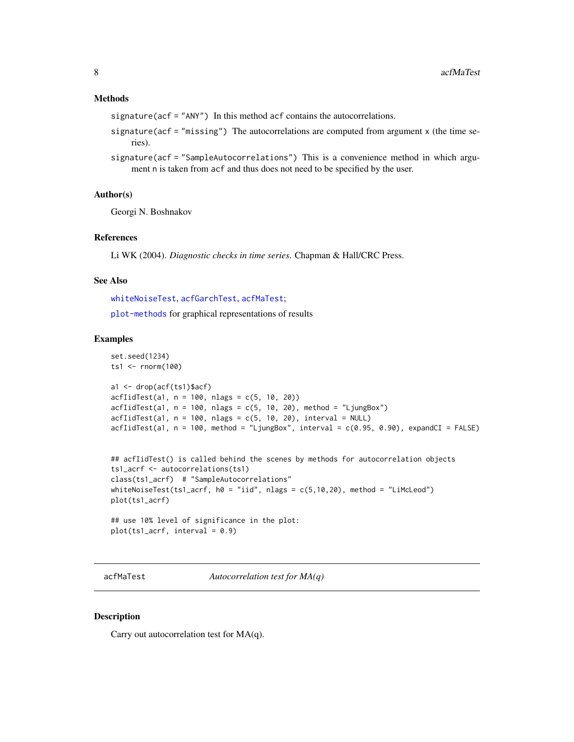# <span id="page-7-0"></span>Methods

signature(acf = "ANY") In this method acf contains the autocorrelations.

- signature(acf = "missing") The autocorrelations are computed from argument x (the time series).
- signature(acf = "SampleAutocorrelations") This is a convenience method in which argument n is taken from acf and thus does not need to be specified by the user.

# Author(s)

Georgi N. Boshnakov

# References

Li WK (2004). *Diagnostic checks in time series*. Chapman & Hall/CRC Press.

#### See Also

[whiteNoiseTest](#page-73-1), [acfGarchTest](#page-4-1), [acfMaTest](#page-7-1);

[plot-methods](#page-50-1) for graphical representations of results

# Examples

```
set.seed(1234)
ts1 <- rnorm(100)
a1 <- drop(acf(ts1)$acf)
acfIidTest(a1, n = 100, nlags = c(5, 10, 20))
\text{afflidTest}(a1, n = 100, nlags = c(5, 10, 20), method = "LjungBox")\text{acflidTest}(a1, n = 100, nlags = c(5, 10, 20), interval = NULL)acfIidTest(a1, n = 100, method = "LjungBox", interval = <math>c(0.95, 0.90)</math>, expandCI = FALSE)## acfIidTest() is called behind the scenes by methods for autocorrelation objects
ts1_acrf <- autocorrelations(ts1)
class(ts1_acrf) # "SampleAutocorrelations"
whiteNoiseTest(ts1_acrf, h0 = "iid", nlags = c(5,10,20), method = "LiMcLeod")
plot(ts1_acrf)
## use 10% level of significance in the plot:
plot(ts1_acrf, interval = 0.9)
```
<span id="page-7-1"></span>acfMaTest *Autocorrelation test for MA(q)*

#### Description

Carry out autocorrelation test for MA(q).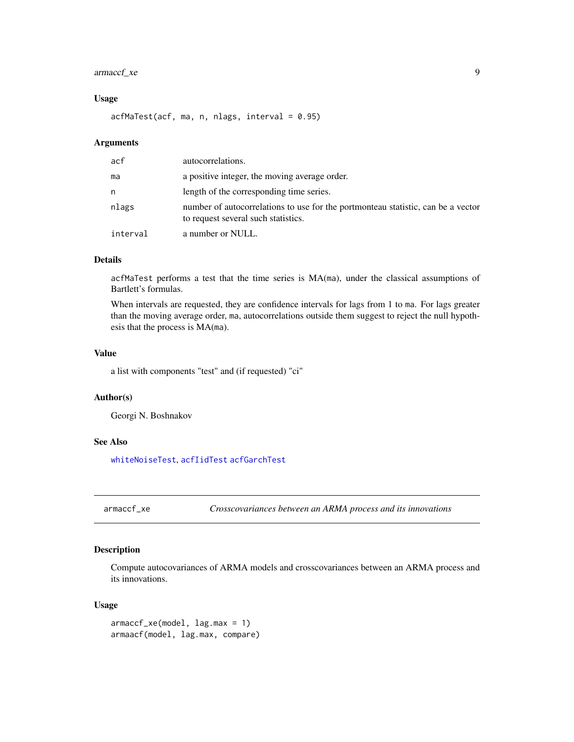# <span id="page-8-0"></span>armaccf\_xe 9

# Usage

 $acfMaTest(acf, ma, n, nlags, interval =  $0.95$ )$ 

#### **Arguments**

| acf      | autocorrelations.                                                                                                       |
|----------|-------------------------------------------------------------------------------------------------------------------------|
| ma       | a positive integer, the moving average order.                                                                           |
| n        | length of the corresponding time series.                                                                                |
| nlags    | number of autocorrelations to use for the portmonteau statistic, can be a vector<br>to request several such statistics. |
| interval | a number or NULL.                                                                                                       |

#### Details

acfMaTest performs a test that the time series is MA(ma), under the classical assumptions of Bartlett's formulas.

When intervals are requested, they are confidence intervals for lags from 1 to ma. For lags greater than the moving average order, ma, autocorrelations outside them suggest to reject the null hypothesis that the process is MA(ma).

#### Value

a list with components "test" and (if requested) "ci"

# Author(s)

Georgi N. Boshnakov

# See Also

[whiteNoiseTest](#page-73-1), [acfIidTest](#page-6-1) [acfGarchTest](#page-4-1)

<span id="page-8-1"></span>armaccf\_xe *Crosscovariances between an ARMA process and its innovations*

#### <span id="page-8-2"></span>Description

Compute autocovariances of ARMA models and crosscovariances between an ARMA process and its innovations.

#### Usage

armaccf\_xe(model, lag.max = 1) armaacf(model, lag.max, compare)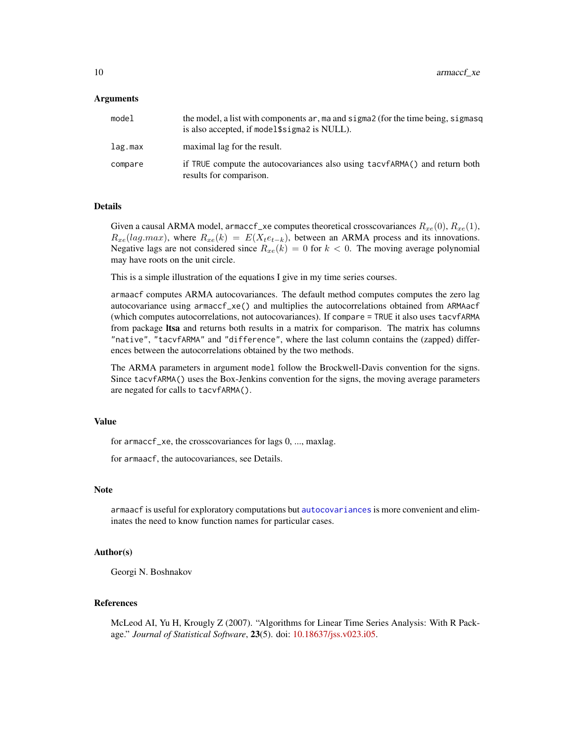#### Arguments

| model   | the model, a list with components ar, ma and sigma2 (for the time being, sigmasq<br>is also accepted, if model \$sigma2 is NULL). |
|---------|-----------------------------------------------------------------------------------------------------------------------------------|
| lag.max | maximal lag for the result.                                                                                                       |
| compare | if TRUE compute the autocovariances also using tacyfARMA() and return both<br>results for comparison.                             |

# Details

Given a causal ARMA model, armaccf\_xe computes theoretical crosscovariances  $R_{xe}(0)$ ,  $R_{xe}(1)$ ,  $R_{xe}(lag.max)$ , where  $R_{xe}(k) = E(X_t e_{t-k})$ , between an ARMA process and its innovations. Negative lags are not considered since  $R_{xe}(k) = 0$  for  $k < 0$ . The moving average polynomial may have roots on the unit circle.

This is a simple illustration of the equations I give in my time series courses.

armaacf computes ARMA autocovariances. The default method computes computes the zero lag autocovariance using armaccf\_xe() and multiplies the autocorrelations obtained from ARMAacf (which computes autocorrelations, not autocovariances). If compare = TRUE it also uses tacvfARMA from package ltsa and returns both results in a matrix for comparison. The matrix has columns "native", "tacvfARMA" and "difference", where the last column contains the (zapped) differences between the autocorrelations obtained by the two methods.

The ARMA parameters in argument model follow the Brockwell-Davis convention for the signs. Since tacvfARMA() uses the Box-Jenkins convention for the signs, the moving average parameters are negated for calls to tacvfARMA().

#### Value

for armaccf\_xe, the crosscovariances for lags 0, ..., maxlag.

for armaacf, the autocovariances, see Details.

#### Note

armaacf is useful for exploratory computations but [autocovariances](#page-18-2) is more convenient and eliminates the need to know function names for particular cases.

# Author(s)

Georgi N. Boshnakov

#### References

McLeod AI, Yu H, Krougly Z (2007). "Algorithms for Linear Time Series Analysis: With R Package." *Journal of Statistical Software*, 23(5). doi: [10.18637/jss.v023.i05.](https://doi.org/10.18637/jss.v023.i05)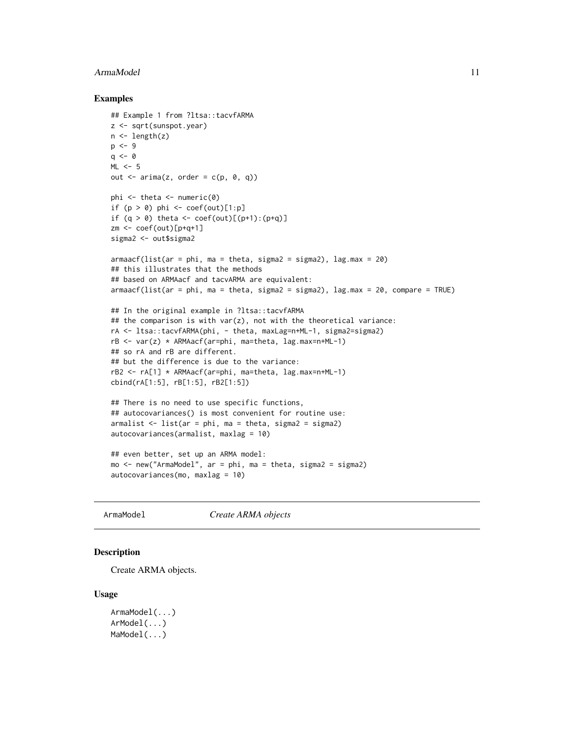#### <span id="page-10-0"></span>ArmaModel 2008 and 2008 and 2008 and 2008 and 2008 and 2008 and 2008 and 2008 and 2008 and 2008 and 2008 and 2008 and 2008 and 2008 and 2008 and 2008 and 2008 and 2008 and 2008 and 2008 and 2008 and 2008 and 2008 and 2008

### Examples

```
## Example 1 from ?ltsa::tacvfARMA
z <- sqrt(sunspot.year)
n \leftarrow length(z)
p \le -9q \leq -\thetaML < -5out \leq arima(z, order = c(p, 0, q))
phi \leq theta \leq numeric(0)
if (p > 0) phi \leq coef(out)[1:p]
if (q > 0) theta <- coef(out)[(p+1):(p+q)]
zm <- coef(out)[p+q+1]
sigma2 <- out$sigma2
armaacf(list(ar = phi, ma = theta, sigma2 = sigma2), lag.max = 20)
## this illustrates that the methods
## based on ARMAacf and tacvARMA are equivalent:
armaacf(list(ar = phi, ma = theta, sigma2 = sigma2), lag.max = 20, compare = TRUE)
## In the original example in ?ltsa::tacvfARMA
## the comparison is with var(z), not with the theoretical variance:
rA <- ltsa::tacvfARMA(phi, - theta, maxLag=n+ML-1, sigma2=sigma2)
rB <- var(z) * ARMAacf(ar=phi, ma=theta, lag.max=n+ML-1)
## so rA and rB are different.
## but the difference is due to the variance:
rB2 <- rA[1] * ARMAacf(ar=phi, ma=theta, lag.max=n+ML-1)
cbind(rA[1:5], rB[1:5], rB2[1:5])
## There is no need to use specific functions,
## autocovariances() is most convenient for routine use:
armalist \le list(ar = phi, ma = theta, sigma2 = sigma2)
autocovariances(armalist, maxlag = 10)
## even better, set up an ARMA model:
mo <- new("ArmaModel", ar = phi, ma = theta, sigma2 = sigma2)
autocovariances(mo, maxlag = 10)
```
<span id="page-10-1"></span>ArmaModel *Create ARMA objects*

#### <span id="page-10-2"></span>Description

Create ARMA objects.

#### Usage

```
ArmaModel(...)
ArModel(...)
MaModel(...)
```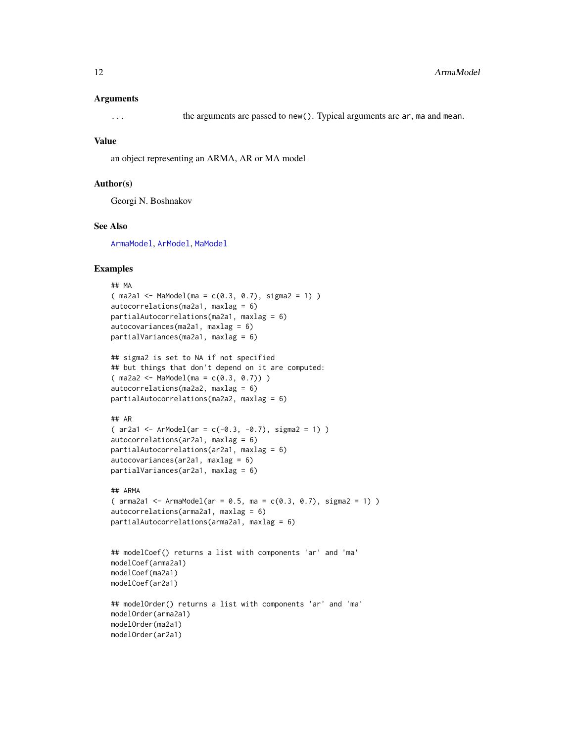#### Arguments

... the arguments are passed to new(). Typical arguments are ar, ma and mean.

#### Value

an object representing an ARMA, AR or MA model

# Author(s)

Georgi N. Boshnakov

# See Also

[ArmaModel](#page-12-1), [ArModel](#page-12-2), [MaModel](#page-12-2)

```
## MA
(ma2a1 < -Mamed0de1(ma = c(0.3, 0.7), sigma2 = 1))autocorrelations(ma2a1, maxlag = 6)
partialAutocorrelations(ma2a1, maxlag = 6)
autocovariances(ma2a1, maxlag = 6)
partialVariances(ma2a1, maxlag = 6)
## sigma2 is set to NA if not specified
## but things that don't depend on it are computed:
(ma2a2 \leq MaModel(ma = c(0.3, 0.7)))autocorrelations(ma2a2, maxlag = 6)
partialAutocorrelations(ma2a2, maxlag = 6)
## AR
( ar2a1 <- ArModel(ar = c(-0.3, -0.7), sigma2 = 1) )
autocorrelations(ar2a1, maxlag = 6)partialAutocorrelations(ar2a1, maxlag = 6)
autocovariances(ar2a1, maxlag = 6)
partialVariances(ar2a1, maxlag = 6)
## ARMA
( arma2a1 <- ArmaModel(ar = 0.5, ma = c(0.3, 0.7), sigma2 = 1) )
autocorrelations(arma2a1, maxlag = 6)
partialAutocorrelations(arma2a1, maxlag = 6)
## modelCoef() returns a list with components 'ar' and 'ma'
modelCoef(arma2a1)
modelCoef(ma2a1)
modelCoef(ar2a1)
## modelOrder() returns a list with components 'ar' and 'ma'
modelOrder(arma2a1)
```

```
modelOrder(ma2a1)
modelOrder(ar2a1)
```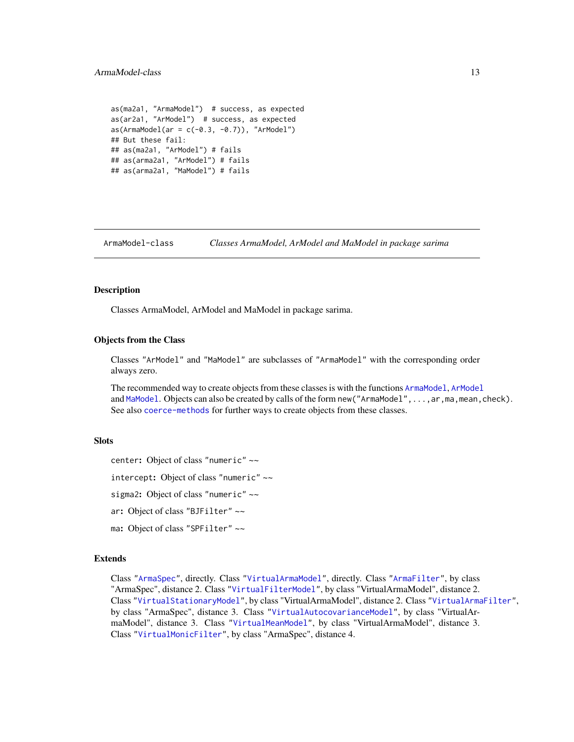# <span id="page-12-0"></span>ArmaModel-class 13

```
as(ma2a1, "ArmaModel") # success, as expected
as(ar2a1, "ArModel") # success, as expected
as(ArmaModel(ar = c(-0.3, -0.7)), 'ArModel")## But these fail:
## as(ma2a1, "ArModel") # fails
## as(arma2a1, "ArModel") # fails
## as(arma2a1, "MaModel") # fails
```
<span id="page-12-1"></span>ArmaModel-class *Classes ArmaModel, ArModel and MaModel in package sarima*

#### <span id="page-12-2"></span>**Description**

Classes ArmaModel, ArModel and MaModel in package sarima.

#### Objects from the Class

Classes "ArModel" and "MaModel" are subclasses of "ArmaModel" with the corresponding order always zero.

The recommended way to create objects from these classes is with the functions [ArmaModel](#page-10-1), [ArModel](#page-10-2) and [MaModel](#page-10-2). Objects can also be created by calls of the form new ("ArmaModel", ..., ar, ma, mean, check). See also [coerce-methods](#page-22-1) for further ways to create objects from these classes.

#### **Slots**

center: Object of class "numeric" ~~

intercept: Object of class "numeric" ~~

sigma2: Object of class "numeric" ~~

ar: Object of class "BJFilter" ~~

ma: Object of class "SPFilter" ~~

#### Extends

Class ["ArmaSpec"](#page-0-0), directly. Class ["VirtualArmaModel"](#page-0-0), directly. Class ["ArmaFilter"](#page-0-0), by class "ArmaSpec", distance 2. Class ["VirtualFilterModel"](#page-0-0), by class "VirtualArmaModel", distance 2. Class ["VirtualStationaryModel"](#page-0-0), by class "VirtualArmaModel", distance 2. Class ["VirtualArmaFilter"](#page-0-0), by class "ArmaSpec", distance 3. Class ["VirtualAutocovarianceModel"](#page-0-0), by class "VirtualAr-maModel", distance 3. Class ["VirtualMeanModel"](#page-0-0), by class "VirtualArmaModel", distance 3. Class ["VirtualMonicFilter"](#page-0-0), by class "ArmaSpec", distance 4.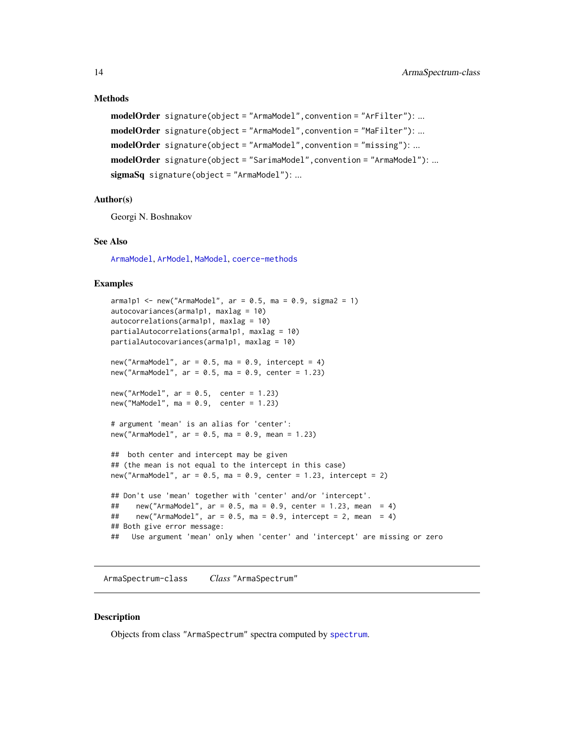# Methods

```
modelOrder signature(object = "ArmaModel",convention = "ArFilter"): ...
modelOrder signature(object = "ArmaModel",convention = "MaFilter"): ...
modelOrder signature(object = "ArmaModel",convention = "missing"): ...
modelOrder signature(object = "SarimaModel", convention = "ArmaModel"): ...
sigmaSq signature(object = "ArmaModel"): ...
```
#### Author(s)

Georgi N. Boshnakov

#### See Also

[ArmaModel](#page-10-1), [ArModel](#page-10-2), [MaModel](#page-10-2), [coerce-methods](#page-22-1)

### Examples

```
armalpl < - new("ArmaModel", ar = 0.5, ma = 0.9, sigma2 = 1)autocovariances(arma1p1, maxlag = 10)
autocorrelations(arma1p1, maxlag = 10)
partialAutocorrelations(arma1p1, maxlag = 10)
partialAutocovariances(arma1p1, maxlag = 10)
new("ArmaModel", ar = 0.5, ma = 0.9, intercept = 4)
new("ArmaModel", ar = 0.5, ma = 0.9, center = 1.23)new("ArModel", ar = 0.5, center = 1.23)
new("Mahode1", ma = 0.9, center = 1.23)# argument 'mean' is an alias for 'center':
new("ArmaModel", ar = 0.5, ma = 0.9, mean = 1.23)
## both center and intercept may be given
## (the mean is not equal to the intercept in this case)
new("ArmaModel", ar = 0.5, ma = 0.9, center = 1.23, intercept = 2)
## Don't use 'mean' together with 'center' and/or 'intercept'.
## new("ArmaModel", ar = 0.5, ma = 0.9, center = 1.23, mean = 4)## new("ArmaModel", ar = 0.5, ma = 0.9, intercept = 2, mean = 4)## Both give error message:
## Use argument 'mean' only when 'center' and 'intercept' are missing or zero
```
ArmaSpectrum-class *Class* "ArmaSpectrum"

# **Description**

Objects from class "ArmaSpectrum" spectra computed by [spectrum](#page-64-1).

<span id="page-13-0"></span>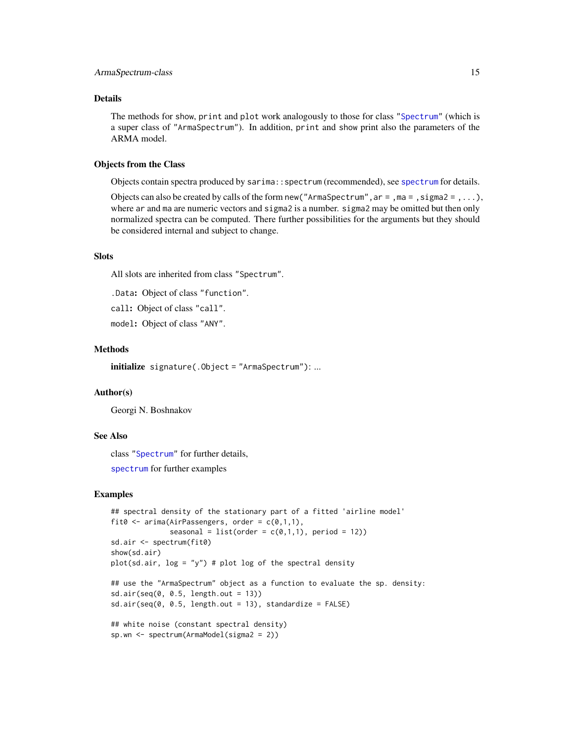# Details

The methods for show, print and plot work analogously to those for class ["Spectrum"](#page-67-1) (which is a super class of "ArmaSpectrum"). In addition, print and show print also the parameters of the ARMA model.

# Objects from the Class

Objects contain spectra produced by sarima::spectrum (recommended), see [spectrum](#page-64-1) for details.

Objects can also be created by calls of the form new ("ArmaSpectrum",  $ar =$ ,  $ma =$ ,  $sigma =$ , ...), where ar and ma are numeric vectors and sigma2 is a number. sigma2 may be omitted but then only normalized spectra can be computed. There further possibilities for the arguments but they should be considered internal and subject to change.

#### **Slots**

All slots are inherited from class "Spectrum".

.Data: Object of class "function".

call: Object of class "call".

model: Object of class "ANY".

#### Methods

initialize signature(.Object = "ArmaSpectrum"): ...

# Author(s)

Georgi N. Boshnakov

# See Also

class ["Spectrum"](#page-67-1) for further details,

[spectrum](#page-64-1) for further examples

```
## spectral density of the stationary part of a fitted 'airline model'
fit0 \le - arima(AirPassengers, order = c(0,1,1),
              seasonal = list(order = c(\emptyset,1,1), period = 12))
sd.air <- spectrum(fit0)
show(sd.air)
plot(sd-air, log = "y") # plot log of the spectral density
## use the "ArmaSpectrum" object as a function to evaluate the sp. density:
sd.air(seq(0, 0.5, length.out = 13))sd.air(seq(0, 0.5, length.out = 13), standardize = FALSE)## white noise (constant spectral density)
sp.wn <- spectrum(ArmaModel(sigma2 = 2))
```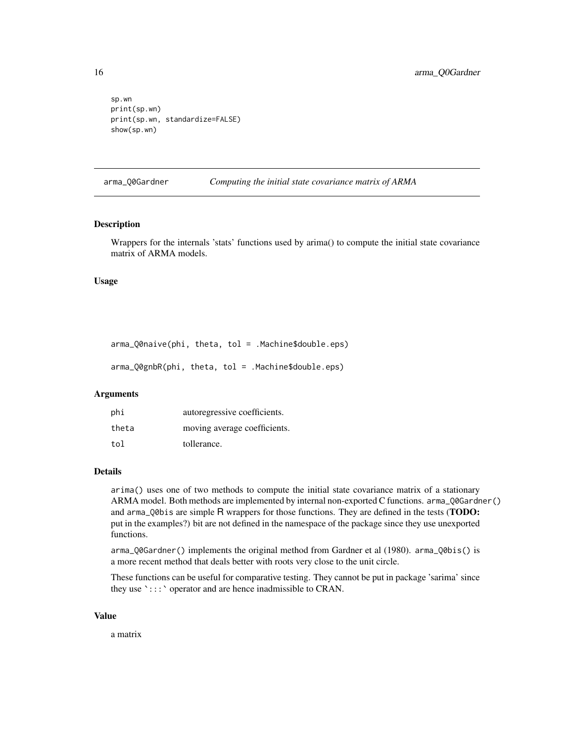```
sp.wn
print(sp.wn)
print(sp.wn, standardize=FALSE)
show(sp.wn)
```
arma\_Q0Gardner *Computing the initial state covariance matrix of ARMA*

#### Description

Wrappers for the internals 'stats' functions used by arima() to compute the initial state covariance matrix of ARMA models.

#### Usage

```
arma_Q0naive(phi, theta, tol = .Machine$double.eps)
```
arma\_Q0gnbR(phi, theta, tol = .Machine\$double.eps)

# Arguments

| phi   | autoregressive coefficients. |
|-------|------------------------------|
| theta | moving average coefficients. |
| tol   | tollerance.                  |

#### Details

arima() uses one of two methods to compute the initial state covariance matrix of a stationary ARMA model. Both methods are implemented by internal non-exported C functions. arma\_Q0Gardner() and arma\_Q0bis are simple R wrappers for those functions. They are defined in the tests (TODO: put in the examples?) bit are not defined in the namespace of the package since they use unexported functions.

arma\_Q0Gardner() implements the original method from Gardner et al (1980). arma\_Q0bis() is a more recent method that deals better with roots very close to the unit circle.

These functions can be useful for comparative testing. They cannot be put in package 'sarima' since they use `:::` operator and are hence inadmissible to CRAN.

#### Value

a matrix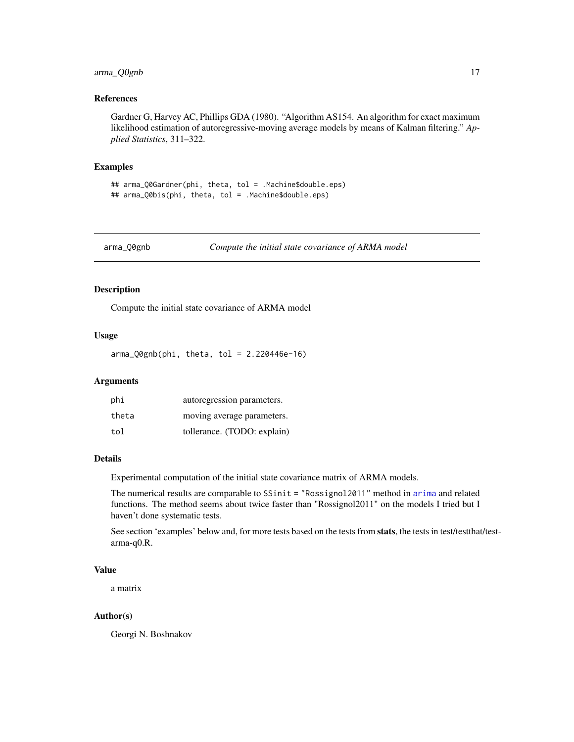# <span id="page-16-0"></span>arma\_Q0gnb 17

# References

Gardner G, Harvey AC, Phillips GDA (1980). "Algorithm AS154. An algorithm for exact maximum likelihood estimation of autoregressive-moving average models by means of Kalman filtering." *Applied Statistics*, 311–322.

#### Examples

## arma\_Q0Gardner(phi, theta, tol = .Machine\$double.eps) ## arma\_Q0bis(phi, theta, tol = .Machine\$double.eps)

arma\_Q0gnb *Compute the initial state covariance of ARMA model*

#### Description

Compute the initial state covariance of ARMA model

#### Usage

 $arma_QQgnb(phi, theta, tol = 2.220446e-16)$ 

# Arguments

| phi   | autoregression parameters.  |
|-------|-----------------------------|
| theta | moving average parameters.  |
| tol   | tollerance. (TODO: explain) |

# Details

Experimental computation of the initial state covariance matrix of ARMA models.

The numerical results are comparable to SSinit = "Rossignol2011" method in [arima](#page-0-0) and related functions. The method seems about twice faster than "Rossignol2011" on the models I tried but I haven't done systematic tests.

See section 'examples' below and, for more tests based on the tests from stats, the tests in test/testthat/testarma-q0.R.

#### Value

a matrix

#### Author(s)

Georgi N. Boshnakov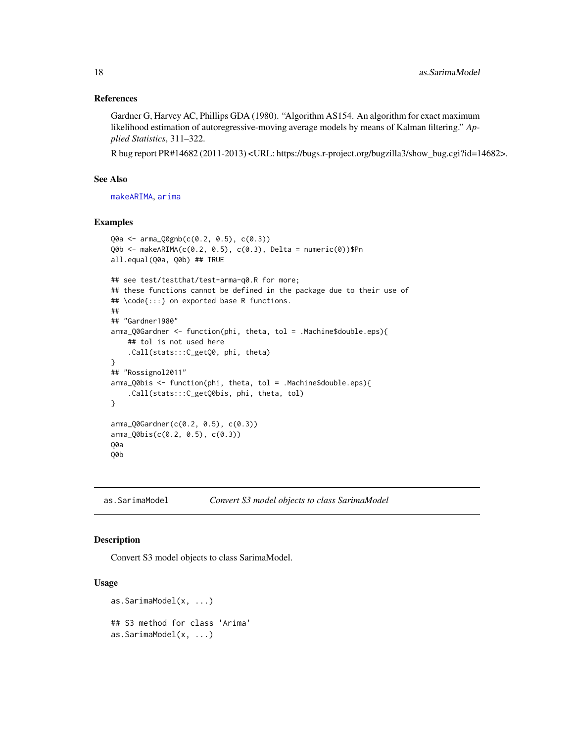# References

Gardner G, Harvey AC, Phillips GDA (1980). "Algorithm AS154. An algorithm for exact maximum likelihood estimation of autoregressive-moving average models by means of Kalman filtering." *Applied Statistics*, 311–322.

R bug report PR#14682 (2011-2013) <URL: https://bugs.r-project.org/bugzilla3/show\_bug.cgi?id=14682>.

# See Also

[makeARIMA](#page-0-0), [arima](#page-0-0)

# Examples

```
Q0a <- arma_Q0gnb(c(0.2, 0.5), c(0.3))
Q0b <- makeARIMA(c(0.2, 0.5), c(0.3), Delta = numeric(0))$Pn
all.equal(Q0a, Q0b) ## TRUE
## see test/testthat/test-arma-q0.R for more;
## these functions cannot be defined in the package due to their use of
## \code{:::} on exported base R functions.
##
## "Gardner1980"
arma_Q0Gardner <- function(phi, theta, tol = .Machine$double.eps){
    ## tol is not used here
    .Call(stats:::C_getQ0, phi, theta)
}
## "Rossignol2011"
arma_Q0bis <- function(phi, theta, tol = .Machine$double.eps){
    .Call(stats:::C_getQ0bis, phi, theta, tol)
}
arma_Q0Gardner(c(0.2, 0.5), c(0.3))
arma_Q0bis(c(0.2, 0.5), c(0.3))
Q0a
Q0b
```
as.SarimaModel *Convert S3 model objects to class SarimaModel*

# Description

Convert S3 model objects to class SarimaModel.

#### Usage

```
as.SarimaModel(x, ...)
## S3 method for class 'Arima'
as.SarimaModel(x, ...)
```
<span id="page-17-0"></span>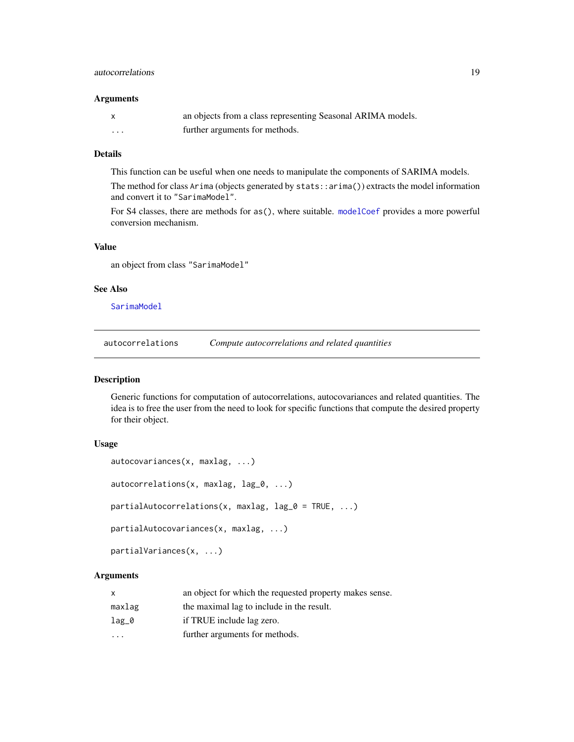# <span id="page-18-0"></span>autocorrelations 19

#### **Arguments**

|         | an objects from a class representing Seasonal ARIMA models. |
|---------|-------------------------------------------------------------|
| $\cdot$ | further arguments for methods.                              |

# Details

This function can be useful when one needs to manipulate the components of SARIMA models. The method for class Arima (objects generated by stats::arima()) extracts the model information and convert it to "SarimaModel".

For S4 classes, there are methods for as(), where suitable. [modelCoef](#page-38-1) provides a more powerful conversion mechanism.

# Value

an object from class "SarimaModel"

### See Also

[SarimaModel](#page-57-1)

<span id="page-18-1"></span>autocorrelations *Compute autocorrelations and related quantities*

# <span id="page-18-2"></span>Description

Generic functions for computation of autocorrelations, autocovariances and related quantities. The idea is to free the user from the need to look for specific functions that compute the desired property for their object.

# Usage

```
autocovariances(x, maxlag, ...)
autocorrelations(x, maxlag, lag_0, ...)
partialAutocorrelations(x, maxlag, lag_0 = TRUE, ...)partialAutocovariances(x, maxlag, ...)
partialVariances(x, ...)
```
# Arguments

| X       | an object for which the requested property makes sense. |
|---------|---------------------------------------------------------|
| maxlag  | the maximal lag to include in the result.               |
| $lag_0$ | if TRUE include lag zero.                               |
| $\cdot$ | further arguments for methods.                          |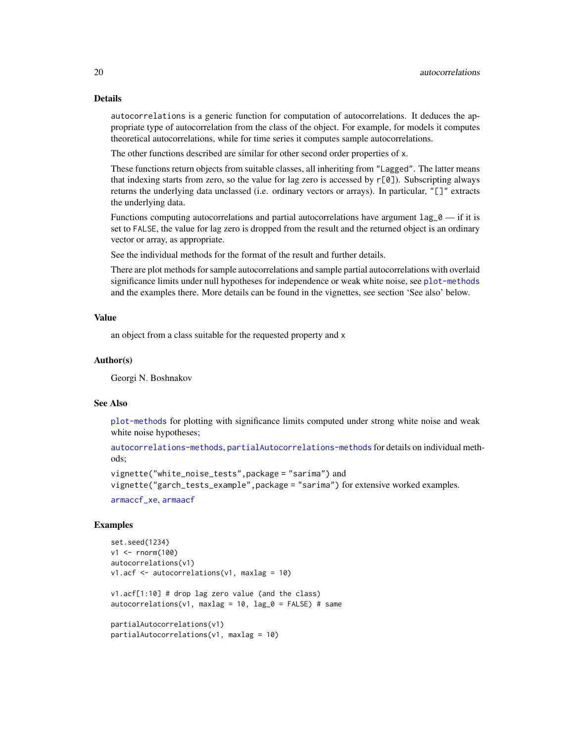#### Details

autocorrelations is a generic function for computation of autocorrelations. It deduces the appropriate type of autocorrelation from the class of the object. For example, for models it computes theoretical autocorrelations, while for time series it computes sample autocorrelations.

The other functions described are similar for other second order properties of x.

These functions return objects from suitable classes, all inheriting from "Lagged". The latter means that indexing starts from zero, so the value for lag zero is accessed by  $r[0]$ ). Subscripting always returns the underlying data unclassed (i.e. ordinary vectors or arrays). In particular, "[]" extracts the underlying data.

Functions computing autocorrelations and partial autocorrelations have argument  $\text{lag}_0$  — if it is set to FALSE, the value for lag zero is dropped from the result and the returned object is an ordinary vector or array, as appropriate.

See the individual methods for the format of the result and further details.

There are plot methods for sample autocorrelations and sample partial autocorrelations with overlaid significance limits under null hypotheses for independence or weak white noise, see [plot-methods](#page-50-1) and the examples there. More details can be found in the vignettes, see section 'See also' below.

#### Value

an object from a class suitable for the requested property and x

#### Author(s)

Georgi N. Boshnakov

#### See Also

[plot-methods](#page-50-1) for plotting with significance limits computed under strong white noise and weak white noise hypotheses;

[autocorrelations-methods](#page-20-1), [partialAutocorrelations-methods](#page-49-1) for details on individual methods;

```
vignette("white_noise_tests",package = "sarima") and
vignette("garch_tests_example",package = "sarima") for extensive worked examples.
```
[armaccf\\_xe](#page-8-1), [armaacf](#page-8-2)

```
set.seed(1234)
v1 <- rnorm(100)
autocorrelations(v1)
v1.acf <- autocorrelations(v1, maxlag = 10)
v1.acf[1:10] # drop lag zero value (and the class)
autocorrelations(v1, maxlag = 10, lag_0 = FALSE)# same
partialAutocorrelations(v1)
partialAutocorrelations(v1, maxlag = 10)
```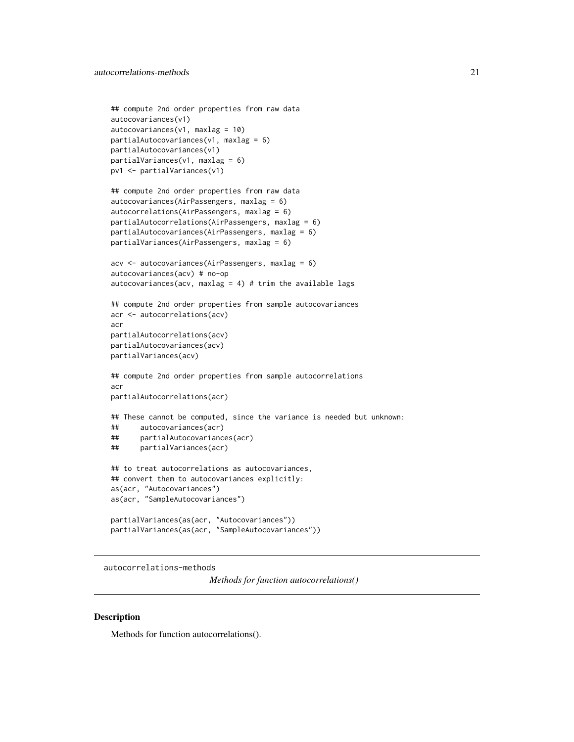```
## compute 2nd order properties from raw data
autocovariances(v1)
autocovariances(v1, maxlag = 10)partialAutocovariances(v1, maxlag = 6)partialAutocovariances(v1)
partialVariances(v1, maxlag = 6)pv1 <- partialVariances(v1)
## compute 2nd order properties from raw data
autocovariances(AirPassengers, maxlag = 6)
autocorrelations(AirPassengers, maxlag = 6)
partialAutocorrelations(AirPassengers, maxlag = 6)
partialAutocovariances(AirPassengers, maxlag = 6)
```

```
partialVariances(AirPassengers, maxlag = 6)
```

```
acv <- autocovariances(AirPassengers, maxlag = 6)
autocovariances(acv) # no-op
autocovariances(acv, maxlag = 4) # trim the available lags
```

```
## compute 2nd order properties from sample autocovariances
acr <- autocorrelations(acv)
acr
partialAutocorrelations(acv)
partialAutocovariances(acv)
```

```
partialVariances(acv)
```

```
## compute 2nd order properties from sample autocorrelations
acr
partialAutocorrelations(acr)
```

```
## These cannot be computed, since the variance is needed but unknown:
## autocovariances(acr)
## partialAutocovariances(acr)
## partialVariances(acr)
```

```
## to treat autocorrelations as autocovariances,
## convert them to autocovariances explicitly:
as(acr, "Autocovariances")
as(acr, "SampleAutocovariances")
```

```
partialVariances(as(acr, "Autocovariances"))
partialVariances(as(acr, "SampleAutocovariances"))
```
<span id="page-20-1"></span>autocorrelations-methods

*Methods for function autocorrelations()*

#### **Description**

Methods for function autocorrelations().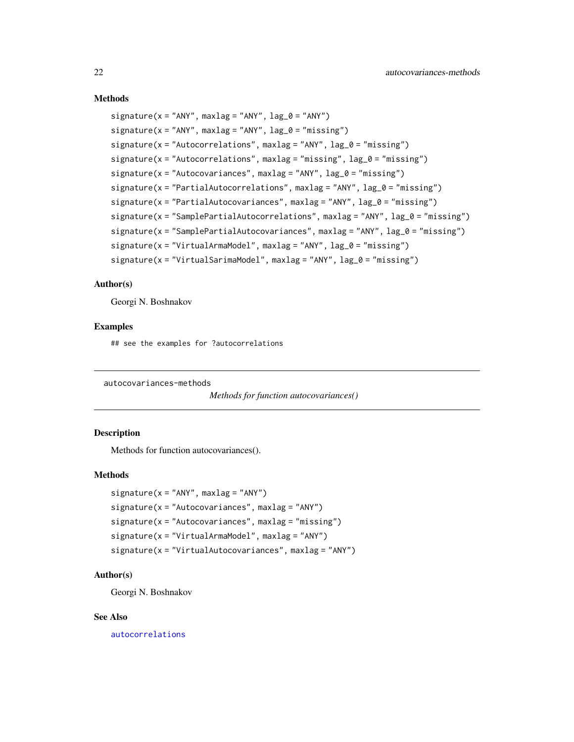# <span id="page-21-0"></span>Methods

```
signature(x = "ANY", maxlag = "ANY", lag_0 = "ANY")
signature(x = "ANY", maxlag = "ANY", lag_0 = "missing")signature(x = "Autocorrelations", maxlag = "ANY", lag_0 = "missing")
signature(x = "Autocorrelations", maxlag = "missing", lag_0 = "missing")
signature(x = "Autocovariances", maxlag = "ANY", lag_0 = "missing")signature(x = "PartialAutocorrelations", maxlag = "ANY", lag_0 = "missing")
signature(x = "PartialAutocovariances", maxlag = "ANY", lag_0 = "missing")
signature(x = "SamplePartialAutocorrelations", maxlag = "ANY", lag_0 = "missing")
signature(x = "SamplePartialAutocovariances", maxlag = "ANY", lag_0 = "missing")
signature(x = "VirtualArmaModel", maxlag = "ANY", lag_0 = "missing")signature(x = "VirtualSarimaModel", maxlag = "ANY", lag_0 = "missing")
```
# Author(s)

Georgi N. Boshnakov

# Examples

## see the examples for ?autocorrelations

autocovariances-methods

```
Methods for function autocovariances()
```
# Description

Methods for function autocovariances().

#### Methods

```
signature(x = "ANY", maxlag = "ANY")signature(x = "Autocovariances", maxlag = "ANY")signature(x = "Autocovariances", maxlag = "missing")
signature(x = "VirtualArmaModel", maxlag = "ANY")
signature(x = "VirtualAutocovariances", maxlag = "ANY")
```
# Author(s)

Georgi N. Boshnakov

#### See Also

[autocorrelations](#page-18-1)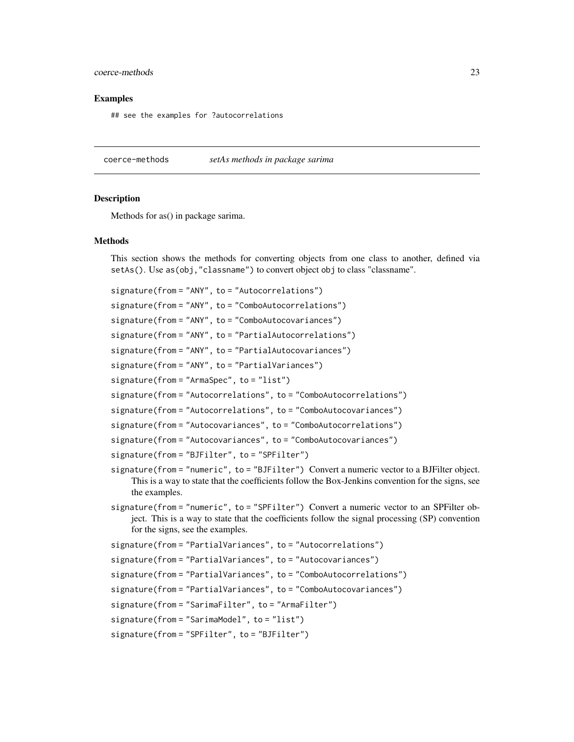# <span id="page-22-0"></span>coerce-methods 23

#### Examples

## see the examples for ?autocorrelations

<span id="page-22-1"></span>coerce-methods *setAs methods in package sarima*

#### **Description**

Methods for as() in package sarima.

#### **Methods**

This section shows the methods for converting objects from one class to another, defined via setAs(). Use as(obj,"classname") to convert object obj to class "classname".

```
signature(from = "ANY", to = "Autocorrelations")
signature(from = "ANY", to = "ComboAutocorrelations")
signature(from = "ANY", to = "ComboAutocovariances")
signature(from = "ANY", to = "PartialAutocorrelations")
signature(from = "ANY", to = "PartialAutocovariances")
signature(from = "ANY", to = "PartialVariances")
signature(from = "ArmaSpec", to = "list")
signature(from = "Autocorrelations", to = "ComboAutocorrelations")
signature(from = "Autocorrelations", to = "ComboAutocovariances")
signature(from = "Autocovariances", to = "ComboAutocorrelations")
signature(from = "Autocovariances", to = "ComboAutocovariances")
signature(from = "BJFilter", to = "SPFilter")
signature(from = "numeric", to = "BJFilter") Convert a numeric vector to a BJFilter object.
    This is a way to state that the coefficients follow the Box-Jenkins convention for the signs, see
    the examples.
signature(from = "numeric", to = "SPFilter") Convert a numeric vector to an SPFilter ob-
    ject. This is a way to state that the coefficients follow the signal processing (SP) convention
    for the signs, see the examples.
signature(from = "PartialVariances", to = "Autocorrelations")
signature(from = "PartialVariances", to = "Autocovariances")
```
signature(from = "PartialVariances", to = "ComboAutocorrelations")

signature(from = "PartialVariances", to = "ComboAutocovariances")

signature(from = "SarimaFilter", to = "ArmaFilter")

signature(from = "SarimaModel", to = "list")

signature(from = "SPFilter", to = "BJFilter")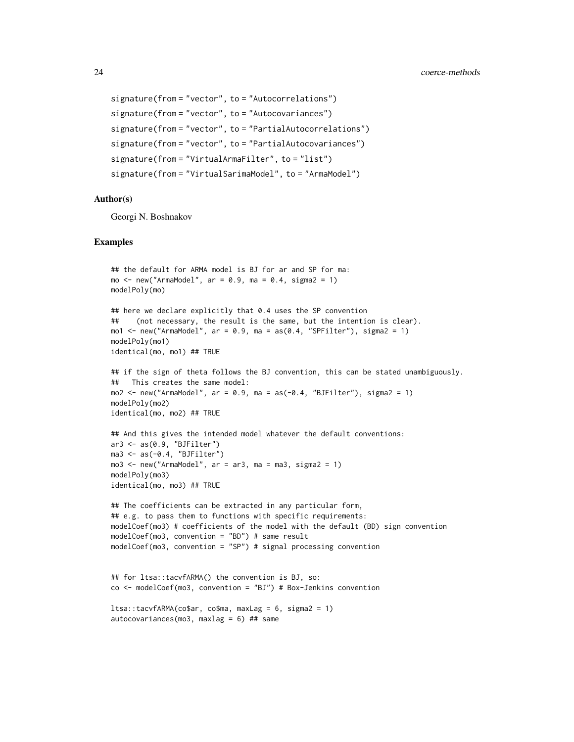```
signature(from = "vector", to = "Autocorrelations")
signature(from = "vector", to = "Autocovariances")
signature(from = "vector", to = "PartialAutocorrelations")
signature(from = "vector", to = "PartialAutocovariances")
signature(from = "VirtualArmaFilter", to = "list")
signature(from = "VirtualSarimaModel", to = "ArmaModel")
```
#### Author(s)

Georgi N. Boshnakov

```
## the default for ARMA model is BJ for ar and SP for ma:
mo \le - new("ArmaModel", ar = 0.9, ma = 0.4, sigma2 = 1)
modelPoly(mo)
## here we declare explicitly that 0.4 uses the SP convention
## (not necessary, the result is the same, but the intention is clear).
mo1 \le new("ArmaModel", ar = 0.9, ma = as(0.4, "SPFilter"), sigma2 = 1)
modelPoly(mo1)
identical(mo, mo1) ## TRUE
## if the sign of theta follows the BJ convention, this can be stated unambiguously.
## This creates the same model:
mo2 \le new("ArmaModel", ar = 0.9, ma = as(-0.4, "BJFilter"), sigma2 = 1)
modelPoly(mo2)
identical(mo, mo2) ## TRUE
## And this gives the intended model whatever the default conventions:
ar3 <- as(0.9, "BJFilter")
ma3 \leq as(-0.4, "BJFilter")mod < - new("ArmaModel", ar = ar3, ma = ma3, sigma2 = 1)modelPoly(mo3)
identical(mo, mo3) ## TRUE
## The coefficients can be extracted in any particular form,
## e.g. to pass them to functions with specific requirements:
modelCoef(mo3) # coefficients of the model with the default (BD) sign convention
modelCoef(mo3, convention = "BD") # same result
modelCoef(mo3, convention = "SP") # signal processing convention
## for ltsa::tacvfARMA() the convention is BJ, so:
co <- modelCoef(mo3, convention = "BJ") # Box-Jenkins convention
ltsa::tacyfARMA(co$ar, co$ma, maxLag = 6, sigma2 = 1)autocovariances(mo3, maxlag = 6) ## same
```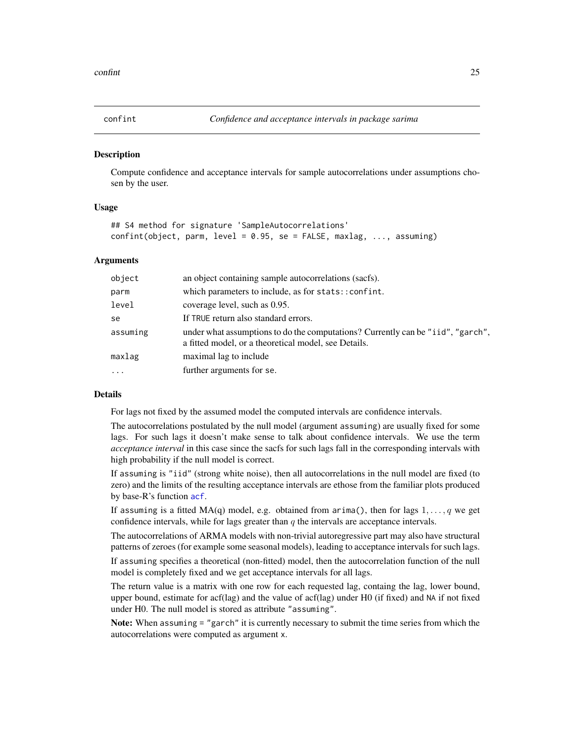<span id="page-24-0"></span>

#### Description

Compute confidence and acceptance intervals for sample autocorrelations under assumptions chosen by the user.

#### Usage

```
## S4 method for signature 'SampleAutocorrelations'
confint(object, parm, level = 0.95, se = FALSE, maxlag, ..., assuming)
```
#### Arguments

| object   | an object containing sample autocorrelations (sacfs).                                                                                   |
|----------|-----------------------------------------------------------------------------------------------------------------------------------------|
| parm     | which parameters to include, as for stats:: confint.                                                                                    |
| level    | coverage level, such as 0.95.                                                                                                           |
| se       | If TRUE return also standard errors.                                                                                                    |
| assuming | under what assumptions to do the computations? Currently can be "iid", "garch",<br>a fitted model, or a theoretical model, see Details. |
| maxlag   | maximal lag to include                                                                                                                  |
| $\cdot$  | further arguments for se.                                                                                                               |

#### **Details**

For lags not fixed by the assumed model the computed intervals are confidence intervals.

The autocorrelations postulated by the null model (argument assuming) are usually fixed for some lags. For such lags it doesn't make sense to talk about confidence intervals. We use the term *acceptance interval* in this case since the sacfs for such lags fall in the corresponding intervals with high probability if the null model is correct.

If assuming is "iid" (strong white noise), then all autocorrelations in the null model are fixed (to zero) and the limits of the resulting acceptance intervals are ethose from the familiar plots produced by base-R's function [acf](#page-0-0).

If assuming is a fitted MA(q) model, e.g. obtained from arima(), then for lags  $1, \ldots, q$  we get confidence intervals, while for lags greater than  $q$  the intervals are acceptance intervals.

The autocorrelations of ARMA models with non-trivial autoregressive part may also have structural patterns of zeroes (for example some seasonal models), leading to acceptance intervals for such lags.

If assuming specifies a theoretical (non-fitted) model, then the autocorrelation function of the null model is completely fixed and we get acceptance intervals for all lags.

The return value is a matrix with one row for each requested lag, containg the lag, lower bound, upper bound, estimate for acf(lag) and the value of acf(lag) under H0 (if fixed) and NA if not fixed under H0. The null model is stored as attribute "assuming".

Note: When assuming = "garch" it is currently necessary to submit the time series from which the autocorrelations were computed as argument x.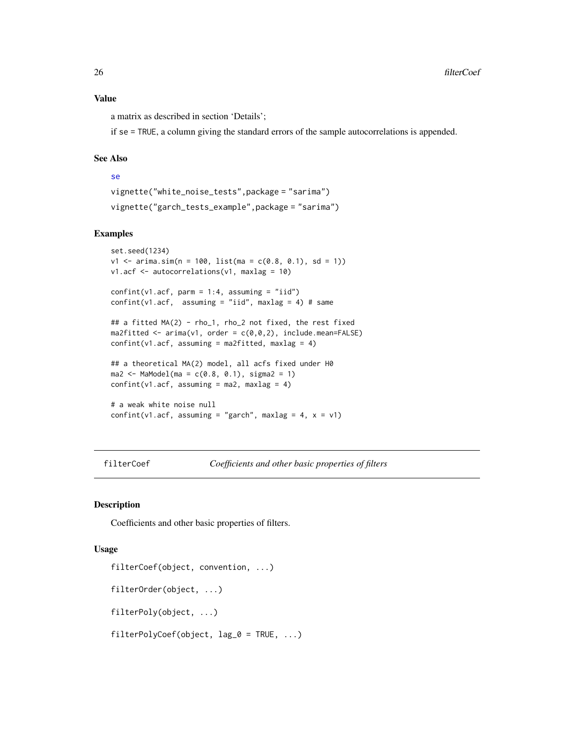<span id="page-25-0"></span>a matrix as described in section 'Details';

if se = TRUE, a column giving the standard errors of the sample autocorrelations is appended.

#### See Also

# [se](#page-60-1)

```
vignette("white_noise_tests",package = "sarima")
vignette("garch_tests_example",package = "sarima")
```
# Examples

```
set.seed(1234)
v1 \le -\arima.sim(n = 100, list(ma = c(0.8, 0.1), sd = 1))v1.acf <- autocorrelations(v1, maxlag = 10)
confint(v1.act, parm = 1:4, assuming = "iid")confint(v1.act, assuming = "iid", maxlag = 4) # same## a fitted MA(2) - rho_1, rho_2 not fixed, the rest fixed
ma2fitted \leftarrow \text{arima}(v1, \text{ order} = c(0, 0, 2), \text{ include}.\text{mean}=\text{FALSE})confint(v1.act, assuming = ma2fitted, maxlag = 4)## a theoretical MA(2) model, all acfs fixed under H0
ma2 \leq MacModel(ma = c(0.8, 0.1), sigma2 = 1)confint(v1.act, assuming = ma2, maxlag = 4)# a weak white noise null
confint(v1.acf, assuming = "garch", maxlag = 4, x = v1)
```
<span id="page-25-1"></span>filterCoef *Coefficients and other basic properties of filters*

# <span id="page-25-2"></span>Description

Coefficients and other basic properties of filters.

#### Usage

```
filterCoef(object, convention, ...)
filterOrder(object, ...)
filterPoly(object, ...)
filterPolyCoef(object, lag_0 = TRUE, ...)
```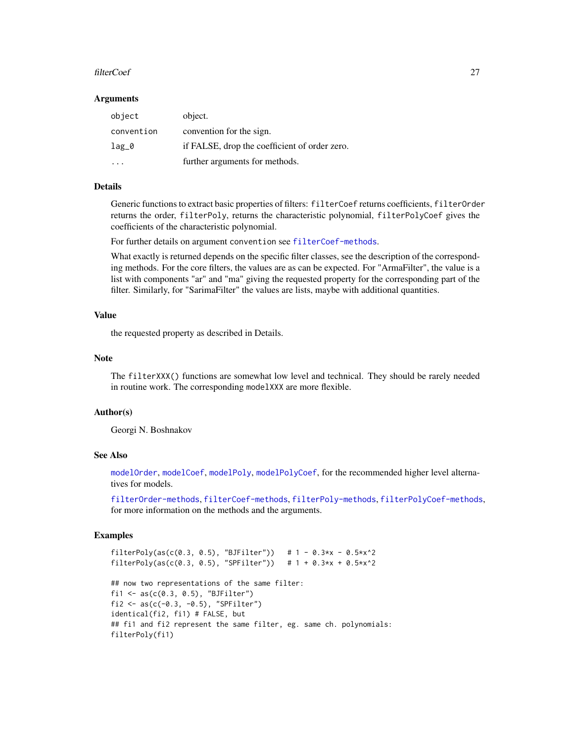#### filterCoef 27

#### Arguments

| object     | object.                                       |
|------------|-----------------------------------------------|
| convention | convention for the sign.                      |
| $lag_0$    | if FALSE, drop the coefficient of order zero. |
|            | further arguments for methods.                |

# Details

Generic functions to extract basic properties of filters: filterCoef returns coefficients, filterOrder returns the order, filterPoly, returns the characteristic polynomial, filterPolyCoef gives the coefficients of the characteristic polynomial.

For further details on argument convention see [filterCoef-methods](#page-27-1).

What exactly is returned depends on the specific filter classes, see the description of the corresponding methods. For the core filters, the values are as can be expected. For "ArmaFilter", the value is a list with components "ar" and "ma" giving the requested property for the corresponding part of the filter. Similarly, for "SarimaFilter" the values are lists, maybe with additional quantities.

# Value

the requested property as described in Details.

#### Note

The filterXXX() functions are somewhat low level and technical. They should be rarely needed in routine work. The corresponding modelXXX are more flexible.

# Author(s)

Georgi N. Boshnakov

#### See Also

[modelOrder](#page-42-1), [modelCoef](#page-38-1), [modelPoly](#page-42-2), [modelPolyCoef](#page-42-2), for the recommended higher level alternatives for models.

[filterOrder-methods](#page-29-1), [filterCoef-methods](#page-27-1), [filterPoly-methods](#page-30-1), [filterPolyCoef-methods](#page-31-1), for more information on the methods and the arguments.

```
filterPoly(as(c(0.3, 0.5), "BJFilter")) # 1 - 0.3*x - 0.5*x^2filterPoly(as(c(0.3, 0.5), "SPFilter")) # 1 + 0.3*x + 0.5*x^2## now two representations of the same filter:
fi1 <- as(c(0.3, 0.5), "BJFilter")
fi2 <- as(c(-0.3, -0.5), "SPFilter")
identical(fi2, fi1) # FALSE, but
## fi1 and fi2 represent the same filter, eg. same ch. polynomials:
filterPoly(fi1)
```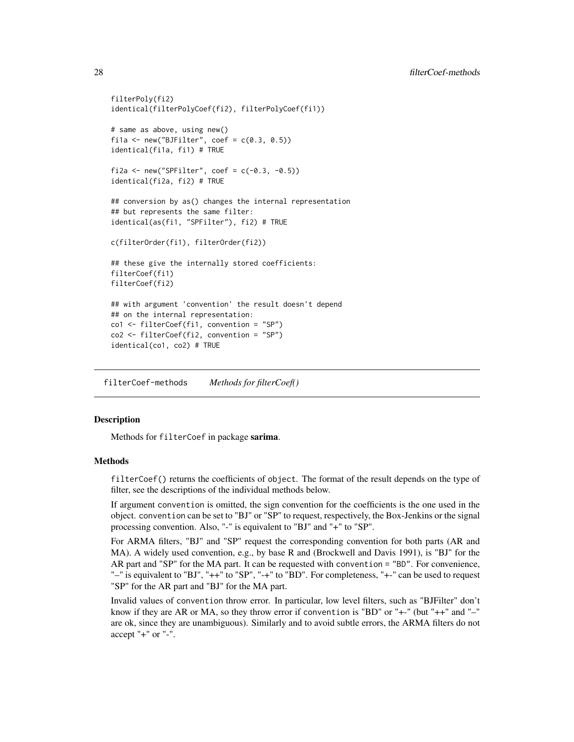```
filterPoly(fi2)
identical(filterPolyCoef(fi2), filterPolyCoef(fi1))
# same as above, using new()
fila \le new("BJFilter", coef = c(0.3, 0.5))
identical(fi1a, fi1) # TRUE
fi2a <- new("SPFilter", coef = c(-0.3, -0.5))
identical(fi2a, fi2) # TRUE
## conversion by as() changes the internal representation
## but represents the same filter:
identical(as(fi1, "SPFilter"), fi2) # TRUE
c(filterOrder(fi1), filterOrder(fi2))
## these give the internally stored coefficients:
filterCoef(fi1)
filterCoef(fi2)
## with argument 'convention' the result doesn't depend
## on the internal representation:
co1 <- filterCoef(fi1, convention = "SP")
co2 <- filterCoef(fi2, convention = "SP")
identical(co1, co2) # TRUE
```
<span id="page-27-1"></span>filterCoef-methods *Methods for filterCoef()*

# **Description**

Methods for filterCoef in package sarima.

# Methods

filterCoef() returns the coefficients of object. The format of the result depends on the type of filter, see the descriptions of the individual methods below.

If argument convention is omitted, the sign convention for the coefficients is the one used in the object. convention can be set to "BJ" or "SP" to request, respectively, the Box-Jenkins or the signal processing convention. Also, "-" is equivalent to "BJ" and "+" to "SP".

For ARMA filters, "BJ" and "SP" request the corresponding convention for both parts (AR and MA). A widely used convention, e.g., by base R and (Brockwell and Davis 1991), is "BJ" for the AR part and "SP" for the MA part. It can be requested with convention = "BD". For convenience, "–" is equivalent to "BJ", "++" to "SP", "-+" to "BD". For completeness, "+-" can be used to request "SP" for the AR part and "BJ" for the MA part.

Invalid values of convention throw error. In particular, low level filters, such as "BJFilter" don't know if they are AR or MA, so they throw error if convention is "BD" or "+-" (but "++" and "–" are ok, since they are unambiguous). Similarly and to avoid subtle errors, the ARMA filters do not accept "+" or "-".

<span id="page-27-0"></span>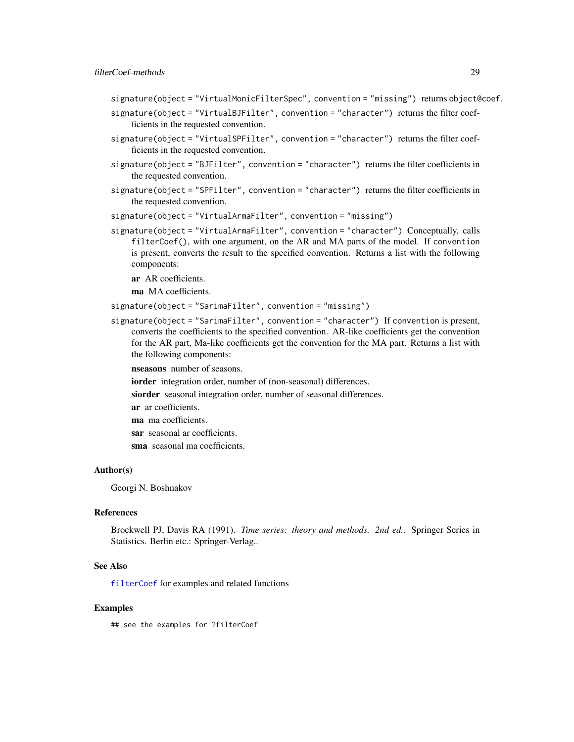- signature(object = "VirtualMonicFilterSpec", convention = "missing") returns object@coef.
- signature(object = "VirtualBJFilter", convention = "character") returns the filter coefficients in the requested convention.
- signature(object = "VirtualSPFilter", convention = "character") returns the filter coefficients in the requested convention.
- signature(object = "BJFilter", convention = "character") returns the filter coefficients in the requested convention.
- signature(object = "SPFilter", convention = "character") returns the filter coefficients in the requested convention.
- signature(object = "VirtualArmaFilter", convention = "missing")
- signature(object = "VirtualArmaFilter", convention = "character") Conceptually, calls filterCoef(), with one argument, on the AR and MA parts of the model. If convention is present, converts the result to the specified convention. Returns a list with the following components:

ar AR coefficients.

ma MA coefficients.

```
signature(object = "SarimaFilter", convention = "missing")
```
signature(object = "SarimaFilter", convention = "character") If convention is present, converts the coefficients to the specified convention. AR-like coefficients get the convention for the AR part, Ma-like coefficients get the convention for the MA part. Returns a list with the following components:

nseasons number of seasons.

- iorder integration order, number of (non-seasonal) differences.
- siorder seasonal integration order, number of seasonal differences.
- ar ar coefficients.
- ma ma coefficients.
- sar seasonal ar coefficients.
- sma seasonal ma coefficients.

#### Author(s)

Georgi N. Boshnakov

#### References

Brockwell PJ, Davis RA (1991). *Time series: theory and methods. 2nd ed.*. Springer Series in Statistics. Berlin etc.: Springer-Verlag..

#### See Also

[filterCoef](#page-25-1) for examples and related functions

#### Examples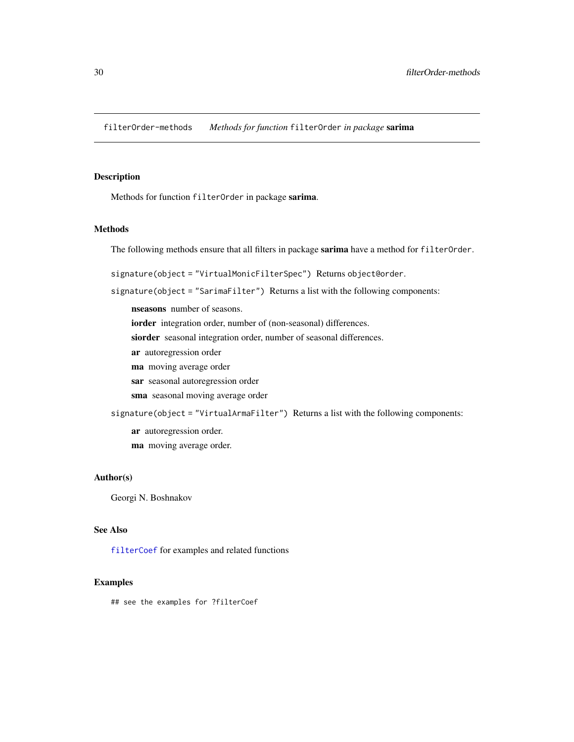<span id="page-29-1"></span><span id="page-29-0"></span>filterOrder-methods *Methods for function* filterOrder *in package* sarima

# Description

Methods for function filterOrder in package sarima.

#### Methods

The following methods ensure that all filters in package sarima have a method for filterOrder.

signature(object = "VirtualMonicFilterSpec") Returns object@order.

signature(object = "SarimaFilter") Returns a list with the following components:

nseasons number of seasons.

iorder integration order, number of (non-seasonal) differences.

siorder seasonal integration order, number of seasonal differences.

- ar autoregression order
- ma moving average order
- sar seasonal autoregression order
- sma seasonal moving average order

signature(object = "VirtualArmaFilter") Returns a list with the following components:

ar autoregression order.

ma moving average order.

# Author(s)

Georgi N. Boshnakov

# See Also

[filterCoef](#page-25-1) for examples and related functions

# Examples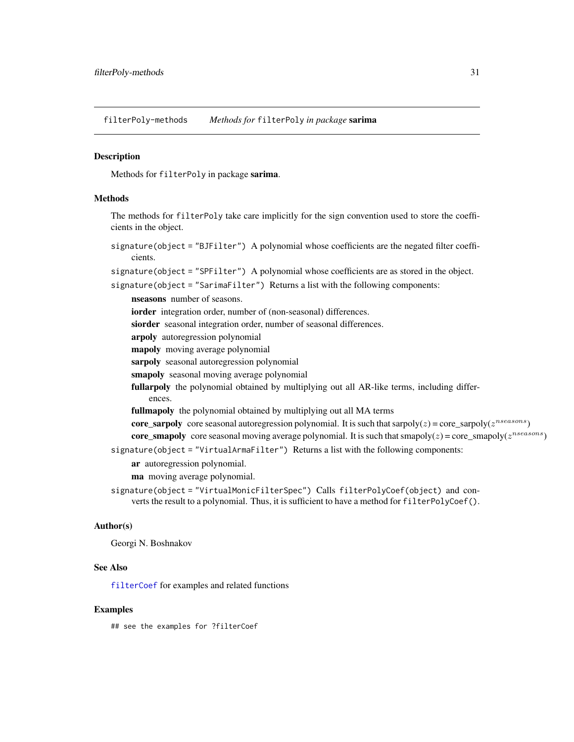<span id="page-30-1"></span><span id="page-30-0"></span>filterPoly-methods *Methods for* filterPoly *in package* sarima

#### **Description**

Methods for filterPoly in package sarima.

#### **Methods**

The methods for filterPoly take care implicitly for the sign convention used to store the coefficients in the object.

signature(object = "BJFilter") A polynomial whose coefficients are the negated filter coefficients.

signature(object = "SPFilter") A polynomial whose coefficients are as stored in the object.

signature(object = "SarimaFilter") Returns a list with the following components:

nseasons number of seasons. iorder integration order, number of (non-seasonal) differences. siorder seasonal integration order, number of seasonal differences. arpoly autoregression polynomial mapoly moving average polynomial sarpoly seasonal autoregression polynomial smapoly seasonal moving average polynomial fullarpoly the polynomial obtained by multiplying out all AR-like terms, including differences. fullmapoly the polynomial obtained by multiplying out all MA terms **core\_sarpoly** core seasonal autoregression polynomial. It is such that sarpoly( $z$ ) = core\_sarpoly( $z^{nseasons}$ ) **core\_smapoly** core seasonal moving average polynomial. It is such that smapoly( $z$ ) = core\_smapoly( $z^{nseasons}$ ) signature(object = "VirtualArmaFilter") Returns a list with the following components: ar autoregression polynomial. ma moving average polynomial.

signature(object = "VirtualMonicFilterSpec") Calls filterPolyCoef(object) and converts the result to a polynomial. Thus, it is sufficient to have a method for filterPolyCoef().

#### Author(s)

Georgi N. Boshnakov

#### See Also

[filterCoef](#page-25-1) for examples and related functions

# Examples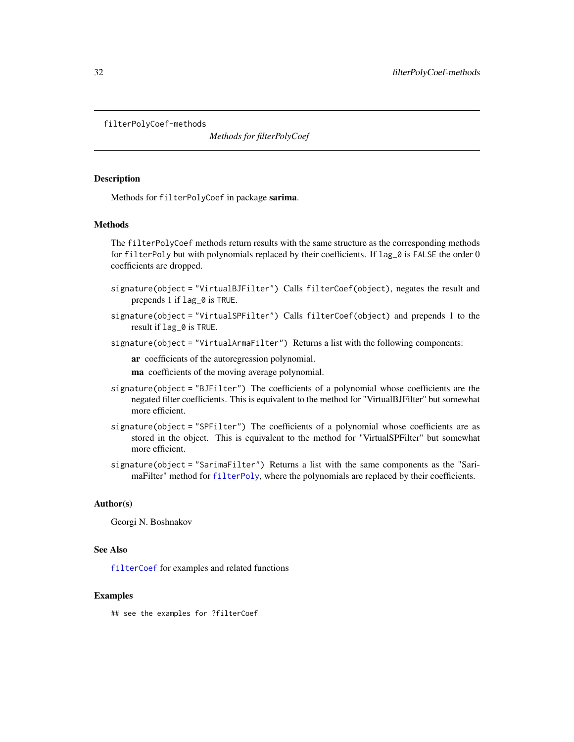<span id="page-31-1"></span><span id="page-31-0"></span>filterPolyCoef-methods

*Methods for filterPolyCoef*

# Description

Methods for filterPolyCoef in package sarima.

#### **Methods**

The filterPolyCoef methods return results with the same structure as the corresponding methods for filterPoly but with polynomials replaced by their coefficients. If lag\_0 is FALSE the order 0 coefficients are dropped.

- signature(object = "VirtualBJFilter") Calls filterCoef(object), negates the result and prepends 1 if lag\_0 is TRUE.
- signature(object = "VirtualSPFilter") Calls filterCoef(object) and prepends 1 to the result if lag\_0 is TRUE.
- signature(object = "VirtualArmaFilter") Returns a list with the following components:

ar coefficients of the autoregression polynomial.

ma coefficients of the moving average polynomial.

- signature(object = "BJFilter") The coefficients of a polynomial whose coefficients are the negated filter coefficients. This is equivalent to the method for "VirtualBJFilter" but somewhat more efficient.
- signature(object = "SPFilter") The coefficients of a polynomial whose coefficients are as stored in the object. This is equivalent to the method for "VirtualSPFilter" but somewhat more efficient.
- signature(object = "SarimaFilter") Returns a list with the same components as the "SarimaFilter" method for [filterPoly](#page-25-2), where the polynomials are replaced by their coefficients.

#### Author(s)

Georgi N. Boshnakov

#### See Also

[filterCoef](#page-25-1) for examples and related functions

#### Examples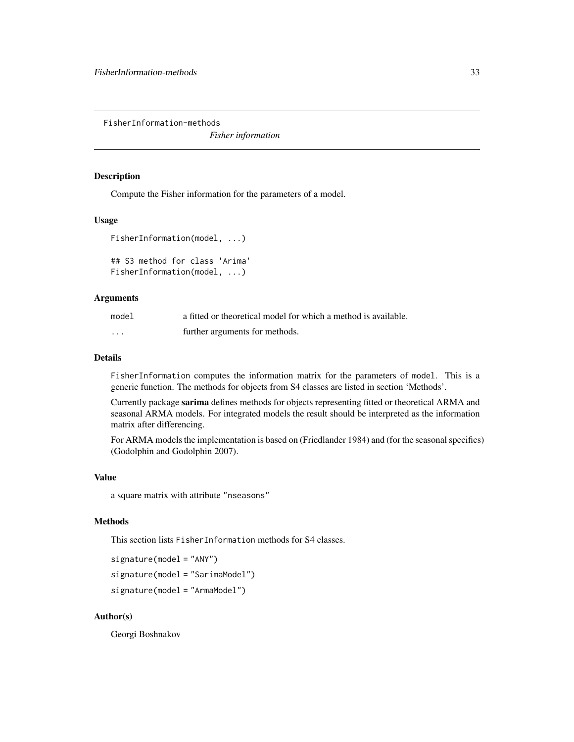<span id="page-32-0"></span>FisherInformation-methods

*Fisher information*

# Description

Compute the Fisher information for the parameters of a model.

#### Usage

```
FisherInformation(model, ...)
```

```
## S3 method for class 'Arima'
FisherInformation(model, ...)
```
# Arguments

| model    | a fitted or theoretical model for which a method is available. |
|----------|----------------------------------------------------------------|
| $\cdots$ | further arguments for methods.                                 |

# Details

FisherInformation computes the information matrix for the parameters of model. This is a generic function. The methods for objects from S4 classes are listed in section 'Methods'.

Currently package sarima defines methods for objects representing fitted or theoretical ARMA and seasonal ARMA models. For integrated models the result should be interpreted as the information matrix after differencing.

For ARMA models the implementation is based on (Friedlander 1984) and (for the seasonal specifics) (Godolphin and Godolphin 2007).

# Value

a square matrix with attribute "nseasons"

# Methods

This section lists FisherInformation methods for S4 classes.

```
signature(model = "ANY")
signature(model = "SarimaModel")
signature(model = "ArmaModel")
```
# Author(s)

Georgi Boshnakov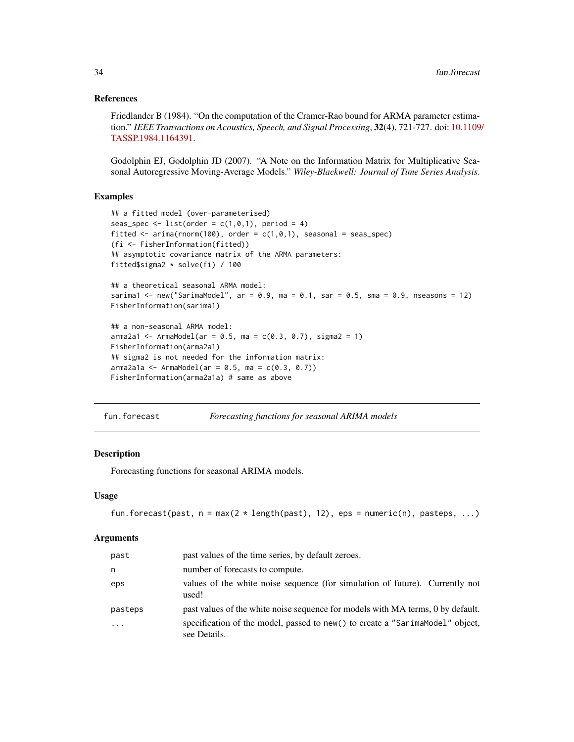### <span id="page-33-0"></span>References

Friedlander B (1984). "On the computation of the Cramer-Rao bound for ARMA parameter estimation." *IEEE Transactions on Acoustics, Speech, and Signal Processing*, 32(4), 721-727. doi: [10.1109](https://doi.org/10.1109/TASSP.1984.1164391)/ [TASSP.1984.1164391.](https://doi.org/10.1109/TASSP.1984.1164391)

Godolphin EJ, Godolphin JD (2007). "A Note on the Information Matrix for Multiplicative Seasonal Autoregressive Moving-Average Models." *Wiley-Blackwell: Journal of Time Series Analysis*.

### Examples

```
## a fitted model (over-parameterised)
seas_spec <- list(order = c(1,0,1), period = 4)
fitted \leq arima(rnorm(100), order = c(1, 0, 1), seasonal = seas_spec)
(fi <- FisherInformation(fitted))
## asymptotic covariance matrix of the ARMA parameters:
fitted$sigma2 * solve(fi) / 100
## a theoretical seasonal ARMA model:
sarima1 <- new("SarimaModel", ar = 0.9, ma = 0.1, sar = 0.5, sma = 0.9, nseasons = 12)
FisherInformation(sarima1)
## a non-seasonal ARMA model:
arma2a1 \leq -ArmaModel(ar = 0.5, ma = c(0.3, 0.7), sigma = 1)FisherInformation(arma2a1)
## sigma2 is not needed for the information matrix:
arma2a1a < - ArmaModel(ar = 0.5, ma = c(0.3, 0.7))FisherInformation(arma2a1a) # same as above
```
fun.forecast *Forecasting functions for seasonal ARIMA models*

# **Description**

Forecasting functions for seasonal ARIMA models.

#### Usage

```
fun.forecast(past, n = max(2 * length(past), 12), eps = numeric(n), pasteps, ...)
```
#### Arguments

| past       | past values of the time series, by default zeroes.                                            |
|------------|-----------------------------------------------------------------------------------------------|
| n          | number of forecasts to compute.                                                               |
| eps        | values of the white noise sequence (for simulation of future). Currently not<br>used!         |
| pasteps    | past values of the white noise sequence for models with MA terms, 0 by default.               |
| $\ddots$ . | specification of the model, passed to new() to create a "SarimaModel" object,<br>see Details. |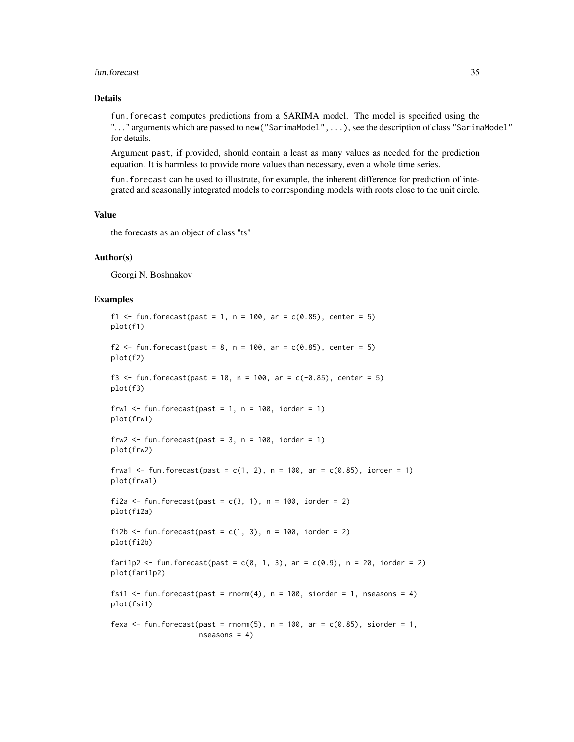#### fun.forecast 35

# Details

fun.forecast computes predictions from a SARIMA model. The model is specified using the ". . . " arguments which are passed to new("SarimaModel",...), see the description of class "SarimaModel" for details.

Argument past, if provided, should contain a least as many values as needed for the prediction equation. It is harmless to provide more values than necessary, even a whole time series.

fun.forecast can be used to illustrate, for example, the inherent difference for prediction of integrated and seasonally integrated models to corresponding models with roots close to the unit circle.

# Value

the forecasts as an object of class "ts"

#### Author(s)

Georgi N. Boshnakov

```
f1 <- fun.forecast(past = 1, n = 100, ar = c(0.85), center = 5)
plot(f1)
f2 <- fun.forecast(past = 8, n = 100, ar = c(0.85), center = 5)
plot(f2)
f3 <- fun.forecast(past = 10, n = 100, ar = c(-0.85), center = 5)
plot(f3)
frw1 \le fun.forecast(past = 1, n = 100, iorder = 1)
plot(frw1)
frw2 \le fun.forecast(past = 3, n = 100, iorder = 1)
plot(frw2)
frwa1 <- fun.forecast(past = c(1, 2), n = 100, ar = c(0.85), iorder = 1)
plot(frwa1)
fi2a \le fun.forecast(past = c(3, 1), n = 100, iorder = 2)
plot(fi2a)
fi2b \le fun.forecast(past = c(1, 3), n = 100, iorder = 2)
plot(fi2b)
fari1p2 <- fun.forecast(past = c(0, 1, 3), ar = c(0.9), n = 20, iorder = 2)
plot(fari1p2)
fsi1 \le fun. forecast(past = rnorm(4), n = 100, siorder = 1, nseasons = 4)
plot(fsi1)
fexa \le fun.forecast(past = rnorm(5), n = 100, ar = c(0.85), siorder = 1,
                     nseasons = 4)
```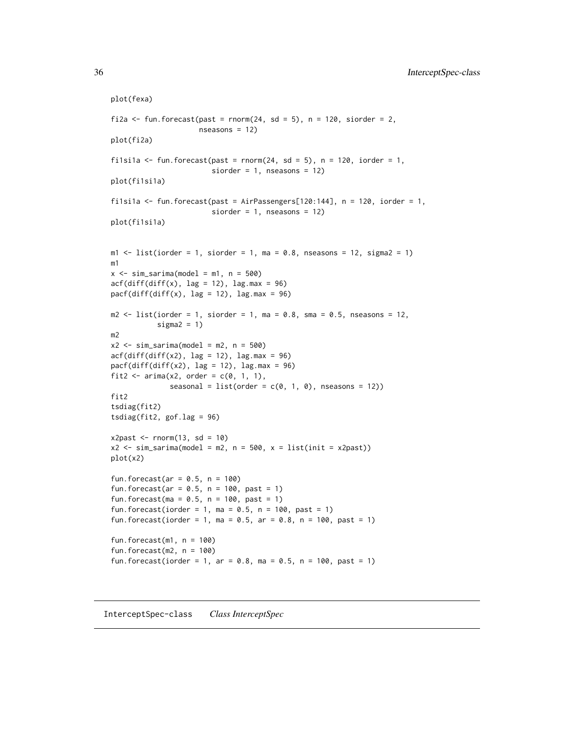```
plot(fexa)
fi2a \le fun.forecast(past = rnorm(24, sd = 5), n = 120, siorder = 2,
                     nseasons = 12)
plot(fi2a)
fi1si1a \le fun. forecast(past = rnorm(24, sd = 5), n = 120, iorder = 1,
                         siorder = 1, nseasons = 12)
plot(fi1si1a)
filsila \le fun.forecast(past = AirPassengers[120:144], n = 120, iorder = 1,
                         siorder = 1, nseasons = 12)
plot(fi1si1a)
m1 <- list(iorder = 1, siorder = 1, ma = 0.8, nseasons = 12, sigma2 = 1)
m1
x \le -\sin_1\arctan(\text{model} = m1, n = 500)acf(diff(diff(x), lag = 12), lag.max = 96)pacf(diff(diff(x), lag = 12), lag.max = 96)
m2 \le - list(iorder = 1, siorder = 1, ma = 0.8, sma = 0.5, nseasons = 12,
           sigma2 = 1)
m2
x2 \le -\sin\sin\sin\left(\text{model} = m2, n = 500\right)acf(diff(diff(x2), lag = 12), lag.max = 96)pacf(diff(diff(x2), lag = 12), lag.max = 96)fit2 \le - arima(x2, order = c(0, 1, 1),
              seasonal = list(order = c(0, 1, 0), nseasons = 12))fit2
tsdiag(fit2)
tsdiag(fit2, gof.lag = 96)
x2past <- rnorm(13, sd = 10)x2 \leq -\sin_1\left(\text{model} = m2, n = 500, x = list(int = x2past))plot(x2)
fun.forecast(ar = 0.5, n = 100)
fun.forecast(ar = 0.5, n = 100, past = 1)
fun.forecast(ma = 0.5, n = 100, past = 1)
fun.forecast(iorder = 1, ma = 0.5, n = 100, past = 1)
fun.forecast(iorder = 1, ma = 0.5, ar = 0.8, n = 100, past = 1)
fun.forecast(m1, n = 100)
fun.forecast(m2, n = 100)fun.forecast(iorder = 1, ar = 0.8, ma = 0.5, n = 100, past = 1)
```
InterceptSpec-class *Class InterceptSpec*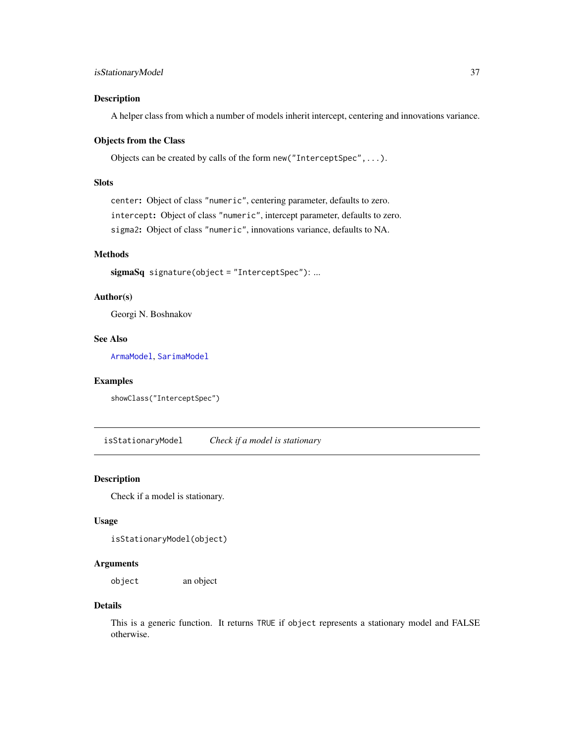# isStationaryModel 37

### Description

A helper class from which a number of models inherit intercept, centering and innovations variance.

#### Objects from the Class

Objects can be created by calls of the form new("InterceptSpec",...).

# Slots

center: Object of class "numeric", centering parameter, defaults to zero. intercept: Object of class "numeric", intercept parameter, defaults to zero. sigma2: Object of class "numeric", innovations variance, defaults to NA.

# Methods

sigmaSq signature(object = "InterceptSpec"): ...

### Author(s)

Georgi N. Boshnakov

# See Also

[ArmaModel](#page-12-0), [SarimaModel](#page-57-0)

## Examples

```
showClass("InterceptSpec")
```
isStationaryModel *Check if a model is stationary*

# Description

Check if a model is stationary.

# Usage

isStationaryModel(object)

### Arguments

object an object

### Details

This is a generic function. It returns TRUE if object represents a stationary model and FALSE otherwise.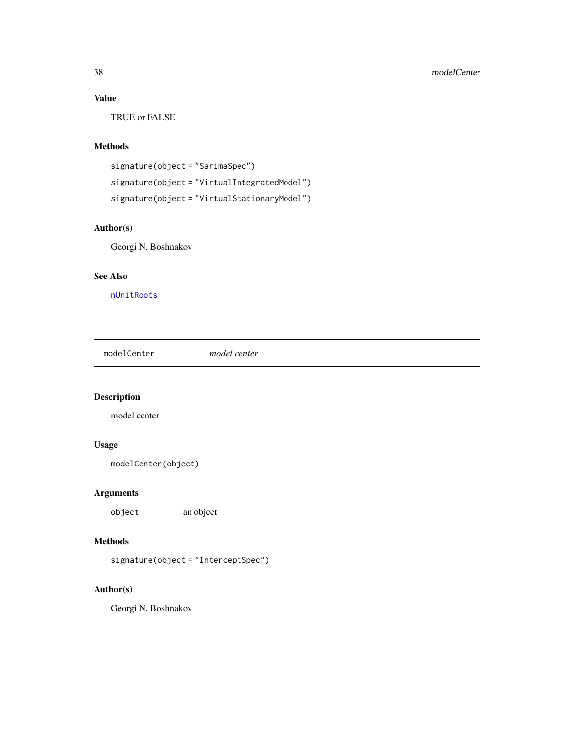# Value

TRUE or FALSE

# Methods

```
signature(object = "SarimaSpec")
signature(object = "VirtualIntegratedModel")
signature(object = "VirtualStationaryModel")
```
# Author(s)

Georgi N. Boshnakov

# See Also

[nUnitRoots](#page-45-0)

modelCenter *model center*

# Description

model center

# Usage

```
modelCenter(object)
```
# Arguments

object an object

# Methods

signature(object = "InterceptSpec")

# Author(s)

Georgi N. Boshnakov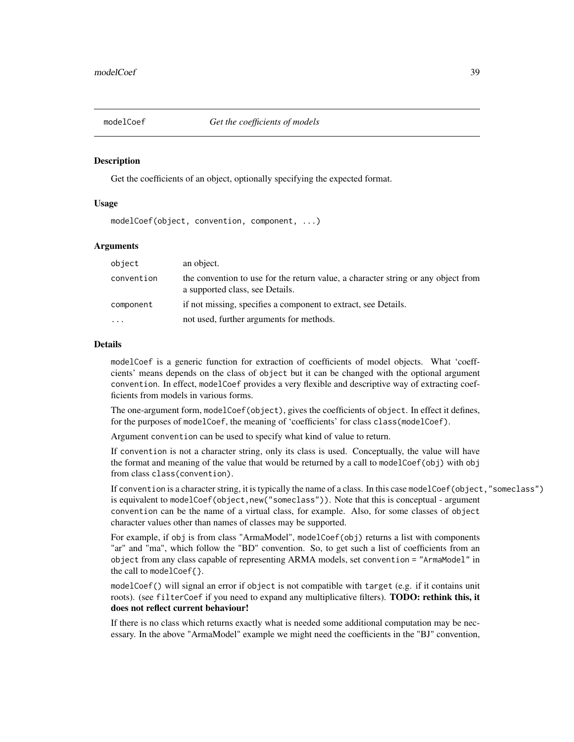<span id="page-38-0"></span>

### Description

Get the coefficients of an object, optionally specifying the expected format.

### Usage

modelCoef(object, convention, component, ...)

### **Arguments**

| object     | an object.                                                                                                           |
|------------|----------------------------------------------------------------------------------------------------------------------|
| convention | the convention to use for the return value, a character string or any object from<br>a supported class, see Details. |
| component  | if not missing, specifies a component to extract, see Details.                                                       |
| $\cdots$   | not used, further arguments for methods.                                                                             |

### Details

modelCoef is a generic function for extraction of coefficients of model objects. What 'coeffcients' means depends on the class of object but it can be changed with the optional argument convention. In effect, modelCoef provides a very flexible and descriptive way of extracting coefficients from models in various forms.

The one-argument form, modelCoef(object), gives the coefficients of object. In effect it defines, for the purposes of modelCoef, the meaning of 'coefficients' for class class(modelCoef).

Argument convention can be used to specify what kind of value to return.

If convention is not a character string, only its class is used. Conceptually, the value will have the format and meaning of the value that would be returned by a call to modelCoef(obj) with obj from class class(convention).

If convention is a character string, it is typically the name of a class. In this case modelCoef(object,"someclass") is equivalent to modelCoef(object,new("someclass")). Note that this is conceptual - argument convention can be the name of a virtual class, for example. Also, for some classes of object character values other than names of classes may be supported.

For example, if obj is from class "ArmaModel", modelCoef(obj) returns a list with components "ar" and "ma", which follow the "BD" convention. So, to get such a list of coefficients from an object from any class capable of representing ARMA models, set convention = "ArmaModel" in the call to modelCoef{}.

modelCoef() will signal an error if object is not compatible with target (e.g. if it contains unit roots). (see filterCoef if you need to expand any multiplicative filters). **TODO: rethink this, it** does not reflect current behaviour!

If there is no class which returns exactly what is needed some additional computation may be necessary. In the above "ArmaModel" example we might need the coefficients in the "BJ" convention,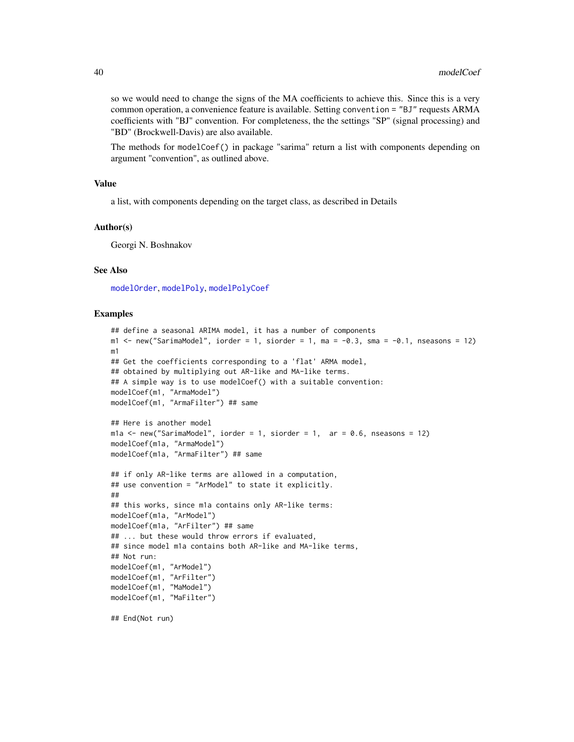so we would need to change the signs of the MA coefficients to achieve this. Since this is a very common operation, a convenience feature is available. Setting convention = "BJ" requests ARMA coefficients with "BJ" convention. For completeness, the the settings "SP" (signal processing) and "BD" (Brockwell-Davis) are also available.

The methods for modelCoef() in package "sarima" return a list with components depending on argument "convention", as outlined above.

### Value

a list, with components depending on the target class, as described in Details

### Author(s)

Georgi N. Boshnakov

### See Also

[modelOrder](#page-42-0), [modelPoly](#page-42-1), [modelPolyCoef](#page-42-1)

#### Examples

```
## define a seasonal ARIMA model, it has a number of components
m1 <- new("SarimaModel", iorder = 1, siorder = 1, ma = -0.3, sma = -0.1, nseasons = 12)
m1
## Get the coefficients corresponding to a 'flat' ARMA model,
## obtained by multiplying out AR-like and MA-like terms.
## A simple way is to use modelCoef() with a suitable convention:
modelCoef(m1, "ArmaModel")
modelCoef(m1, "ArmaFilter") ## same
## Here is another model
m1a \le new("SarimaModel", iorder = 1, siorder = 1, ar = 0.6, nseasons = 12)
modelCoef(m1a, "ArmaModel")
modelCoef(m1a, "ArmaFilter") ## same
## if only AR-like terms are allowed in a computation,
## use convention = "ArModel" to state it explicitly.
##
## this works, since m1a contains only AR-like terms:
modelCoef(m1a, "ArModel")
modelCoef(m1a, "ArFilter") ## same
## ... but these would throw errors if evaluated,
## since model m1a contains both AR-like and MA-like terms,
## Not run:
modelCoef(m1, "ArModel")
modelCoef(m1, "ArFilter")
modelCoef(m1, "MaModel")
modelCoef(m1, "MaFilter")
```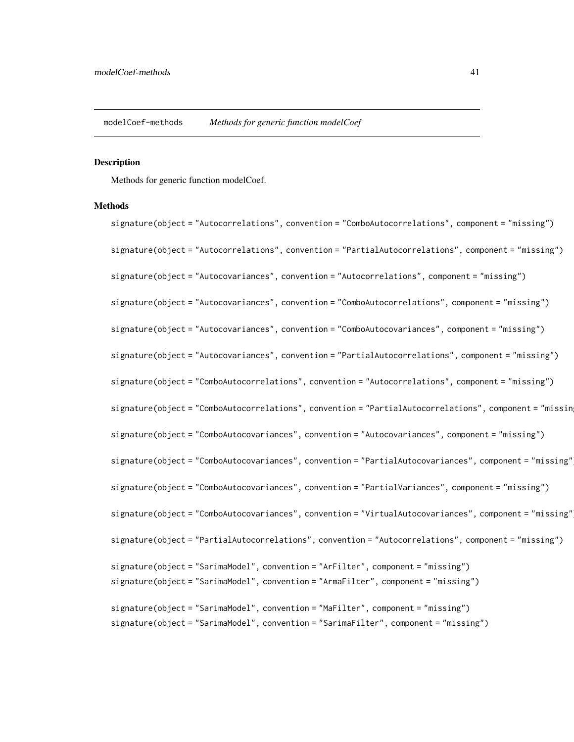modelCoef-methods *Methods for generic function modelCoef*

#### Description

Methods for generic function modelCoef.

# **Methods**

signature(object = "Autocorrelations", convention = "ComboAutocorrelations", component = "missing") signature(object = "Autocorrelations", convention = "PartialAutocorrelations", component = "missing") signature(object = "Autocovariances", convention = "Autocorrelations", component = "missing") signature(object = "Autocovariances", convention = "ComboAutocorrelations", component = "missing") signature(object = "Autocovariances", convention = "ComboAutocovariances", component = "missing") signature(object = "Autocovariances", convention = "PartialAutocorrelations", component = "missing") signature(object = "ComboAutocorrelations", convention = "Autocorrelations", component = "missing") signature(object = "ComboAutocorrelations", convention = "PartialAutocorrelations", component = "missin signature(object = "ComboAutocovariances", convention = "Autocovariances", component = "missing") signature(object = "ComboAutocovariances", convention = "PartialAutocovariances", component = "missing") signature(object = "ComboAutocovariances", convention = "PartialVariances", component = "missing") signature(object = "ComboAutocovariances", convention = "VirtualAutocovariances", component = "missing") signature(object = "PartialAutocorrelations", convention = "Autocorrelations", component = "missing") signature(object = "SarimaModel", convention = "ArFilter", component = "missing") signature(object = "SarimaModel", convention = "ArmaFilter", component = "missing") signature(object = "SarimaModel", convention = "MaFilter", component = "missing") signature(object = "SarimaModel", convention = "SarimaFilter", component = "missing")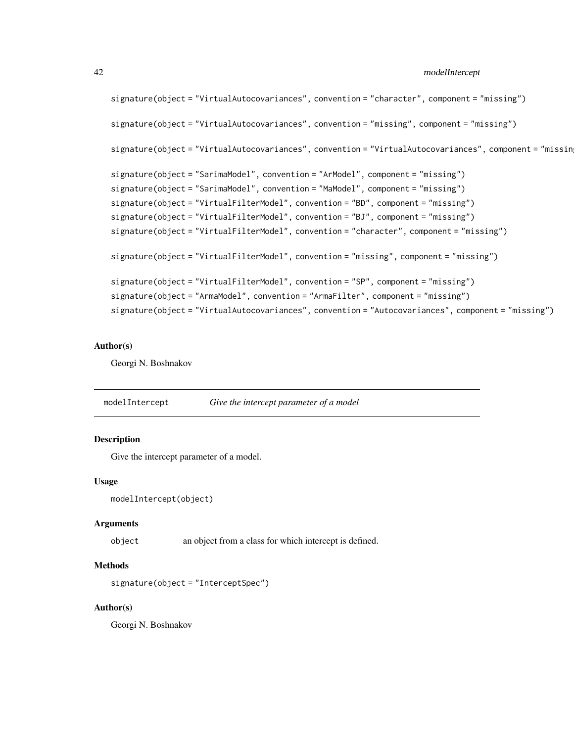```
signature(object = "VirtualAutocovariances", convention = "character", component = "missing")
signature(object = "VirtualAutocovariances", convention = "missing", component = "missing")
signature(object = "VirtualAutocovariances", convention = "VirtualAutocovariances", component = "missin
signature(object = "SarimaModel", convention = "ArModel", component = "missing")
signature(object = "SarimaModel", convention = "MaModel", component = "missing")
signature(object = "VirtualFilterModel", convention = "BD", component = "missing")
signature(object = "VirtualFilterModel", convention = "BJ", component = "missing")
signature(object = "VirtualFilterModel", convention = "character", component = "missing")
signature(object = "VirtualFilterModel", convention = "missing", component = "missing")
signature(object = "VirtualFilterModel", convention = "SP", component = "missing")
signature(object = "ArmaModel", convention = "ArmaFilter", component = "missing")
signature(object = "VirtualAutocovariances", convention = "Autocovariances", component = "missing")
```
### Author(s)

Georgi N. Boshnakov

modelIntercept *Give the intercept parameter of a model*

# Description

Give the intercept parameter of a model.

#### Usage

```
modelIntercept(object)
```
#### Arguments

object an object from a class for which intercept is defined.

#### Methods

```
signature(object = "InterceptSpec")
```
### Author(s)

Georgi N. Boshnakov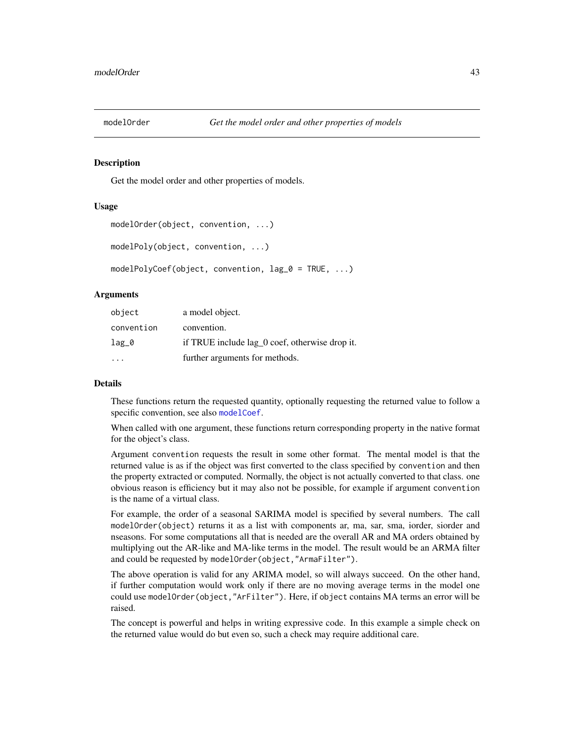<span id="page-42-0"></span>

#### <span id="page-42-1"></span>Description

Get the model order and other properties of models.

# Usage

```
modelOrder(object, convention, ...)
modelPoly(object, convention, ...)
modelPolyCoef(object, convention, lag_0 = TRUE, ...)
```
# Arguments

| object     | a model object.                                |
|------------|------------------------------------------------|
| convention | convention.                                    |
| $lag_0$    | if TRUE include lag_0 coef, otherwise drop it. |
|            | further arguments for methods.                 |

#### Details

These functions return the requested quantity, optionally requesting the returned value to follow a specific convention, see also [modelCoef](#page-38-0).

When called with one argument, these functions return corresponding property in the native format for the object's class.

Argument convention requests the result in some other format. The mental model is that the returned value is as if the object was first converted to the class specified by convention and then the property extracted or computed. Normally, the object is not actually converted to that class. one obvious reason is efficiency but it may also not be possible, for example if argument convention is the name of a virtual class.

For example, the order of a seasonal SARIMA model is specified by several numbers. The call modelOrder(object) returns it as a list with components ar, ma, sar, sma, iorder, siorder and nseasons. For some computations all that is needed are the overall AR and MA orders obtained by multiplying out the AR-like and MA-like terms in the model. The result would be an ARMA filter and could be requested by modelOrder(object,"ArmaFilter").

The above operation is valid for any ARIMA model, so will always succeed. On the other hand, if further computation would work only if there are no moving average terms in the model one could use modelOrder(object,"ArFilter"). Here, if object contains MA terms an error will be raised.

The concept is powerful and helps in writing expressive code. In this example a simple check on the returned value would do but even so, such a check may require additional care.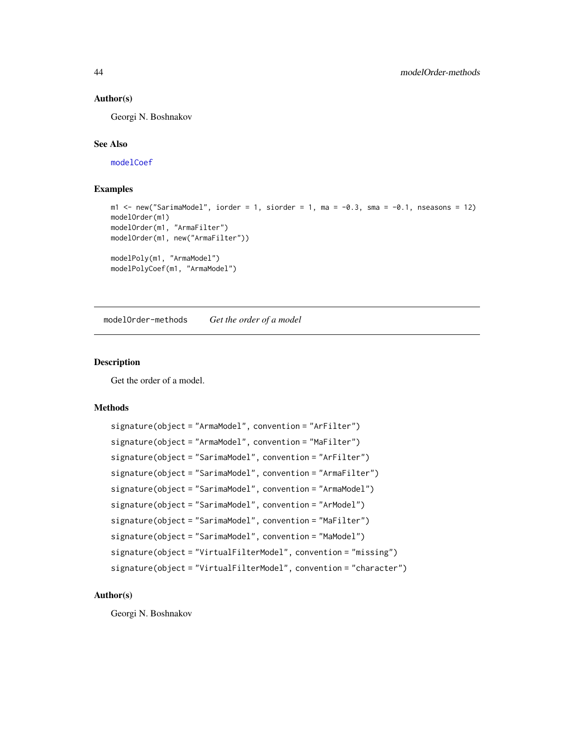### Author(s)

Georgi N. Boshnakov

# See Also

[modelCoef](#page-38-0)

# Examples

```
m1 \le - new("SarimaModel", iorder = 1, siorder = 1, ma = -0.3, sma = -0.1, nseasons = 12)
modelOrder(m1)
modelOrder(m1, "ArmaFilter")
modelOrder(m1, new("ArmaFilter"))
modelPoly(m1, "ArmaModel")
modelPolyCoef(m1, "ArmaModel")
```
modelOrder-methods *Get the order of a model*

# Description

Get the order of a model.

# Methods

```
signature(object = "ArmaModel", convention = "ArFilter")
signature(object = "ArmaModel", convention = "MaFilter")
signature(object = "SarimaModel", convention = "ArFilter")
signature(object = "SarimaModel", convention = "ArmaFilter")
signature(object = "SarimaModel", convention = "ArmaModel")
signature(object = "SarimaModel", convention = "ArModel")
signature(object = "SarimaModel", convention = "MaFilter")
signature(object = "SarimaModel", convention = "MaModel")
signature(object = "VirtualFilterModel", convention = "missing")
signature(object = "VirtualFilterModel", convention = "character")
```
### Author(s)

Georgi N. Boshnakov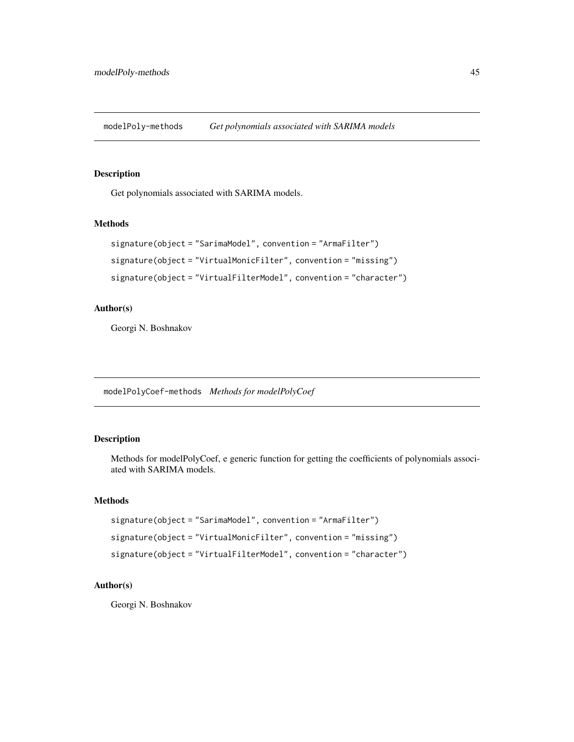modelPoly-methods *Get polynomials associated with SARIMA models*

### Description

Get polynomials associated with SARIMA models.

# Methods

```
signature(object = "SarimaModel", convention = "ArmaFilter")
signature(object = "VirtualMonicFilter", convention = "missing")
signature(object = "VirtualFilterModel", convention = "character")
```
# Author(s)

Georgi N. Boshnakov

modelPolyCoef-methods *Methods for modelPolyCoef*

# Description

Methods for modelPolyCoef, e generic function for getting the coefficients of polynomials associated with SARIMA models.

# Methods

```
signature(object = "SarimaModel", convention = "ArmaFilter")
signature(object = "VirtualMonicFilter", convention = "missing")
signature(object = "VirtualFilterModel", convention = "character")
```
# Author(s)

Georgi N. Boshnakov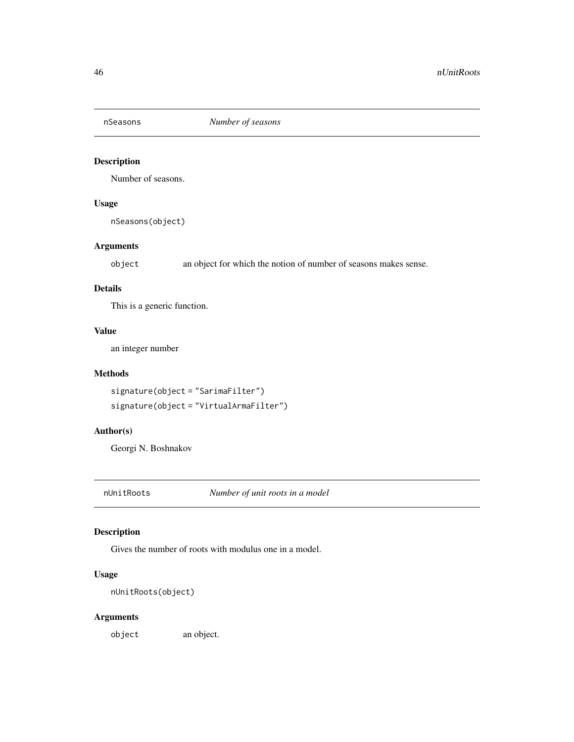# Description

Number of seasons.

# Usage

nSeasons(object)

# Arguments

object an object for which the notion of number of seasons makes sense.

# Details

This is a generic function.

# Value

an integer number

# Methods

```
signature(object = "SarimaFilter")
signature(object = "VirtualArmaFilter")
```
# Author(s)

Georgi N. Boshnakov

<span id="page-45-0"></span>nUnitRoots *Number of unit roots in a model*

# Description

Gives the number of roots with modulus one in a model.

# Usage

nUnitRoots(object)

# Arguments

object an object.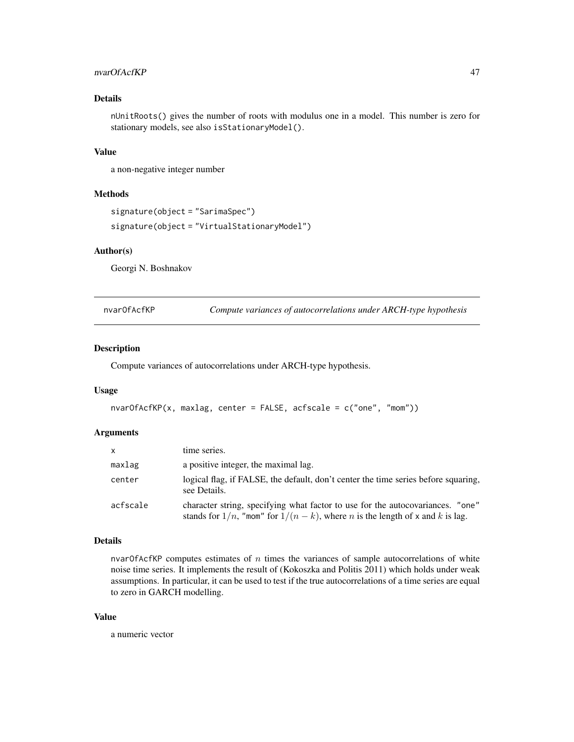# nvarOfAcfKP 47

# Details

nUnitRoots() gives the number of roots with modulus one in a model. This number is zero for stationary models, see also isStationaryModel().

# Value

a non-negative integer number

# Methods

```
signature(object = "SarimaSpec")
signature(object = "VirtualStationaryModel")
```
#### Author(s)

Georgi N. Boshnakov

nvarOfAcfKP *Compute variances of autocorrelations under ARCH-type hypothesis*

### Description

Compute variances of autocorrelations under ARCH-type hypothesis.

# Usage

```
nvarOfAcfKP(x, maxlag, center = FALSE, acfscale = c("one", "mom"))
```
# Arguments

| $\mathsf{x}$ | time series.                                                                                                                                                               |
|--------------|----------------------------------------------------------------------------------------------------------------------------------------------------------------------------|
| maxlag       | a positive integer, the maximal lag.                                                                                                                                       |
| center       | logical flag, if FALSE, the default, don't center the time series before squaring,<br>see Details.                                                                         |
| acfscale     | character string, specifying what factor to use for the autocovariances. "one"<br>stands for $1/n$ , "mom" for $1/(n-k)$ , where <i>n</i> is the length of x and k is lag. |

# Details

nvar $Of$ AcfKP computes estimates of n times the variances of sample autocorrelations of white noise time series. It implements the result of (Kokoszka and Politis 2011) which holds under weak assumptions. In particular, it can be used to test if the true autocorrelations of a time series are equal to zero in GARCH modelling.

# Value

a numeric vector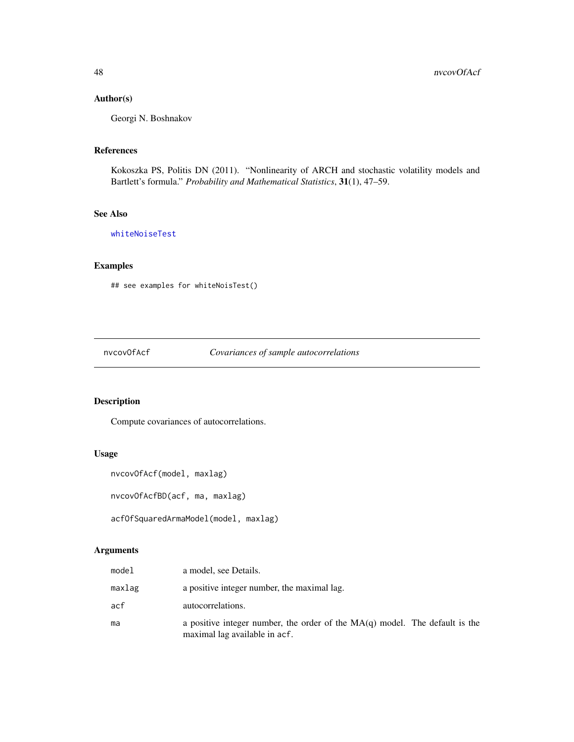# Author(s)

Georgi N. Boshnakov

### References

Kokoszka PS, Politis DN (2011). "Nonlinearity of ARCH and stochastic volatility models and Bartlett's formula." *Probability and Mathematical Statistics*, 31(1), 47–59.

# See Also

[whiteNoiseTest](#page-73-0)

# Examples

## see examples for whiteNoisTest()

nvcovOfAcf *Covariances of sample autocorrelations*

# Description

Compute covariances of autocorrelations.

# Usage

```
nvcovOfAcf(model, maxlag)
```
nvcovOfAcfBD(acf, ma, maxlag)

```
acfOfSquaredArmaModel(model, maxlag)
```
### Arguments

| model  | a model, see Details.                                                                                          |
|--------|----------------------------------------------------------------------------------------------------------------|
| maxlag | a positive integer number, the maximal lag.                                                                    |
| acf    | autocorrelations.                                                                                              |
| ma     | a positive integer number, the order of the $MA(q)$ model. The default is the<br>maximal lag available in acf. |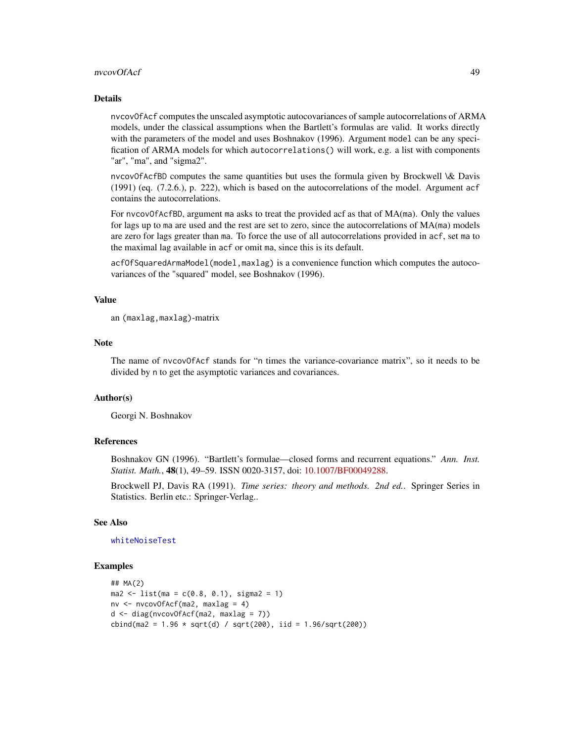#### nvcovOfAcf 49

#### Details

nvcovOfAcf computes the unscaled asymptotic autocovariances of sample autocorrelations of ARMA models, under the classical assumptions when the Bartlett's formulas are valid. It works directly with the parameters of the model and uses Boshnakov (1996). Argument model can be any specification of ARMA models for which autocorrelations() will work, e.g. a list with components "ar", "ma", and "sigma2".

nvcovOfAcfBD computes the same quantities but uses the formula given by Brockwell \& Davis (1991) (eq. (7.2.6.), p. 222), which is based on the autocorrelations of the model. Argument acf contains the autocorrelations.

For nvcovOfAcfBD, argument ma asks to treat the provided acf as that of MA(ma). Only the values for lags up to ma are used and the rest are set to zero, since the autocorrelations of MA(ma) models are zero for lags greater than ma. To force the use of all autocorrelations provided in acf, set ma to the maximal lag available in acf or omit ma, since this is its default.

acfOfSquaredArmaModel(model,maxlag) is a convenience function which computes the autocovariances of the "squared" model, see Boshnakov (1996).

# Value

an (maxlag,maxlag)-matrix

### **Note**

The name of nvcovOfAcf stands for "n times the variance-covariance matrix", so it needs to be divided by n to get the asymptotic variances and covariances.

# Author(s)

Georgi N. Boshnakov

# References

Boshnakov GN (1996). "Bartlett's formulae—closed forms and recurrent equations." *Ann. Inst. Statist. Math.*, 48(1), 49–59. ISSN 0020-3157, doi: [10.1007/BF00049288.](https://doi.org/10.1007/BF00049288)

Brockwell PJ, Davis RA (1991). *Time series: theory and methods. 2nd ed.*. Springer Series in Statistics. Berlin etc.: Springer-Verlag..

# See Also

# [whiteNoiseTest](#page-73-0)

#### Examples

```
## MA(2)
ma2 \le - list(ma = c(0.8, 0.1), sigma2 = 1)
nv <- nvcovOfAcf(ma2, maxlag = 4)
d <- diag(nvcovOfAcf(ma2, maxlag = 7))
cbind(max = 1.96 * sqrt(d) / sqrt(200), iid = 1.96/sqrt(200))
```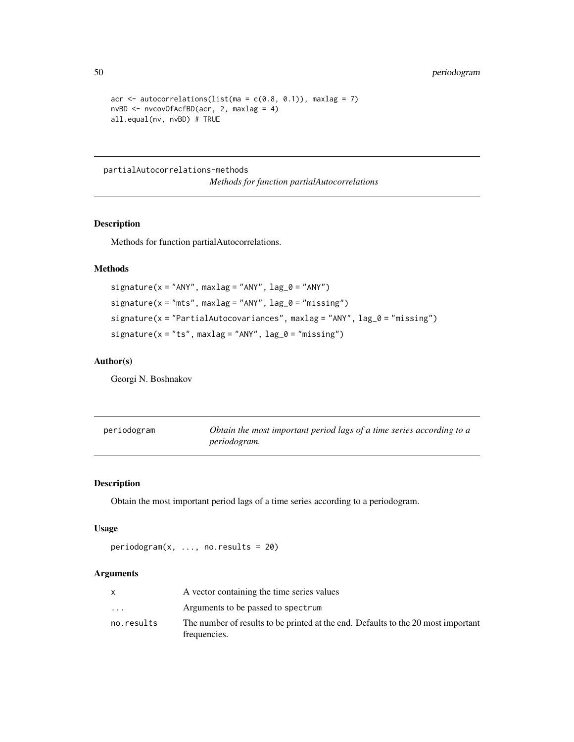```
acr \le autocorrelations(list(ma = c(0.8, 0.1)), maxlag = 7)
nvBD <- nvcovOfAcfBD(acr, 2, maxlag = 4)
all.equal(nv, nvBD) # TRUE
```
partialAutocorrelations-methods

*Methods for function partialAutocorrelations*

# Description

Methods for function partialAutocorrelations.

# Methods

```
signature(x = "ANY", maxlag = "ANY", lag_0 = "ANY")signature(x = "mts", maxlag = "ANY", lag_0 = "missing")signature(x = "PartialAutocovariances", maxlag = "ANY", lag_0 = "missing")
signature(x = "ts", maxlag = "ANY", lag_0 = "missing")
```
# Author(s)

Georgi N. Boshnakov

| periodogram | Obtain the most important period lags of a time series according to a |
|-------------|-----------------------------------------------------------------------|
|             | <i>periodogram.</i>                                                   |

# Description

Obtain the most important period lags of a time series according to a periodogram.

# Usage

```
periodogram(x, ..., no. results = 20)
```
# Arguments

|                         | A vector containing the time series values                                                        |
|-------------------------|---------------------------------------------------------------------------------------------------|
| $\cdot$ $\cdot$ $\cdot$ | Arguments to be passed to spectrum                                                                |
| no.results              | The number of results to be printed at the end. Defaults to the 20 most important<br>frequencies. |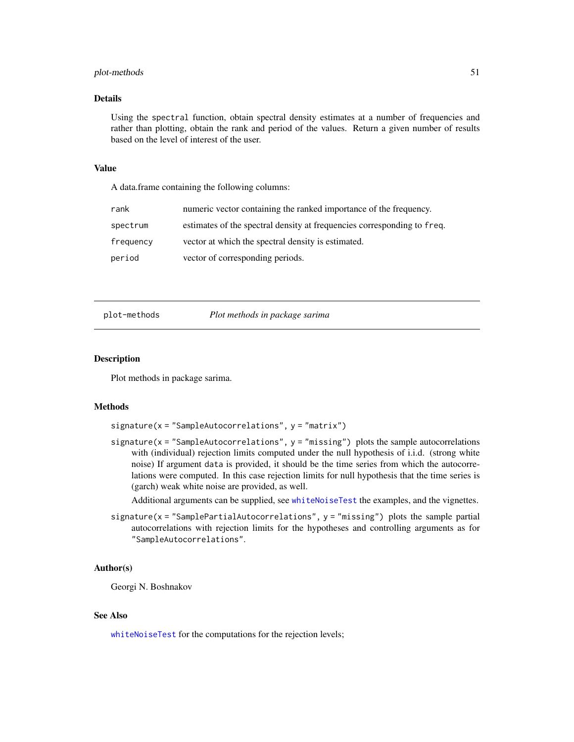# plot-methods 51

## Details

Using the spectral function, obtain spectral density estimates at a number of frequencies and rather than plotting, obtain the rank and period of the values. Return a given number of results based on the level of interest of the user.

#### Value

A data.frame containing the following columns:

| rank      | numeric vector containing the ranked importance of the frequency.       |
|-----------|-------------------------------------------------------------------------|
| spectrum  | estimates of the spectral density at frequencies corresponding to freq. |
| frequency | vector at which the spectral density is estimated.                      |
| period    | vector of corresponding periods.                                        |

plot-methods *Plot methods in package sarima*

#### Description

Plot methods in package sarima.

# Methods

 $signature(x = "SampleAutocorrelations", y = "matrix")$ 

signature( $x =$  "SampleAutocorrelations",  $y =$  "missing") plots the sample autocorrelations with (individual) rejection limits computed under the null hypothesis of i.i.d. (strong white noise) If argument data is provided, it should be the time series from which the autocorrelations were computed. In this case rejection limits for null hypothesis that the time series is (garch) weak white noise are provided, as well.

Additional arguments can be supplied, see [whiteNoiseTest](#page-73-0) the examples, and the vignettes.

 $signature(x = "SamplePartialAutocorrelations", y = "missing")$  plots the sample partial autocorrelations with rejection limits for the hypotheses and controlling arguments as for "SampleAutocorrelations".

#### Author(s)

Georgi N. Boshnakov

### See Also

[whiteNoiseTest](#page-73-0) for the computations for the rejection levels;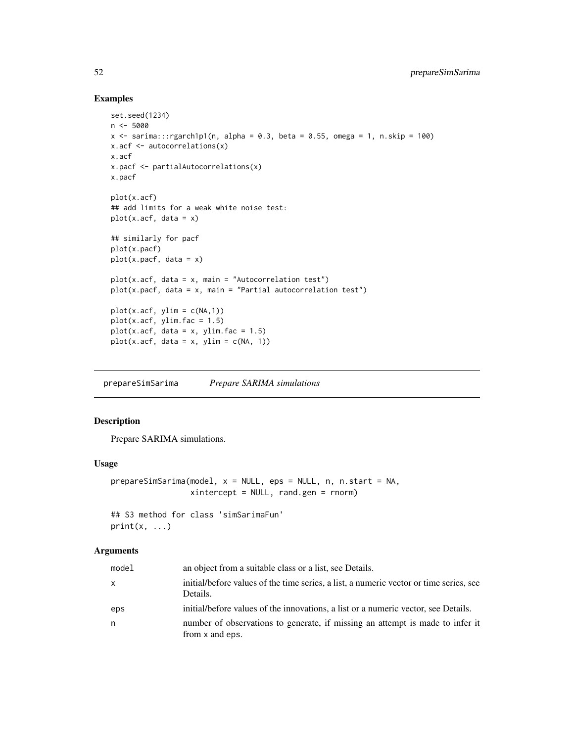# Examples

```
set.seed(1234)
n <- 5000
x \le sarima:::rgarch1p1(n, alpha = 0.3, beta = 0.55, omega = 1, n.skip = 100)
x.acf <- autocorrelations(x)
x.acf
x.pacf <- partialAutocorrelations(x)
x.pacf
plot(x.acf)
## add limits for a weak white noise test:
plot(x.acf, data = x)## similarly for pacf
plot(x.pacf)
plot(x.pack, data = x)plot(x.act, data = x, main = "Autocorrelation test")plot(x.pack, data = x, main = "Partial autocorrelation test")plot(x.acf, ylim = c(NA,1))
plot(x.acf, ylim, fac = 1.5)plot(x.act, data = x, ylim, fac = 1.5)plot(x.act, data = x, ylim = c(NA, 1))
```
<span id="page-51-0"></span>prepareSimSarima *Prepare SARIMA simulations*

#### Description

Prepare SARIMA simulations.

# Usage

```
prepareSimSarima(model, x = NULL, eps = NULL, n, n.start = NA,
                xintercept = NULL, rand.gen = rnorm)
```

```
## S3 method for class 'simSarimaFun'
print(x, \ldots)
```
# Arguments

| model        | an object from a suitable class or a list, see Details.                                            |
|--------------|----------------------------------------------------------------------------------------------------|
| $\mathsf{X}$ | initial/before values of the time series, a list, a numeric vector or time series, see<br>Details. |
| eps          | initial/before values of the innovations, a list or a numeric vector, see Details.                 |
| n            | number of observations to generate, if missing an attempt is made to infer it<br>from x and eps.   |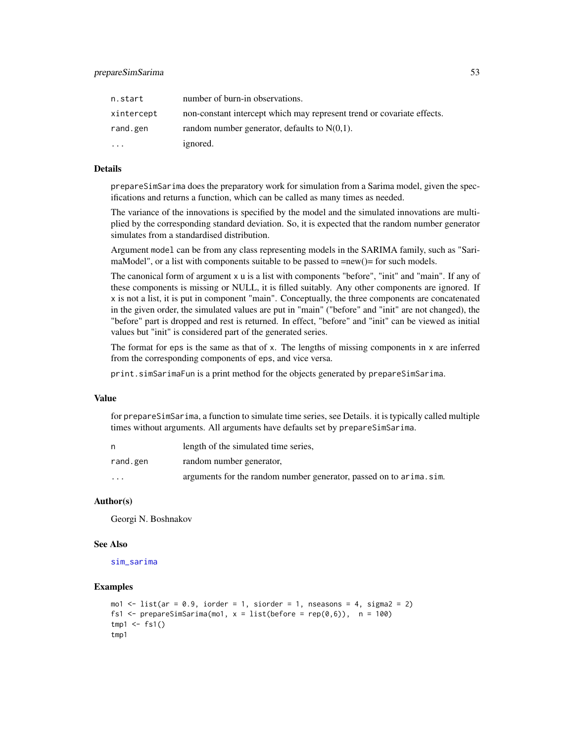| n.start    | number of burn-in observations.                                        |
|------------|------------------------------------------------------------------------|
| xintercept | non-constant intercept which may represent trend or covariate effects. |
| rand.gen   | random number generator, defaults to $N(0,1)$ .                        |
| $\ddotsc$  | ignored.                                                               |

#### Details

prepareSimSarima does the preparatory work for simulation from a Sarima model, given the specifications and returns a function, which can be called as many times as needed.

The variance of the innovations is specified by the model and the simulated innovations are multiplied by the corresponding standard deviation. So, it is expected that the random number generator simulates from a standardised distribution.

Argument model can be from any class representing models in the SARIMA family, such as "SarimaModel", or a list with components suitable to be passed to =new()= for such models.

The canonical form of argument x u is a list with components "before", "init" and "main". If any of these components is missing or NULL, it is filled suitably. Any other components are ignored. If x is not a list, it is put in component "main". Conceptually, the three components are concatenated in the given order, the simulated values are put in "main" ("before" and "init" are not changed), the "before" part is dropped and rest is returned. In effect, "before" and "init" can be viewed as initial values but "init" is considered part of the generated series.

The format for eps is the same as that of  $x$ . The lengths of missing components in  $x$  are inferred from the corresponding components of eps, and vice versa.

print.simSarimaFun is a print method for the objects generated by prepareSimSarima.

#### Value

for prepareSimSarima, a function to simulate time series, see Details. it is typically called multiple times without arguments. All arguments have defaults set by prepareSimSarima.

|                         | length of the simulated time series,                               |
|-------------------------|--------------------------------------------------------------------|
| rand.gen                | random number generator,                                           |
| $\cdot$ $\cdot$ $\cdot$ | arguments for the random number generator, passed on to arima.sim. |

### Author(s)

Georgi N. Boshnakov

#### See Also

[sim\\_sarima](#page-62-0)

#### Examples

```
mo1 \leftarrow list(ar = 0.9, iorder = 1, siorder = 1, nseasons = 4, sigma2 = 2)
fs1 <- prepareSimSarima(mo1, x = list(before = rep(0,6)), n = 100)
tmp1 < -fs1()tmp1
```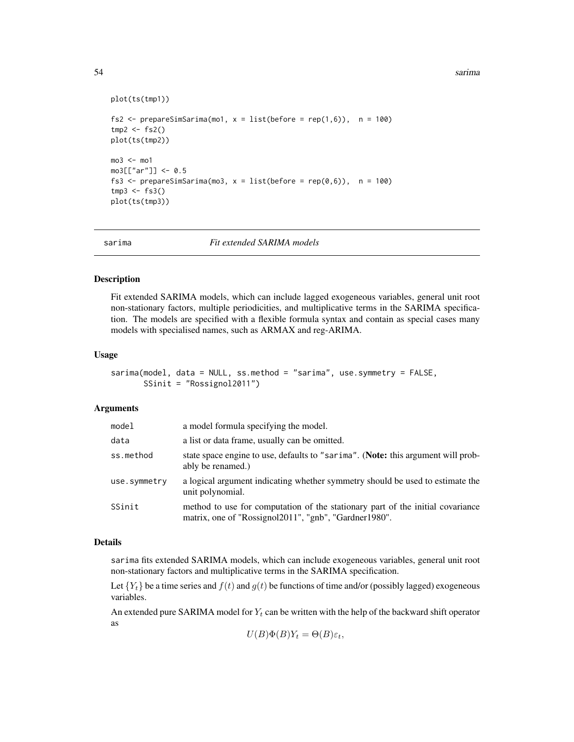54 sarima

```
plot(ts(tmp1))
fs2 <- prepareSimSarima(mo1, x = list(before = rep(1,6)), n = 100)
tmp2 < - fs2()plot(ts(tmp2))
mod < - mo1
mo3[["ar"]] <- 0.5
fs3 <- prepareSimSarima(mo3, x = list(before = rep(0,6)), n = 100)
tmp3 < - f s3()plot(ts(tmp3))
```
sarima *Fit extended SARIMA models*

#### Description

Fit extended SARIMA models, which can include lagged exogeneous variables, general unit root non-stationary factors, multiple periodicities, and multiplicative terms in the SARIMA specification. The models are specified with a flexible formula syntax and contain as special cases many models with specialised names, such as ARMAX and reg-ARIMA.

### Usage

```
sarima(model, data = NULL, ss.method = "sarima", use.symmetry = FALSE,
       SSinit = "Rossignol2011")
```
#### Arguments

| model        | a model formula specifying the model.                                                                                                   |
|--------------|-----------------------------------------------------------------------------------------------------------------------------------------|
| data         | a list or data frame, usually can be omitted.                                                                                           |
| ss.method    | state space engine to use, defaults to "sarima". (Note: this argument will prob-<br>ably be renamed.)                                   |
| use.symmetry | a logical argument indicating whether symmetry should be used to estimate the<br>unit polynomial.                                       |
| SSinit       | method to use for computation of the stationary part of the initial covariance<br>matrix, one of "Rossignol2011", "gnb", "Gardner1980". |

# Details

sarima fits extended SARIMA models, which can include exogeneous variables, general unit root non-stationary factors and multiplicative terms in the SARIMA specification.

Let  ${Y_t}$  be a time series and  $f(t)$  and  $g(t)$  be functions of time and/or (possibly lagged) exogeneous variables.

An extended pure SARIMA model for  $Y_t$  can be written with the help of the backward shift operator as

$$
U(B)\Phi(B)Y_t = \Theta(B)\varepsilon_t,
$$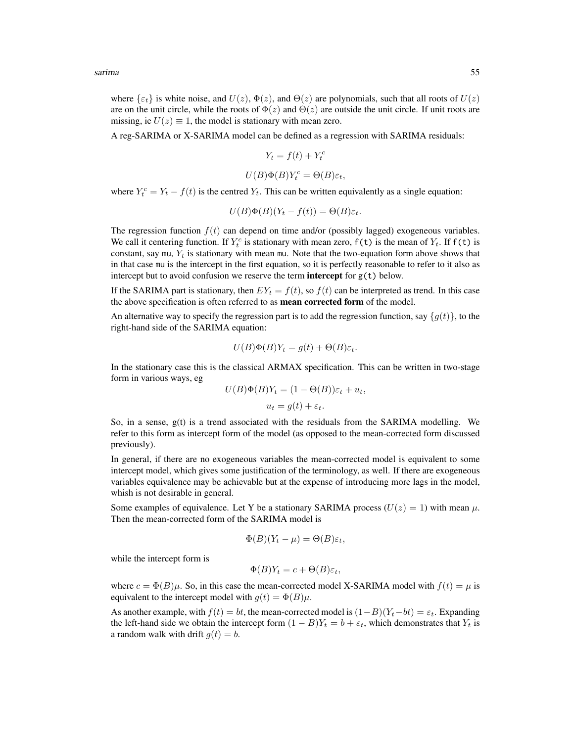sarima 55

where  $\{\varepsilon_t\}$  is white noise, and  $U(z)$ ,  $\Phi(z)$ , and  $\Theta(z)$  are polynomials, such that all roots of  $U(z)$ are on the unit circle, while the roots of  $\Phi(z)$  and  $\Theta(z)$  are outside the unit circle. If unit roots are missing, ie  $U(z) \equiv 1$ , the model is stationary with mean zero.

A reg-SARIMA or X-SARIMA model can be defined as a regression with SARIMA residuals:

$$
Y_t = f(t) + Y_t^c
$$

$$
U(B)\Phi(B)Y_t^c = \Theta(B)\varepsilon_t,
$$

where  $Y_t^c = Y_t - f(t)$  is the centred  $Y_t$ . This can be written equivalently as a single equation:

$$
U(B)\Phi(B)(Y_t - f(t)) = \Theta(B)\varepsilon_t.
$$

The regression function  $f(t)$  can depend on time and/or (possibly lagged) exogeneous variables. We call it centering function. If  $Y_t^c$  is stationary with mean zero,  $f(t)$  is the mean of  $Y_t$ . If  $f(t)$  is constant, say mu,  $Y_t$  is stationary with mean mu. Note that the two-equation form above shows that in that case mu is the intercept in the first equation, so it is perfectly reasonable to refer to it also as intercept but to avoid confusion we reserve the term **intercept** for  $g(t)$  below.

If the SARIMA part is stationary, then  $EY_t = f(t)$ , so  $f(t)$  can be interpreted as trend. In this case the above specification is often referred to as **mean corrected form** of the model.

An alternative way to specify the regression part is to add the regression function, say  $\{g(t)\}\,$ , to the right-hand side of the SARIMA equation:

$$
U(B)\Phi(B)Y_t = g(t) + \Theta(B)\varepsilon_t.
$$

In the stationary case this is the classical ARMAX specification. This can be written in two-stage form in various ways, eg

$$
U(B)\Phi(B)Y_t = (1 - \Theta(B))\varepsilon_t + u_t,
$$
  

$$
u_t = g(t) + \varepsilon_t.
$$

So, in a sense, g(t) is a trend associated with the residuals from the SARIMA modelling. We refer to this form as intercept form of the model (as opposed to the mean-corrected form discussed previously).

In general, if there are no exogeneous variables the mean-corrected model is equivalent to some intercept model, which gives some justification of the terminology, as well. If there are exogeneous variables equivalence may be achievable but at the expense of introducing more lags in the model, whish is not desirable in general.

Some examples of equivalence. Let Y be a stationary SARIMA process  $(U(z) = 1)$  with mean  $\mu$ . Then the mean-corrected form of the SARIMA model is

$$
\Phi(B)(Y_t - \mu) = \Theta(B)\varepsilon_t,
$$

while the intercept form is

$$
\Phi(B)Y_t = c + \Theta(B)\varepsilon_t,
$$

where  $c = \Phi(B)\mu$ . So, in this case the mean-corrected model X-SARIMA model with  $f(t) = \mu$  is equivalent to the intercept model with  $g(t) = \Phi(B)\mu$ .

As another example, with  $f(t) = bt$ , the mean-corrected model is  $(1-B)(Y_t-bt) = \varepsilon_t$ . Expanding the left-hand side we obtain the intercept form  $(1 - B)Y_t = b + \varepsilon_t$ , which demonstrates that  $Y_t$  is a random walk with drift  $g(t) = b$ .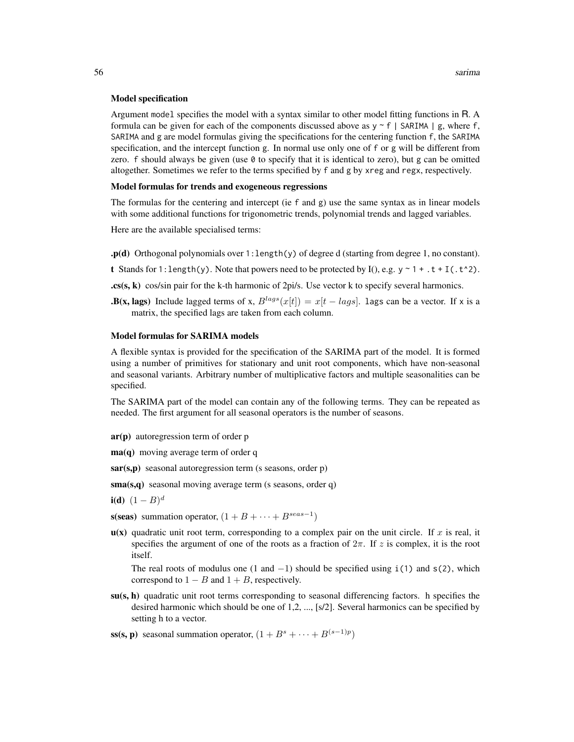#### Model specification

Argument model specifies the model with a syntax similar to other model fitting functions in R. A formula can be given for each of the components discussed above as  $y \sim f$  | SARIMA | g, where f, SARIMA and g are model formulas giving the specifications for the centering function f, the SARIMA specification, and the intercept function g. In normal use only one of f or g will be different from zero.  $f$  should always be given (use  $\theta$  to specify that it is identical to zero), but g can be omitted altogether. Sometimes we refer to the terms specified by f and g by xreg and regx, respectively.

### Model formulas for trends and exogeneous regressions

The formulas for the centering and intercept (ie f and g) use the same syntax as in linear models with some additional functions for trigonometric trends, polynomial trends and lagged variables.

Here are the available specialised terms:

- $\cdot p(d)$  Orthogonal polynomials over 1: length(y) of degree d (starting from degree 1, no constant).
- **t** Stands for 1: length(y). Note that powers need to be protected by I(), e.g.  $y \sim 1 + .t + I(.t^2)$ .
- $\textbf{c}$ s(s, k) cos/sin pair for the k-th harmonic of 2pi/s. Use vector k to specify several harmonics.
- **.B(x, lags)** Include lagged terms of x,  $B^{lags}(x[t]) = x[t lags]$ . lags can be a vector. If x is a matrix, the specified lags are taken from each column.

#### Model formulas for SARIMA models

A flexible syntax is provided for the specification of the SARIMA part of the model. It is formed using a number of primitives for stationary and unit root components, which have non-seasonal and seasonal variants. Arbitrary number of multiplicative factors and multiple seasonalities can be specified.

The SARIMA part of the model can contain any of the following terms. They can be repeated as needed. The first argument for all seasonal operators is the number of seasons.

- ar(p) autoregression term of order p
- **ma(q)** moving average term of order q
- $sar(s,p)$  seasonal autoregression term (s seasons, order p)

sma(s,q) seasonal moving average term (s seasons, order q)

- **i(d)**  $(1 B)^d$
- s(seas) summation operator,  $(1 + B + \cdots + B^{seas-1})$
- $u(x)$  quadratic unit root term, corresponding to a complex pair on the unit circle. If x is real, it specifies the argument of one of the roots as a fraction of  $2\pi$ . If z is complex, it is the root itself.

The real roots of modulus one (1 and  $-1$ ) should be specified using i(1) and s(2), which correspond to  $1 - B$  and  $1 + B$ , respectively.

 $su(s, h)$  quadratic unit root terms corresponding to seasonal differencing factors. h specifies the desired harmonic which should be one of 1,2, ..., [s/2]. Several harmonics can be specified by setting h to a vector.

ss(s, p) seasonal summation operator,  $(1 + B^s + \cdots + B^{(s-1)p})$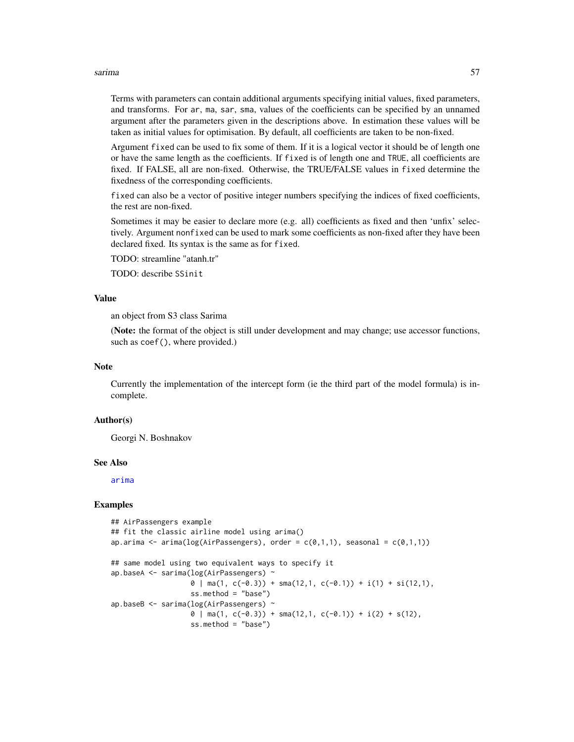#### sarima 57

Terms with parameters can contain additional arguments specifying initial values, fixed parameters, and transforms. For ar, ma, sar, sma, values of the coefficients can be specified by an unnamed argument after the parameters given in the descriptions above. In estimation these values will be taken as initial values for optimisation. By default, all coefficients are taken to be non-fixed.

Argument fixed can be used to fix some of them. If it is a logical vector it should be of length one or have the same length as the coefficients. If fixed is of length one and TRUE, all coefficients are fixed. If FALSE, all are non-fixed. Otherwise, the TRUE/FALSE values in fixed determine the fixedness of the corresponding coefficients.

fixed can also be a vector of positive integer numbers specifying the indices of fixed coefficients, the rest are non-fixed.

Sometimes it may be easier to declare more (e.g. all) coefficients as fixed and then 'unfix' selectively. Argument nonfixed can be used to mark some coefficients as non-fixed after they have been declared fixed. Its syntax is the same as for fixed.

TODO: streamline "atanh.tr"

TODO: describe SSinit

#### Value

an object from S3 class Sarima

(Note: the format of the object is still under development and may change; use accessor functions, such as coef(), where provided.)

#### **Note**

Currently the implementation of the intercept form (ie the third part of the model formula) is incomplete.

#### Author(s)

Georgi N. Boshnakov

## See Also

[arima](#page-0-0)

### Examples

```
## AirPassengers example
## fit the classic airline model using arima()
ap.arima <- arima(log(AirPassengers), order = c(\emptyset,1,1), seasonal = c(\emptyset,1,1))
## same model using two equivalent ways to specify it
ap.baseA <- sarima(log(AirPassengers) ~
                    \theta | ma(1, c(-0.3)) + sma(12,1, c(-0.1)) + i(1) + si(12,1),
                    ss.method = "base")
ap.baseB <- sarima(log(AirPassengers) ~
                    \theta | ma(1, c(-0.3)) + sma(12,1, c(-0.1)) + i(2) + s(12),
                    ss.method = "base")
```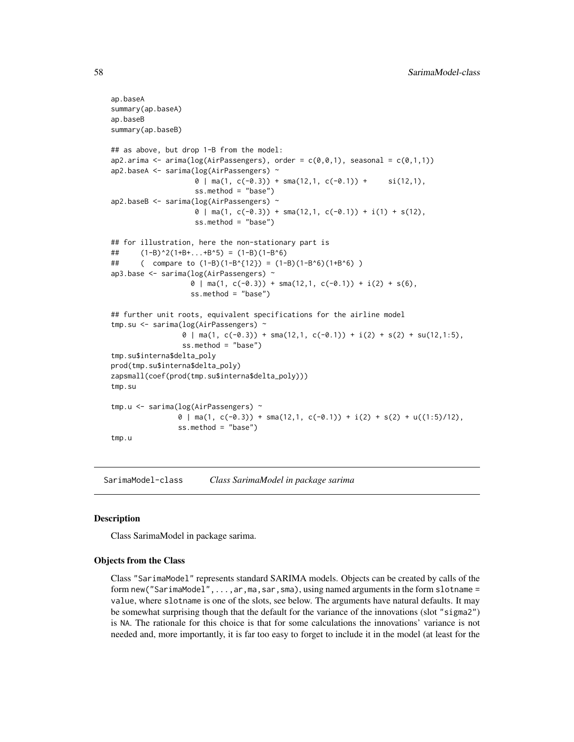```
ap.baseA
summary(ap.baseA)
ap.baseB
summary(ap.baseB)
## as above, but drop 1-B from the model:
ap2.arima <- arima(log(AirPassengers), order = c(\emptyset, \emptyset, 1), seasonal = c(\emptyset, 1, 1))
ap2.baseA <- sarima(log(AirPassengers) ~
                      \theta | ma(1, c(-0.3)) + sma(12,1, c(-0.1)) + si(12,1),
                      ss.method = "base")
ap2.baseB <- sarima(log(AirPassengers) ~
                      \theta | ma(1, c(-0.3)) + sma(12,1, c(-0.1)) + i(1) + s(12),
                      ss.method = "base")
## for illustration, here the non-stationary part is
## (1-B)^2(1+B+...+B^5) = (1-B)(1-B^6)## ( compare to (1-B)(1-B^{12}) = (1-B)(1-B^6)(1+B^6) )
ap3.base <- sarima(log(AirPassengers) ~
                     0 \mid \text{ma}(1, \text{c}(-0.3)) + \text{sma}(12,1, \text{c}(-0.1)) + i(2) + s(6),ss.method = "base")
## further unit roots, equivalent specifications for the airline model
tmp.su <- sarima(log(AirPassengers) ~
                   0 \mid \text{ma}(1, \text{c}(-0.3)) + \text{sma}(12,1, \text{c}(-0.1)) + i(2) + s(2) + \text{su}(12,1:5),ss.method = "base")
tmp.su$interna$delta_poly
prod(tmp.su$interna$delta_poly)
zapsmall(coef(prod(tmp.su$interna$delta_poly)))
tmp.su
tmp.u <- sarima(log(AirPassengers) ~
                 0 \mid \text{ma}(1, \text{c}(-0.3)) + \text{sma}(12,1, \text{c}(-0.1)) + i(2) + s(2) + u((1:5)/12),ss.method = "base")
tmp.u
```
<span id="page-57-0"></span>SarimaModel-class *Class SarimaModel in package sarima*

#### Description

Class SarimaModel in package sarima.

### Objects from the Class

Class "SarimaModel" represents standard SARIMA models. Objects can be created by calls of the form new("SarimaModel",...,ar,ma,sar,sma), using named arguments in the form slotname = value, where slotname is one of the slots, see below. The arguments have natural defaults. It may be somewhat surprising though that the default for the variance of the innovations (slot "sigma2") is NA. The rationale for this choice is that for some calculations the innovations' variance is not needed and, more importantly, it is far too easy to forget to include it in the model (at least for the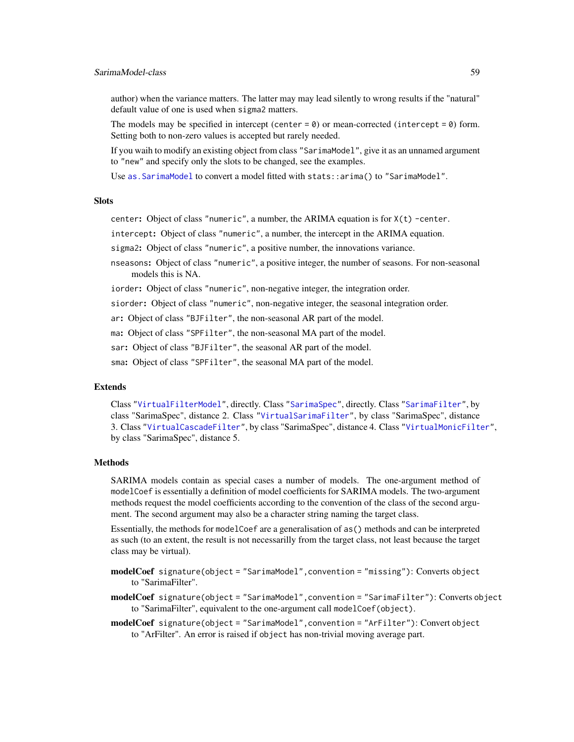author) when the variance matters. The latter may may lead silently to wrong results if the "natural" default value of one is used when sigma2 matters.

The models may be specified in intercept (center =  $\theta$ ) or mean-corrected (intercept =  $\theta$ ) form. Setting both to non-zero values is accepted but rarely needed.

If you waih to modify an existing object from class "SarimaModel", give it as an unnamed argument to "new" and specify only the slots to be changed, see the examples.

Use [as.SarimaModel](#page-17-0) to convert a model fitted with stats::arima() to "SarimaModel".

# **Slots**

center: Object of class "numeric", a number, the ARIMA equation is for  $X(t)$  -center.

intercept: Object of class "numeric", a number, the intercept in the ARIMA equation.

sigma2: Object of class "numeric", a positive number, the innovations variance.

nseasons: Object of class "numeric", a positive integer, the number of seasons. For non-seasonal models this is NA.

iorder: Object of class "numeric", non-negative integer, the integration order.

siorder: Object of class "numeric", non-negative integer, the seasonal integration order.

ar: Object of class "BJFilter", the non-seasonal AR part of the model.

ma: Object of class "SPFilter", the non-seasonal MA part of the model.

sar: Object of class "BJFilter", the seasonal AR part of the model.

sma: Object of class "SPFilter", the seasonal MA part of the model.

# Extends

Class ["VirtualFilterModel"](#page-0-0), directly. Class ["SarimaSpec"](#page-0-0), directly. Class ["SarimaFilter"](#page-0-0), by class "SarimaSpec", distance 2. Class ["VirtualSarimaFilter"](#page-0-0), by class "SarimaSpec", distance 3. Class ["VirtualCascadeFilter"](#page-0-0), by class "SarimaSpec", distance 4. Class ["VirtualMonicFilter"](#page-0-0), by class "SarimaSpec", distance 5.

# Methods

SARIMA models contain as special cases a number of models. The one-argument method of modelCoef is essentially a definition of model coefficients for SARIMA models. The two-argument methods request the model coefficients according to the convention of the class of the second argument. The second argument may also be a character string naming the target class.

Essentially, the methods for modelCoef are a generalisation of as() methods and can be interpreted as such (to an extent, the result is not necessarilly from the target class, not least because the target class may be virtual).

modelCoef signature(object = "SarimaModel", convention = "missing"): Converts object to "SarimaFilter".

modelCoef signature(object = "SarimaModel", convention = "SarimaFilter"): Converts object to "SarimaFilter", equivalent to the one-argument call modelCoef(object).

modelCoef signature(object = "SarimaModel", convention = "ArFilter"): Convert object to "ArFilter". An error is raised if object has non-trivial moving average part.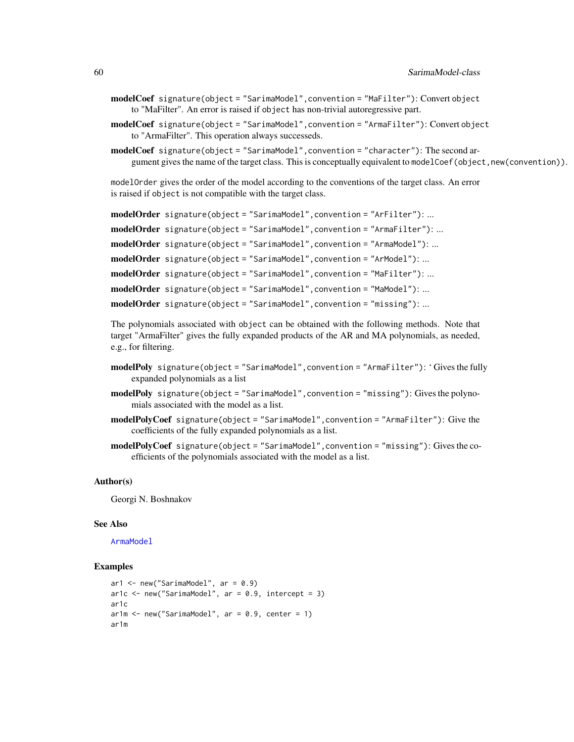- modelCoef signature(object = "SarimaModel", convention = "MaFilter"): Convert object to "MaFilter". An error is raised if object has non-trivial autoregressive part.
- modelCoef signature(object = "SarimaModel",convention = "ArmaFilter"): Convert object to "ArmaFilter". This operation always successeds.
- modelCoef signature(object = "SarimaModel",convention = "character"): The second argument gives the name of the target class. This is conceptually equivalent to modelCoef(object,new(convention)).

modelOrder gives the order of the model according to the conventions of the target class. An error is raised if object is not compatible with the target class.

```
modelOrder signature(object = "SarimaModel", convention = "ArFilter"): ...
modelOrder signature(object = "SarimaModel", convention = "ArmaFilter"): ...
modelOrder signature(object = "SarimaModel", convention = "ArmaModel"): ...
modelOrder signature(object = "SarimaModel", convention = "ArModel"): ...
modelOrder signature(object = "SarimaModel", convention = "MaFilter"): ...
modelOrder signature(object = "SarimaModel", convention = "MaModel"): ...
modelOrder signature(object = "SarimaModel",convention = "missing"): ...
```
The polynomials associated with object can be obtained with the following methods. Note that target "ArmaFilter" gives the fully expanded products of the AR and MA polynomials, as needed, e.g., for filtering.

- modelPoly signature(object = "SarimaModel", convention = "ArmaFilter"): 'Gives the fully expanded polynomials as a list
- modelPoly signature(object = "SarimaModel", convention = "missing"): Gives the polynomials associated with the model as a list.
- modelPolyCoef signature(object = "SarimaModel",convention = "ArmaFilter"): Give the coefficients of the fully expanded polynomials as a list.
- modelPolyCoef signature(object = "SarimaModel", convention = "missing"): Gives the coefficients of the polynomials associated with the model as a list.

#### Author(s)

Georgi N. Boshnakov

### See Also

[ArmaModel](#page-12-0)

### Examples

```
ar1 \leq new("SarimaModel", ar = 0.9)
ar1c \leq new("SarimaModel", ar = 0.9, intercept = 3)
ar1c
ar1m \leq new("SarimaModel", ar = 0.9, center = 1)ar1m
```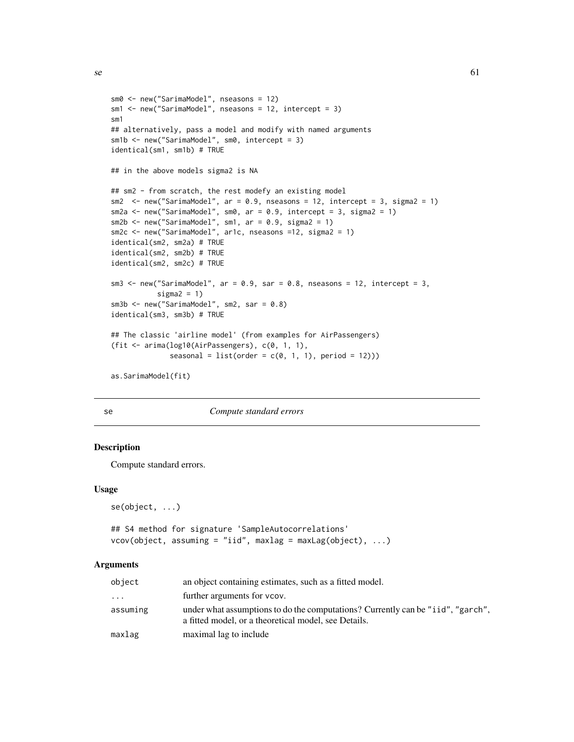```
sm0 <- new("SarimaModel", nseasons = 12)
sm1 <- new("SarimaModel", nseasons = 12, intercept = 3)
sm1
## alternatively, pass a model and modify with named arguments
sm1b <- new("SarimaModel", sm0, intercept = 3)
identical(sm1, sm1b) # TRUE
## in the above models sigma2 is NA
## sm2 - from scratch, the rest modefy an existing model
sm2 \le new("SarimaModel", ar = 0.9, nseasons = 12, intercept = 3, sigma2 = 1)
sm2a \leq new("SarimaModel", sm0, ar = 0.9, intercept = 3, sigma2 = 1)
sm2b \leq new("SarimaModel", sm1, ar = 0.9, sigma2 = 1)sm2c <- new("SarimaModel", ar1c, nseasons =12, sigma2 = 1)
identical(sm2, sm2a) # TRUE
identical(sm2, sm2b) # TRUE
identical(sm2, sm2c) # TRUE
sm3 \le new("SarimaModel", ar = 0.9, sar = 0.8, nseasons = 12, intercept = 3,
           sigma2 = 1)
sm3b <- new("SarimaModel", sm2, sar = 0.8)
identical(sm3, sm3b) # TRUE
## The classic 'airline model' (from examples for AirPassengers)
(fit <- arima(log10(AirPassengers), c(0, 1, 1),
              seasonal = list(order = c(0, 1, 1), period = 12)))as.SarimaModel(fit)
```

| ۹<br>I  |   |
|---------|---|
|         |   |
| ٠<br>۰. |   |
|         | I |

se *Compute standard errors*

### <span id="page-60-0"></span>Description

Compute standard errors.

#### Usage

se(object, ...)

```
## S4 method for signature 'SampleAutocorrelations'
vcov(object, assuming = "iid", maxlag = maxLag(object), ...)
```
### Arguments

| object   | an object containing estimates, such as a fitted model.                                                                                 |
|----------|-----------------------------------------------------------------------------------------------------------------------------------------|
| .        | further arguments for vcov.                                                                                                             |
| assuming | under what assumptions to do the computations? Currently can be "iid", "garch",<br>a fitted model, or a theoretical model, see Details. |
| maxlag   | maximal lag to include                                                                                                                  |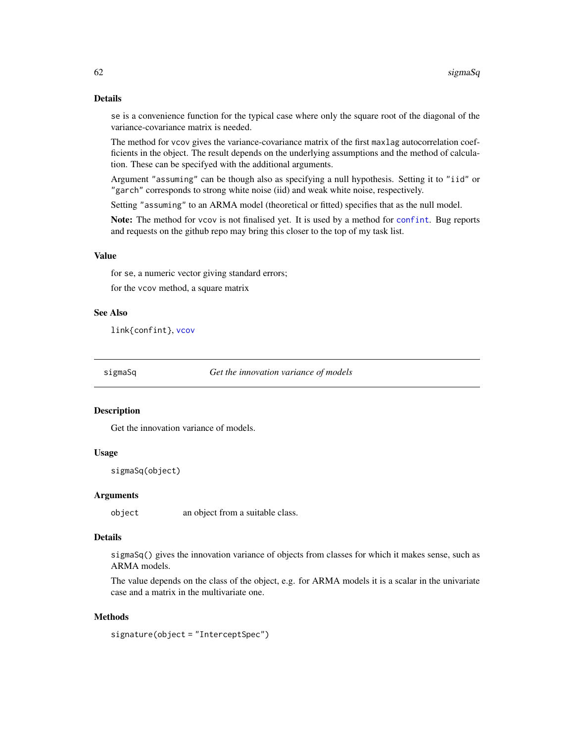# Details

se is a convenience function for the typical case where only the square root of the diagonal of the variance-covariance matrix is needed.

The method for vcov gives the variance-covariance matrix of the first maxlag autocorrelation coefficients in the object. The result depends on the underlying assumptions and the method of calculation. These can be specifyed with the additional arguments.

Argument "assuming" can be though also as specifying a null hypothesis. Setting it to "iid" or "garch" corresponds to strong white noise (iid) and weak white noise, respectively.

Setting "assuming" to an ARMA model (theoretical or fitted) specifies that as the null model.

Note: The method for vcov is not finalised yet. It is used by a method for [confint](#page-24-0). Bug reports and requests on the github repo may bring this closer to the top of my task list.

#### Value

for se, a numeric vector giving standard errors;

for the vcov method, a square matrix

### See Also

link{confint}, [vcov](#page-60-0)

sigmaSq *Get the innovation variance of models*

### **Description**

Get the innovation variance of models.

# Usage

sigmaSq(object)

### Arguments

object an object from a suitable class.

# Details

sigmaSq() gives the innovation variance of objects from classes for which it makes sense, such as ARMA models.

The value depends on the class of the object, e.g. for ARMA models it is a scalar in the univariate case and a matrix in the multivariate one.

#### **Methods**

signature(object = "InterceptSpec")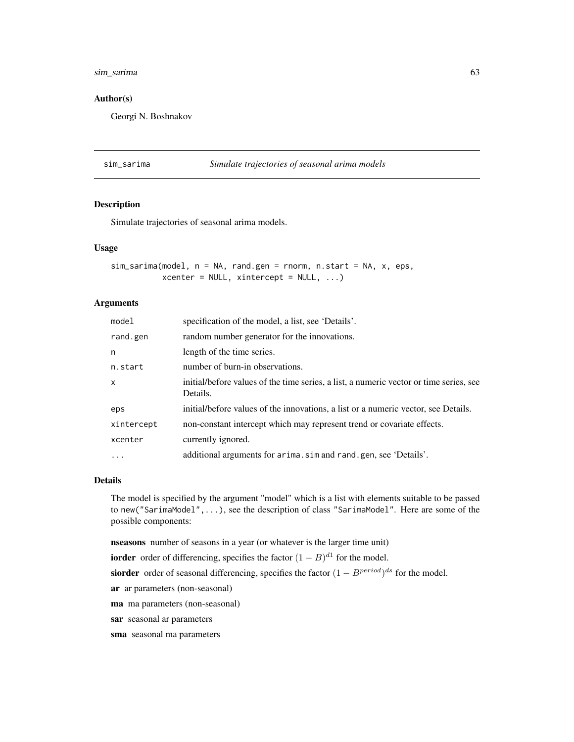# sim\_sarima 63

### Author(s)

Georgi N. Boshnakov

### <span id="page-62-0"></span>sim\_sarima *Simulate trajectories of seasonal arima models*

### Description

Simulate trajectories of seasonal arima models.

# Usage

```
sim_sarima(model, n = NA, rand.gen = rnorm, n.start = NA, x, eps,
          xcenter = NULL, xintercept = NULL, ...
```
#### Arguments

| model      | specification of the model, a list, see 'Details'.                                                 |
|------------|----------------------------------------------------------------------------------------------------|
| rand.gen   | random number generator for the innovations.                                                       |
| n          | length of the time series.                                                                         |
| n.start    | number of burn-in observations.                                                                    |
| $\times$   | initial/before values of the time series, a list, a numeric vector or time series, see<br>Details. |
| eps        | initial/before values of the innovations, a list or a numeric vector, see Details.                 |
| xintercept | non-constant intercept which may represent trend or covariate effects.                             |
| xcenter    | currently ignored.                                                                                 |
| $\ddots$   | additional arguments for arima. sim and rand. gen, see 'Details'.                                  |

### Details

The model is specified by the argument "model" which is a list with elements suitable to be passed to new("SarimaModel",...), see the description of class "SarimaModel". Here are some of the possible components:

nseasons number of seasons in a year (or whatever is the larger time unit)

**iorder** order of differencing, specifies the factor  $(1 - B)^{d_1}$  for the model.

siorder order of seasonal differencing, specifies the factor  $(1 - B^{period})^{ds}$  for the model.

ar ar parameters (non-seasonal)

ma ma parameters (non-seasonal)

sar seasonal ar parameters

sma seasonal ma parameters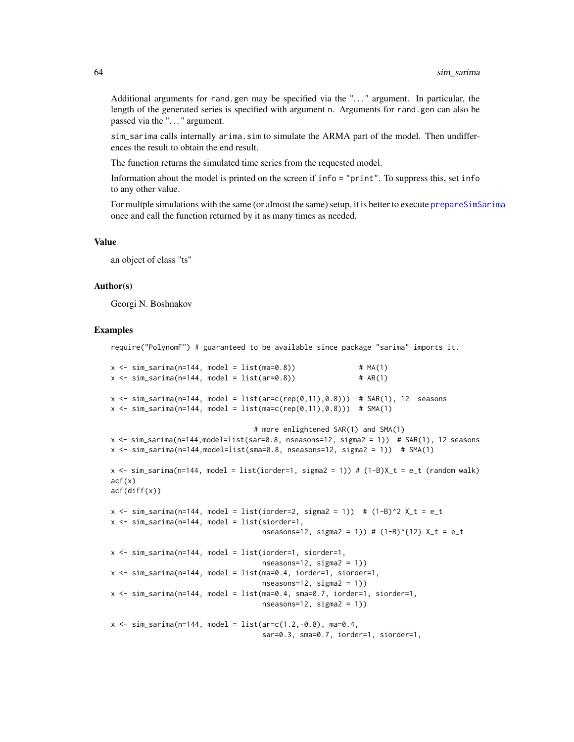Additional arguments for rand.gen may be specified via the ". . . " argument. In particular, the length of the generated series is specified with argument n. Arguments for rand.gen can also be passed via the ". . . " argument.

sim\_sarima calls internally arima.sim to simulate the ARMA part of the model. Then undifferences the result to obtain the end result.

The function returns the simulated time series from the requested model.

Information about the model is printed on the screen if info = "print". To suppress this, set info to any other value.

For multple simulations with the same (or almost the same) setup, it is better to execute [prepareSimSarima](#page-51-0) once and call the function returned by it as many times as needed.

#### Value

an object of class "ts"

#### Author(s)

Georgi N. Boshnakov

### Examples

require("PolynomF") # guaranteed to be available since package "sarima" imports it.

```
x \le -\sin_5\ar{im}(-144, \text{ model} = \text{list}(\text{ma}=0.8)) # MA(1)
x \le -\sin\sin\left(\frac{n-144}{n}\right) model = list(ar=0.8)) # AR(1)
x \le -\sin\sin\left(\frac{n-144}{n}\right), model = list(ar=c(rep(0,11),0.8))) # SAR(1), 12 seasons
x \le -\sin_5\ar{ima(n=144, model = list(max=c(rep(0,11), 0.8))) # SMA(1)# more enlightened SAR(1) and SMA(1)
```

```
x <- sim_sarima(n=144,model=list(sar=0.8, nseasons=12, sigma2 = 1)) # SAR(1), 12 seasons
x \le -\sin\sin\left(\frac{n-144,\text{model}=1\text{ist}}{\text{Sma}}-0.8,\text{nesasons}=12,\text{sigma2}=1)\right) # SMA(1)
x \le -\sin\sin\left(\frac{n-144}{n}\right) model = list(iorder=1, sigma2 = 1)) # (1-B)X_t = e_t (random walk)
act(x)acf(diff(x))
x \le -\sin\sin\left(\frac{n-144}{n}\right) model = list(iorder=2, sigma2 = 1)) # (1-B)^2 X_t = e_t
x \le -\sin\sin\left(\frac{n-144}{n}\right) model = list(siorder=1,
```

```
nseasons=12, sigma2 = 1)) # (1-B)^{1/2} X_t = e_t
```

```
x \leq -\sin\sin\left(\frac{n-144}{n}\right) model = list(iorder=1, siorder=1,
                                               nseasons=12, sigma2 = 1)x \leq -\sin_1\arctan(n=144, \text{ model} = \text{list}(\text{ma}=0.4, \text{ inorder}=1, \text{siorder}=1,nseasons=12, sigma2 = 1))
x \le -\sin\sin\left(\frac{n-144}{n}\right) model = list(ma=0.4, sma=0.7, iorder=1, siorder=1,
                                               nseasons=12, sigma2 = 1)
```

```
x \le -\sin_5\ar{ima(n=144, \text{ model} = list(ar=c(1.2,-0.8), \text{ma=0.4})}sar=0.3, sma=0.7, iorder=1, siorder=1,
```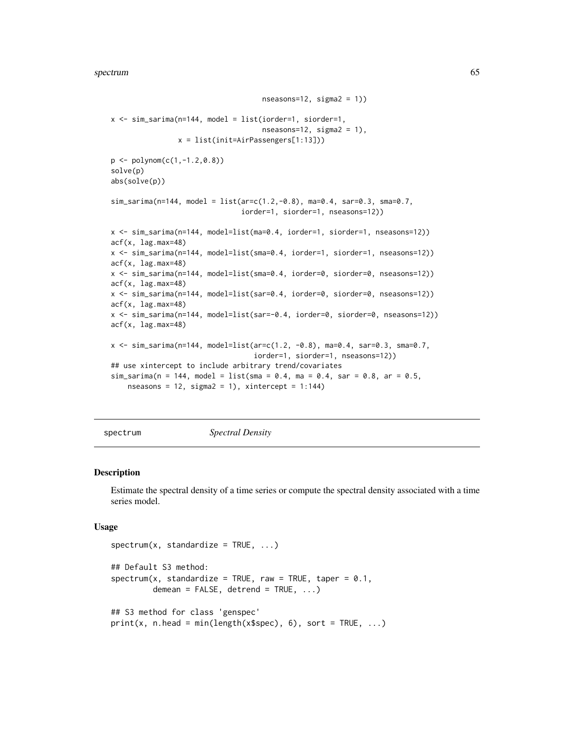```
nseasons=12, sigma2 = 1)x <- sim_sarima(n=144, model = list(iorder=1, siorder=1,
                                    nseasons=12, sigma2 = 1),
                x = list(init=AirPassengers[1:13]))
p \leftarrow \text{polynom}(c(1, -1.2, 0.8))solve(p)
abs(solve(p))
sim_sarima(n=144, model = list(ar=c(1.2,-0.8), ma=0.4, sar=0.3, sma=0.7,
                                iorder=1, siorder=1, nseasons=12))
x <- sim_sarima(n=144, model=list(ma=0.4, iorder=1, siorder=1, nseasons=12))
acf(x, lag.max=48)
x <- sim_sarima(n=144, model=list(sma=0.4, iorder=1, siorder=1, nseasons=12))
acf(x, lag.max=48)
x <- sim_sarima(n=144, model=list(sma=0.4, iorder=0, siorder=0, nseasons=12))
acf(x, lag.max=48)
x <- sim_sarima(n=144, model=list(sar=0.4, iorder=0, siorder=0, nseasons=12))
acf(x, lag.max=48)
x <- sim_sarima(n=144, model=list(sar=-0.4, iorder=0, siorder=0, nseasons=12))
acf(x, lag.max=48)
x <- sim_sarima(n=144, model=list(ar=c(1.2, -0.8), ma=0.4, sar=0.3, sma=0.7,
                                   iorder=1, siorder=1, nseasons=12))
## use xintercept to include arbitrary trend/covariates
sim_sarima(n = 144, model = list(sma = 0.4, ma = 0.4, sar = 0.8, ar = 0.5,
    nseasons = 12, sigma2 = 1), xintercept = 1:144)
```
<span id="page-64-0"></span>spectrum *Spectral Density*

#### Description

Estimate the spectral density of a time series or compute the spectral density associated with a time series model.

#### Usage

```
spectrum(x, standardize = TRUE, ...)## Default S3 method:
spectrum(x, standardize = TRUE, raw = TRUE, tape = 0.1,demean = FALSE, detrend = TRUE, ...## S3 method for class 'genspec'
print(x, n-head = min(length(x$spec), 6), sort = TRUE, ...)
```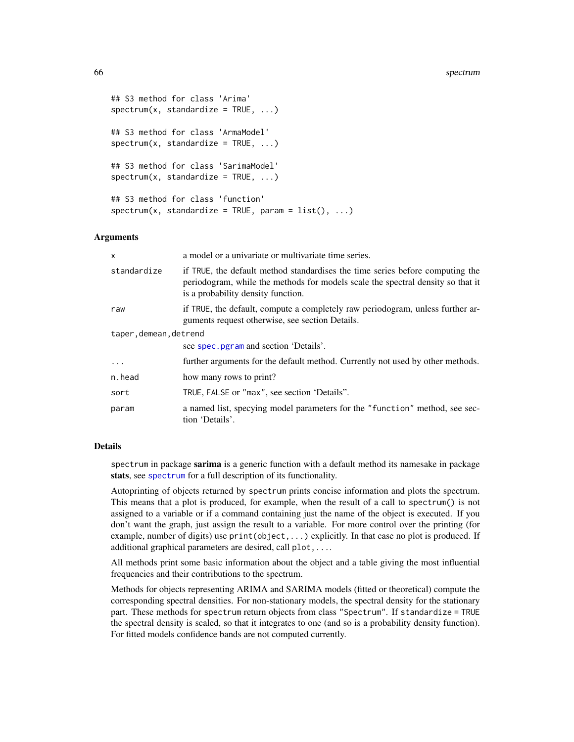```
## S3 method for class 'Arima'
spectrum(x, standardize = TRUE, ...)## S3 method for class 'ArmaModel'
spectrum(x, standardize = TRUE, ...)## S3 method for class 'SarimaModel'
spectrum(x, standardize = TRUE, ...)## S3 method for class 'function'
spectrum(x, standardize = TRUE, param = list(), ...)
```
# Arguments

| x                      | a model or a univariate or multivariate time series.                                                                                                                                                   |
|------------------------|--------------------------------------------------------------------------------------------------------------------------------------------------------------------------------------------------------|
| standardize            | if TRUE, the default method standardises the time series before computing the<br>periodogram, while the methods for models scale the spectral density so that it<br>is a probability density function. |
| raw                    | if TRUE, the default, compute a completely raw periodogram, unless further ar-<br>guments request otherwise, see section Details.                                                                      |
| taper, demean, detrend |                                                                                                                                                                                                        |
|                        | see spec. pgram and section 'Details'.                                                                                                                                                                 |
| $\cdot$                | further arguments for the default method. Currently not used by other methods.                                                                                                                         |
| n.head                 | how many rows to print?                                                                                                                                                                                |
| sort                   | TRUE, FALSE or "max", see section 'Details".                                                                                                                                                           |
| param                  | a named list, specying model parameters for the "function" method, see sec-<br>tion 'Details'.                                                                                                         |

#### Details

spectrum in package sarima is a generic function with a default method its namesake in package stats, see [spectrum](#page-64-0) for a full description of its functionality.

Autoprinting of objects returned by spectrum prints concise information and plots the spectrum. This means that a plot is produced, for example, when the result of a call to spectrum() is not assigned to a variable or if a command containing just the name of the object is executed. If you don't want the graph, just assign the result to a variable. For more control over the printing (for example, number of digits) use print(object,...) explicitly. In that case no plot is produced. If additional graphical parameters are desired, call plot,....

All methods print some basic information about the object and a table giving the most influential frequencies and their contributions to the spectrum.

Methods for objects representing ARIMA and SARIMA models (fitted or theoretical) compute the corresponding spectral densities. For non-stationary models, the spectral density for the stationary part. These methods for spectrum return objects from class "Spectrum". If standardize = TRUE the spectral density is scaled, so that it integrates to one (and so is a probability density function). For fitted models confidence bands are not computed currently.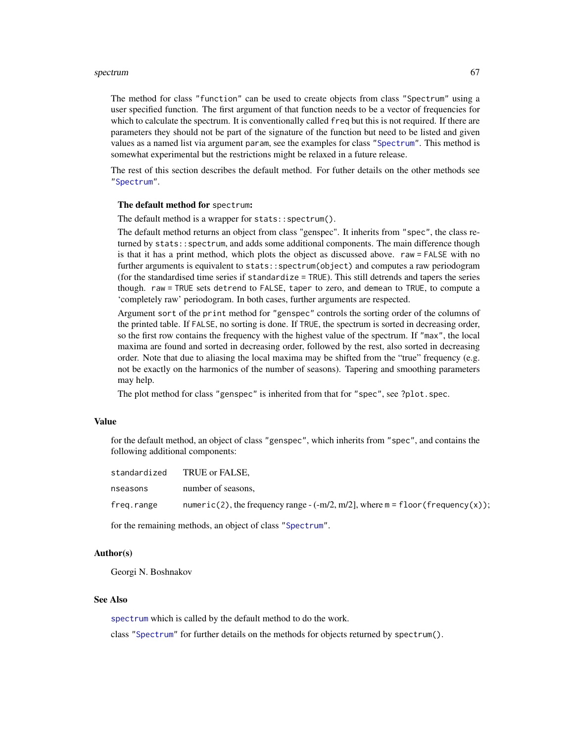#### spectrum 67

The method for class "function" can be used to create objects from class "Spectrum" using a user specified function. The first argument of that function needs to be a vector of frequencies for which to calculate the spectrum. It is conventionally called freq but this is not required. If there are parameters they should not be part of the signature of the function but need to be listed and given values as a named list via argument param, see the examples for class ["Spectrum"](#page-67-0). This method is somewhat experimental but the restrictions might be relaxed in a future release.

The rest of this section describes the default method. For futher details on the other methods see ["Spectrum"](#page-67-0).

#### The default method for spectrum:

The default method is a wrapper for stats::spectrum().

The default method returns an object from class "genspec". It inherits from "spec", the class returned by stats::spectrum, and adds some additional components. The main difference though is that it has a print method, which plots the object as discussed above. raw = FALSE with no further arguments is equivalent to stats::spectrum(object) and computes a raw periodogram (for the standardised time series if standardize = TRUE). This still detrends and tapers the series though. raw = TRUE sets detrend to FALSE, taper to zero, and demean to TRUE, to compute a 'completely raw' periodogram. In both cases, further arguments are respected.

Argument sort of the print method for "genspec" controls the sorting order of the columns of the printed table. If FALSE, no sorting is done. If TRUE, the spectrum is sorted in decreasing order, so the first row contains the frequency with the highest value of the spectrum. If "max", the local maxima are found and sorted in decreasing order, followed by the rest, also sorted in decreasing order. Note that due to aliasing the local maxima may be shifted from the "true" frequency (e.g. not be exactly on the harmonics of the number of seasons). Tapering and smoothing parameters may help.

The plot method for class "genspec" is inherited from that for "spec", see ?plot.spec.

# Value

for the default method, an object of class "genspec", which inherits from "spec", and contains the following additional components:

| standardized | TRUE or FALSE.                                                                     |
|--------------|------------------------------------------------------------------------------------|
| nseasons     | number of seasons,                                                                 |
| freg.range   | numeric(2), the frequency range $-(-m/2, m/2)$ , where $m =$ floor (frequency(x)); |

for the remaining methods, an object of class ["Spectrum"](#page-67-0).

#### Author(s)

Georgi N. Boshnakov

### See Also

[spectrum](#page-64-0) which is called by the default method to do the work.

class ["Spectrum"](#page-67-0) for further details on the methods for objects returned by spectrum().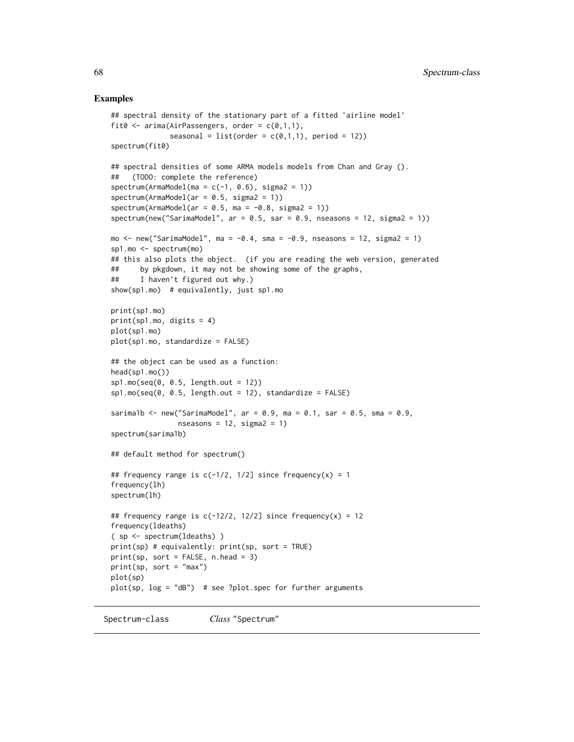#### Examples

```
## spectral density of the stationary part of a fitted 'airline model'
fit0 \leq -\arctan(\text{AirPassengers}, \text{order} = c(0,1,1),seasonal = list(order = c(0,1,1), period = 12))
spectrum(fit0)
## spectral densities of some ARMA models models from Chan and Gray ().
## (TODO: complete the reference)
spectrum(ArmaModel(ma = c(-1, 0.6), sigma2 = 1))
spectrum(ArmaModel(ar = 0.5, sigma2 = 1))spectrum(ArmaModel(ar = 0.5, ma = -0.8, sigma2 = 1))
spectrum(new("SarimaModel", ar = 0.5, sar = 0.9, nseasons = 12, sigma2 = 1))
mo \le new("SarimaModel", ma = -0.4, sma = -0.9, nseasons = 12, sigma2 = 1)
sp1.mo <- spectrum(mo)
## this also plots the object. (if you are reading the web version, generated
## by pkgdown, it may not be showing some of the graphs,
## I haven't figured out why.)
show(sp1.mo) # equivalently, just sp1.mo
print(sp1.mo)
print(sp1.mo, digits = 4)
plot(sp1.mo)
plot(sp1.mo, standardize = FALSE)
## the object can be used as a function:
head(sp1.mo())
sp1.mo(seq(0, 0.5, length.out = 12))sp1.mo(seq(0, 0.5, length.out = 12), standardize = FALSE)
sarima1b <- new("SarimaModel", ar = 0.9, ma = 0.1, sar = 0.5, sma = 0.9,
                nseasons = 12, sigma2 = 1)
spectrum(sarima1b)
## default method for spectrum()
## frequency range is c(-1/2, 1/2] since frequency(x) = 1
frequency(lh)
spectrum(lh)
## frequency range is c(-12/2, 12/2] since frequency(x) = 12
frequency(ldeaths)
( sp <- spectrum(ldeaths) )
print(sp) # equivalently: print(sp, sort = TRUE)
print(sp, sort = FALSE, n.head = 3)print(sp, sort = "max")
plot(sp)
plot(sp, log = "dB") # see ?plot.spec for further arguments
```
<span id="page-67-0"></span>Spectrum-class *Class* "Spectrum"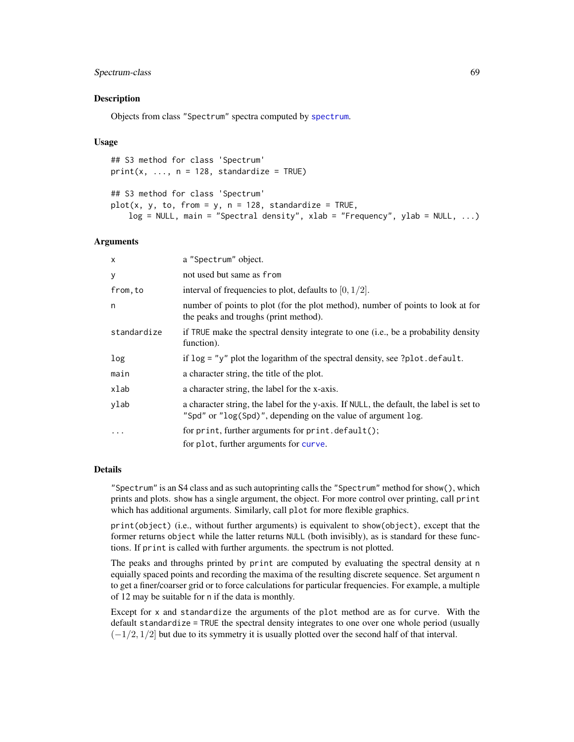# Spectrum-class 69

### Description

Objects from class "Spectrum" spectra computed by [spectrum](#page-64-0).

#### Usage

## S3 method for class 'Spectrum'  $print(x, ..., n = 128, standardize = TRUE)$ 

```
## S3 method for class 'Spectrum'
plot(x, y, to, from = y, n = 128, standardize = TRUE,log = NULL, main = "Spectral density", xlab = "Frequency", ylab = NULL, ...)
```
### Arguments

| $\times$    | a "Spectrum" object.                                                                                                                                    |
|-------------|---------------------------------------------------------------------------------------------------------------------------------------------------------|
| У           | not used but same as from                                                                                                                               |
| from, to    | interval of frequencies to plot, defaults to $[0, 1/2]$ .                                                                                               |
| n           | number of points to plot (for the plot method), number of points to look at for<br>the peaks and troughs (print method).                                |
| standardize | if TRUE make the spectral density integrate to one (i.e., be a probability density<br>function).                                                        |
| log         | if $\log$ = "y" plot the logarithm of the spectral density, see ?plot.default.                                                                          |
| main        | a character string, the title of the plot.                                                                                                              |
| xlab        | a character string, the label for the x-axis.                                                                                                           |
| ylab        | a character string, the label for the y-axis. If NULL, the default, the label is set to<br>"Spd" or "log(Spd)", depending on the value of argument log. |
| $\cdots$    | for print, further arguments for print.default();<br>for plot, further arguments for curve.                                                             |

### Details

"Spectrum" is an S4 class and as such autoprinting calls the "Spectrum" method for show(), which prints and plots. show has a single argument, the object. For more control over printing, call print which has additional arguments. Similarly, call plot for more flexible graphics.

print(object) (i.e., without further arguments) is equivalent to show(object), except that the former returns object while the latter returns NULL (both invisibly), as is standard for these functions. If print is called with further arguments. the spectrum is not plotted.

The peaks and throughs printed by print are computed by evaluating the spectral density at n equially spaced points and recording the maxima of the resulting discrete sequence. Set argument n to get a finer/coarser grid or to force calculations for particular frequencies. For example, a multiple of 12 may be suitable for n if the data is monthly.

Except for x and standardize the arguments of the plot method are as for curve. With the default standardize = TRUE the spectral density integrates to one over one whole period (usually  $(-1/2, 1/2]$  but due to its symmetry it is usually plotted over the second half of that interval.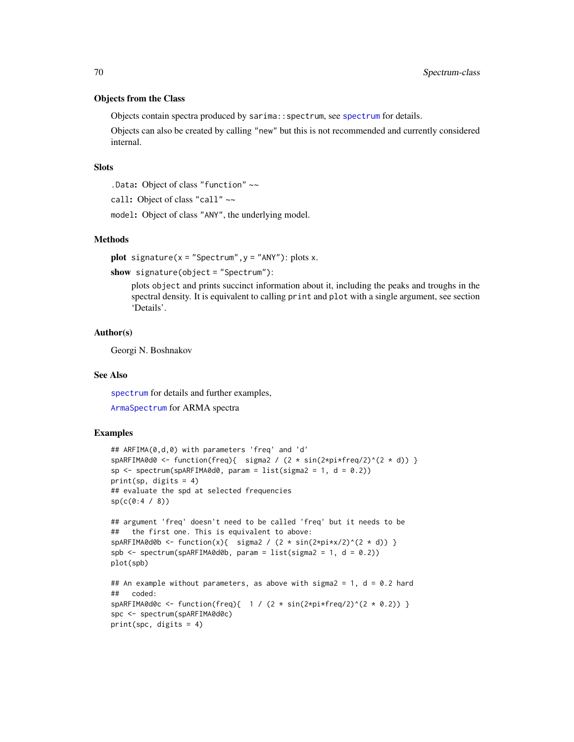### Objects from the Class

Objects contain spectra produced by sarima:: [spectrum](#page-64-0), see spectrum for details.

Objects can also be created by calling "new" but this is not recommended and currently considered internal.

# **Slots**

.Data: Object of class "function" ~~

call: Object of class "call" ~~

model: Object of class "ANY", the underlying model.

#### Methods

plot signature( $x =$  "Spectrum",  $y =$  "ANY"): plots  $x$ .

show signature(object = "Spectrum"):

plots object and prints succinct information about it, including the peaks and troughs in the spectral density. It is equivalent to calling print and plot with a single argument, see section 'Details'.

#### Author(s)

Georgi N. Boshnakov

### See Also

[spectrum](#page-64-0) for details and further examples,

[ArmaSpectrum](#page-13-0) for ARMA spectra

### Examples

```
## ARFIMA(0,d,0) with parameters 'freq' and 'd'
spARFIMA0d0 <- function(freq){ sigma2 / (2 * sin(2 * pi * freq/2)^(2 * d)) }
sp \leftarrow spectrum(spARTMA0d0, param = list(sigma2 = 1, d = 0.2))print(sp, digits = 4)
## evaluate the spd at selected frequencies
sp(c(0:4 / 8))## argument 'freq' doesn't need to be called 'freq' but it needs to be
## the first one. This is equivalent to above:
sparkFIMA0d0b \leftarrow function(x) {\min\{x, y\} \cdot (2 * sin(2 * pi * x / 2)^(2 * d)) }spb \le spectrum(spARFIMA0d0b, param = list(sigma2 = 1, d = 0.2))
plot(spb)
## An example without parameters, as above with sigma2 = 1, d = 0.2 hard
## coded:
spARFIMA0d0c <- function(freq){ 1 / (2 * sin(2 * pi * freq/2)^(2 * 0.2)) }
spc <- spectrum(spARFIMA0d0c)
print(spc, digits = 4)
```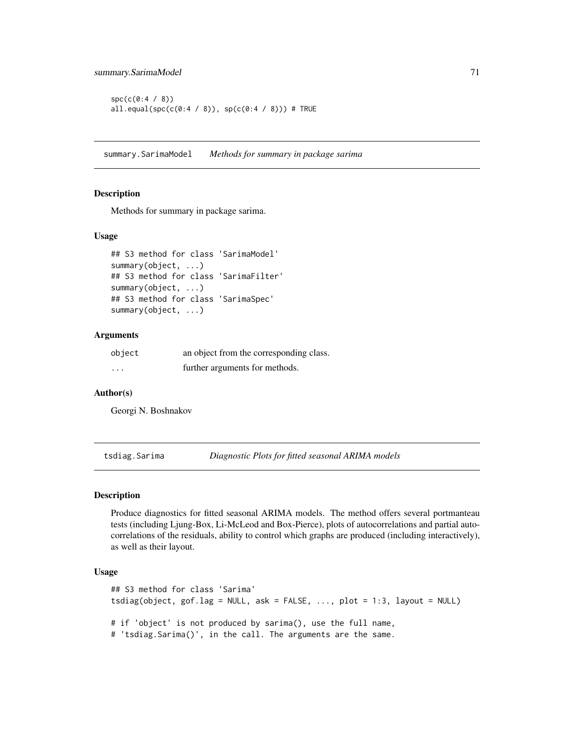```
spc(c(0:4 / 8))all.equal(spc(c(0:4 / 8)), sp(c(0:4 / 8))) # TRUE
```
summary.SarimaModel *Methods for summary in package sarima*

### Description

Methods for summary in package sarima.

### Usage

```
## S3 method for class 'SarimaModel'
summary(object, ...)
## S3 method for class 'SarimaFilter'
summary(object, ...)
## S3 method for class 'SarimaSpec'
summary(object, ...)
```
# Arguments

| object   | an object from the corresponding class. |
|----------|-----------------------------------------|
| $\cdots$ | further arguments for methods.          |

### Author(s)

Georgi N. Boshnakov

tsdiag.Sarima *Diagnostic Plots for fitted seasonal ARIMA models*

# Description

Produce diagnostics for fitted seasonal ARIMA models. The method offers several portmanteau tests (including Ljung-Box, Li-McLeod and Box-Pierce), plots of autocorrelations and partial autocorrelations of the residuals, ability to control which graphs are produced (including interactively), as well as their layout.

# Usage

```
## S3 method for class 'Sarima'
tsdiag(object, gof.lag = NULL, ask = FALSE, ..., plot = 1:3, layout = NULL)
# if 'object' is not produced by sarima(), use the full name,
# 'tsdiag.Sarima()', in the call. The arguments are the same.
```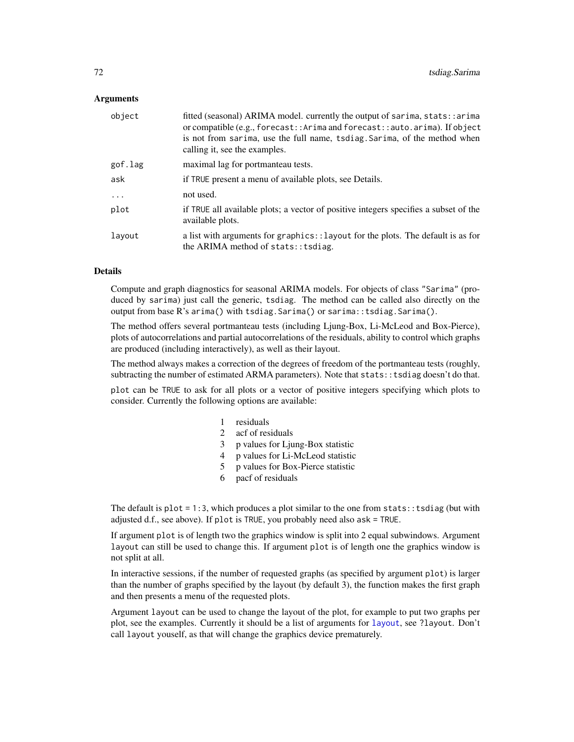### **Arguments**

| object  | fitted (seasonal) ARIMA model. currently the output of sarima, stats::arima<br>or compatible (e.g., forecast:: Arima and forecast:: auto. arima). If object<br>is not from sarima, use the full name, tsdiag. Sarima, of the method when<br>calling it, see the examples. |
|---------|---------------------------------------------------------------------------------------------------------------------------------------------------------------------------------------------------------------------------------------------------------------------------|
| gof.lag | maximal lag for portmanteau tests.                                                                                                                                                                                                                                        |
| ask     | if TRUE present a menu of available plots, see Details.                                                                                                                                                                                                                   |
| .       | not used.                                                                                                                                                                                                                                                                 |
| plot    | if TRUE all available plots; a vector of positive integers specifies a subset of the<br>available plots.                                                                                                                                                                  |
| layout  | a list with arguments for graphics:: layout for the plots. The default is as for<br>the ARIMA method of stats:: tsdiag.                                                                                                                                                   |

## Details

Compute and graph diagnostics for seasonal ARIMA models. For objects of class "Sarima" (produced by sarima) just call the generic, tsdiag. The method can be called also directly on the output from base R's arima() with tsdiag.Sarima() or sarima::tsdiag.Sarima().

The method offers several portmanteau tests (including Ljung-Box, Li-McLeod and Box-Pierce), plots of autocorrelations and partial autocorrelations of the residuals, ability to control which graphs are produced (including interactively), as well as their layout.

The method always makes a correction of the degrees of freedom of the portmanteau tests (roughly, subtracting the number of estimated ARMA parameters). Note that stats: : tsdiag doesn't do that.

plot can be TRUE to ask for all plots or a vector of positive integers specifying which plots to consider. Currently the following options are available:

- 1 residuals
- 2 acf of residuals
- 3 p values for Ljung-Box statistic
- 4 p values for Li-McLeod statistic
- 5 p values for Box-Pierce statistic
- 6 pacf of residuals

The default is  $plot = 1:3$ , which produces a plot similar to the one from stats:: tsdiag (but with adjusted d.f., see above). If plot is TRUE, you probably need also ask = TRUE.

If argument plot is of length two the graphics window is split into 2 equal subwindows. Argument layout can still be used to change this. If argument plot is of length one the graphics window is not split at all.

In interactive sessions, if the number of requested graphs (as specified by argument plot) is larger than the number of graphs specified by the layout (by default 3), the function makes the first graph and then presents a menu of the requested plots.

Argument layout can be used to change the layout of the plot, for example to put two graphs per plot, see the examples. Currently it should be a list of arguments for [layout](#page-0-0), see ?layout. Don't call layout youself, as that will change the graphics device prematurely.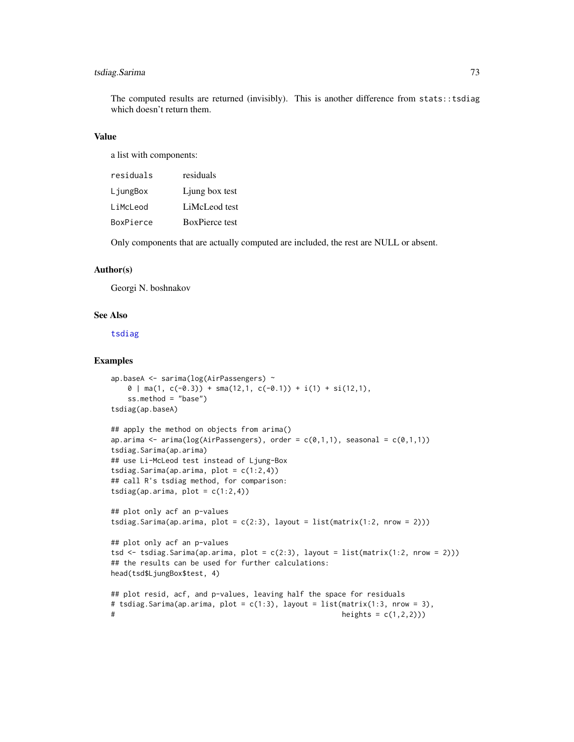# <span id="page-72-0"></span>tsdiag.Sarima 73

The computed results are returned (invisibly). This is another difference from stats::tsdiag which doesn't return them.

# Value

a list with components:

| residuals | residuals             |
|-----------|-----------------------|
| LjungBox  | Ljung box test        |
| LiMcLeod  | LiMcLeod test         |
| BoxPierce | <b>BoxPierce test</b> |

Only components that are actually computed are included, the rest are NULL or absent.

## Author(s)

Georgi N. boshnakov

# See Also

[tsdiag](#page-70-0)

## Examples

```
ap.baseA <- sarima(log(AirPassengers) ~
   \theta | ma(1, c(-0.3)) + sma(12,1, c(-0.1)) + i(1) + si(12,1),
   ss.method = "base")
tsdiag(ap.baseA)
## apply the method on objects from arima()
ap.arima \leq arima(log(AirPassengers), order = c(\emptyset,1,1), seasonal = c(\emptyset,1,1))
tsdiag.Sarima(ap.arima)
## use Li-McLeod test instead of Ljung-Box
tsdiag.Sarima(ap.arima, plot = c(1:2,4))
## call R's tsdiag method, for comparison:
tsdiag(ap.arima, plot = c(1:2,4))
## plot only acf an p-values
tsdiag.Sarima(ap.arima, plot = c(2:3), layout = list(matrix(1:2, nrow = 2)))
## plot only acf an p-values
tsd \le tsdiag.Sarima(ap.arima, plot = c(2:3), layout = list(matrix(1:2, nrow = 2)))
## the results can be used for further calculations:
head(tsd$LjungBox$test, 4)
## plot resid, acf, and p-values, leaving half the space for residuals
# tsdiag.Sarima(ap.arima, plot = c(1:3), layout = list(matrix(1:3, nrow = 3),
# h_{\text{heights}} = c(1,2,2))
```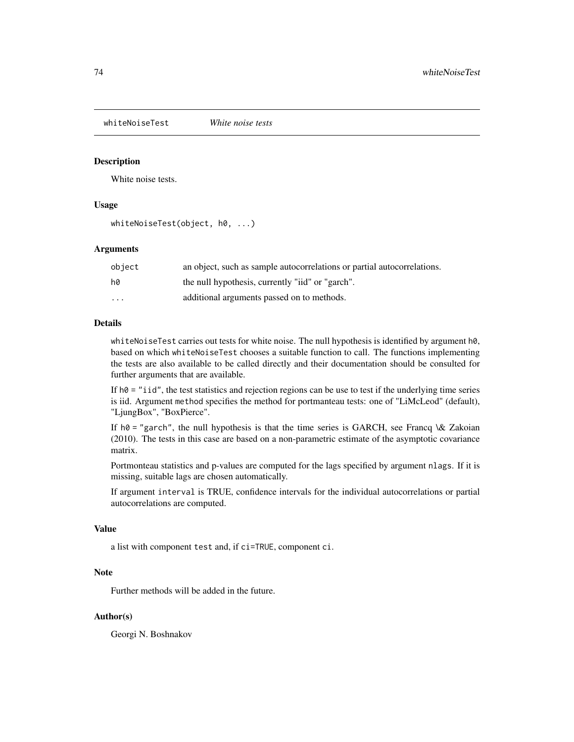<span id="page-73-0"></span>whiteNoiseTest *White noise tests*

## Description

White noise tests.

## Usage

whiteNoiseTest(object, h0, ...)

#### Arguments

| object | an object, such as sample autocorrelations or partial autocorrelations. |
|--------|-------------------------------------------------------------------------|
| hØ     | the null hypothesis, currently "iid" or "garch".                        |
| .      | additional arguments passed on to methods.                              |

# Details

whiteNoiseTest carries out tests for white noise. The null hypothesis is identified by argument h0, based on which whiteNoiseTest chooses a suitable function to call. The functions implementing the tests are also available to be called directly and their documentation should be consulted for further arguments that are available.

If  $h\theta =$  "iid", the test statistics and rejection regions can be use to test if the underlying time series is iid. Argument method specifies the method for portmanteau tests: one of "LiMcLeod" (default), "LjungBox", "BoxPierce".

If  $h\theta =$  "garch", the null hypothesis is that the time series is GARCH, see Francq \& Zakoian (2010). The tests in this case are based on a non-parametric estimate of the asymptotic covariance matrix.

Portmonteau statistics and p-values are computed for the lags specified by argument nlags. If it is missing, suitable lags are chosen automatically.

If argument interval is TRUE, confidence intervals for the individual autocorrelations or partial autocorrelations are computed.

#### Value

a list with component test and, if ci=TRUE, component ci.

# Note

Further methods will be added in the future.

# Author(s)

Georgi N. Boshnakov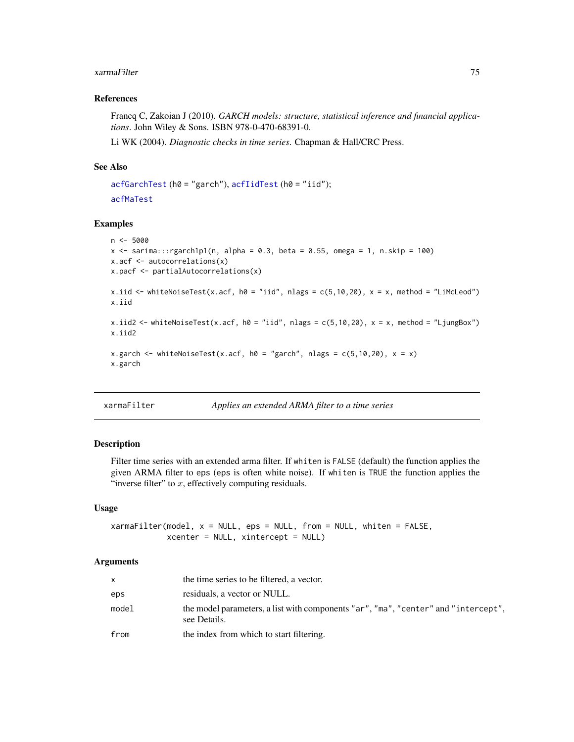## <span id="page-74-0"></span>References

Francq C, Zakoian J (2010). *GARCH models: structure, statistical inference and financial applications*. John Wiley & Sons. ISBN 978-0-470-68391-0.

Li WK (2004). *Diagnostic checks in time series*. Chapman & Hall/CRC Press.

# See Also

```
acfGarchTest (h0 = "garch"), acfIidTest (h0 = "iid");
acfMaTest
```
## Examples

```
n < -5000x \le sarima:::rgarch1p1(n, alpha = 0.3, beta = 0.55, omega = 1, n.skip = 100)
x.acf <- autocorrelations(x)
x.pacf <- partialAutocorrelations(x)
x.iid <- whiteNoiseTest(x.acf, h0 = "iid", nlags = c(5,10,20), x = x, method = "LiMcLeod")
x.iid
x.iid2 <- whiteNoiseTest(x.acf, h0 = "iid", nlags = c(5,10,20), x = x, method = "LjungBox")
x.iid2
x.garch <- whiteNoiseTest(x.acf, h0 = "garch", nlags = c(5,10,20), x = x)
x.garch
```

```
xarmaFilter Applies an extended ARMA filter to a time series
```
# Description

Filter time series with an extended arma filter. If whiten is FALSE (default) the function applies the given ARMA filter to eps (eps is often white noise). If whiten is TRUE the function applies the "inverse filter" to  $x$ , effectively computing residuals.

## Usage

```
xarmaFilter(model, x = NULL, eps = NULL, from = NULL, whiten = FALSE,
            xcenter = NULL, xintercept = NULL)
```
# Arguments

| $\mathsf{X}$ | the time series to be filtered, a vector.                                                          |
|--------------|----------------------------------------------------------------------------------------------------|
| eps          | residuals, a vector or NULL.                                                                       |
| model        | the model parameters, a list with components "ar", "ma", "center" and "intercept",<br>see Details. |
| from         | the index from which to start filtering.                                                           |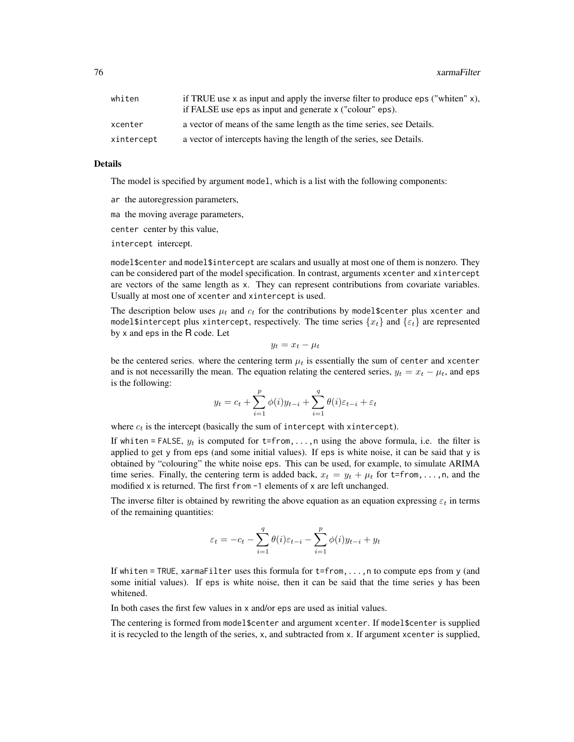| whiten     | if TRUE use x as input and apply the inverse filter to produce eps ("whiten" $x$ ),<br>if FALSE use eps as input and generate x ("colour" eps). |
|------------|-------------------------------------------------------------------------------------------------------------------------------------------------|
| xcenter    | a vector of means of the same length as the time series, see Details.                                                                           |
| xintercept | a vector of intercepts having the length of the series, see Details.                                                                            |

#### Details

The model is specified by argument model, which is a list with the following components:

ar the autoregression parameters,

ma the moving average parameters,

center center by this value,

intercept intercept.

model\$center and model\$intercept are scalars and usually at most one of them is nonzero. They can be considered part of the model specification. In contrast, arguments xcenter and xintercept are vectors of the same length as x. They can represent contributions from covariate variables. Usually at most one of xcenter and xintercept is used.

The description below uses  $\mu_t$  and  $c_t$  for the contributions by model \$center plus xcenter and model\$intercept plus xintercept, respectively. The time series  $\{x_t\}$  and  $\{\varepsilon_t\}$  are represented by x and eps in the R code. Let

$$
y_t = x_t - \mu_t
$$

be the centered series. where the centering term  $\mu_t$  is essentially the sum of center and xcenter and is not necessarilly the mean. The equation relating the centered series,  $y_t = x_t - \mu_t$ , and eps is the following:

$$
y_t = c_t + \sum_{i=1}^p \phi(i) y_{t-i} + \sum_{i=1}^q \theta(i) \varepsilon_{t-i} + \varepsilon_t
$$

where  $c_t$  is the intercept (basically the sum of intercept with xintercept).

If whiten = FALSE,  $y_t$  is computed for t=from,..., n using the above formula, i.e. the filter is applied to get y from eps (and some initial values). If eps is white noise, it can be said that y is obtained by "colouring" the white noise eps. This can be used, for example, to simulate ARIMA time series. Finally, the centering term is added back,  $x_t = y_t + \mu_t$  for t=from,...,n, and the modified x is returned. The first from -1 elements of x are left unchanged.

The inverse filter is obtained by rewriting the above equation as an equation expressing  $\varepsilon_t$  in terms of the remaining quantities:

$$
\varepsilon_t = -c_t - \sum_{i=1}^q \theta(i) \varepsilon_{t-i} - \sum_{i=1}^p \phi(i) y_{t-i} + y_t
$$

If whiten = TRUE, xarmaFilter uses this formula for t=from,...,n to compute eps from y (and some initial values). If eps is white noise, then it can be said that the time series y has been whitened.

In both cases the first few values in x and/or eps are used as initial values.

The centering is formed from model\$center and argument xcenter. If model\$center is supplied it is recycled to the length of the series, x, and subtracted from x. If argument xcenter is supplied,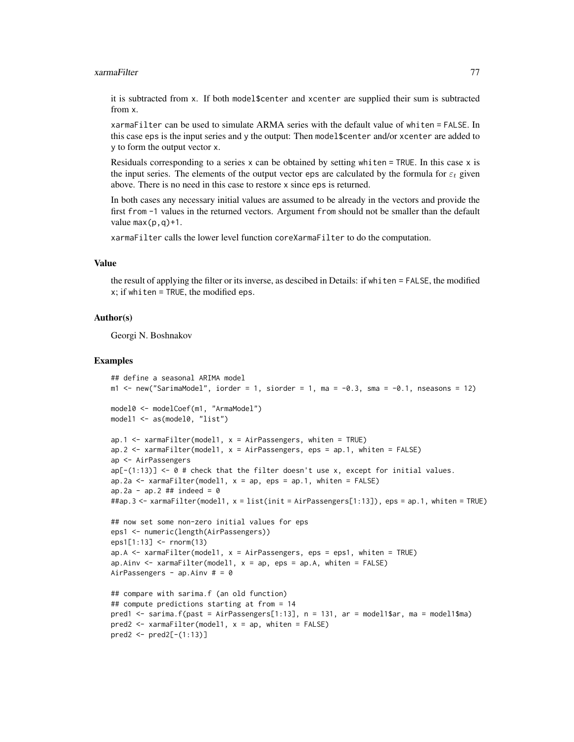it is subtracted from x. If both model\$center and xcenter are supplied their sum is subtracted from x.

xarmaFilter can be used to simulate ARMA series with the default value of whiten = FALSE. In this case eps is the input series and y the output: Then model\$center and/or xcenter are added to y to form the output vector x.

Residuals corresponding to a series  $x$  can be obtained by setting whiten = TRUE. In this case  $x$  is the input series. The elements of the output vector eps are calculated by the formula for  $\varepsilon_t$  given above. There is no need in this case to restore x since eps is returned.

In both cases any necessary initial values are assumed to be already in the vectors and provide the first from -1 values in the returned vectors. Argument from should not be smaller than the default value  $max(p,q)+1$ .

xarmaFilter calls the lower level function coreXarmaFilter to do the computation.

# Value

the result of applying the filter or its inverse, as descibed in Details: if whiten = FALSE, the modified  $x$ ; if whiten = TRUE, the modified eps.

## Author(s)

Georgi N. Boshnakov

#### Examples

```
## define a seasonal ARIMA model
m1 < - new("SarimaModel", iorder = 1, siorder = 1, ma = -0.3, sma = -0.1, nseasons = 12)
model0 <- modelCoef(m1, "ArmaModel")
model1 <- as(model0, "list")
ap.1 \leq xarmaFilter(model1, x = AirPassengers, whiten = TRUE)
ap.2 <- xarmaFilter(model1, x = AirPassengers, eps = ap.1, whiten = FALSE)
ap <- AirPassengers
ap[-(1:13)] \leftarrow \emptyset # check that the filter doesn't use x, except for initial values.
ap.2a \leq xarmaFilter(model1, x = ap, eps = ap.1, whiten = FALSE)
ap.2a - ap.2 ## indeed = 0##ap.3 <- xarmaFilter(model1, x = list(init = AirPassengers[1:13]), eps = ap.1, whiten = TRUE)
## now set some non-zero initial values for eps
eps1 <- numeric(length(AirPassengers))
eps1[1:13] <- rnorm(13)
ap.A \le xarmaFilter(model1, x = AirPassengers, eps = eps1, whiten = TRUE)
ap.Ainv \leq xarmaFilter(model1, x = ap, eps = ap.A, whiten = FALSE)
AirPassengers - ap. Ainv # = 0## compare with sarima.f (an old function)
## compute predictions starting at from = 14
pred1 <- sarima.f(past = AirPassengers[1:13], n = 131, ar = model1$ar, ma = model1$ma)
pred2 < - xarmaFilter(model1, x = ap, whiten = FALSE)pred2 <- pred2[-(1:13)]
```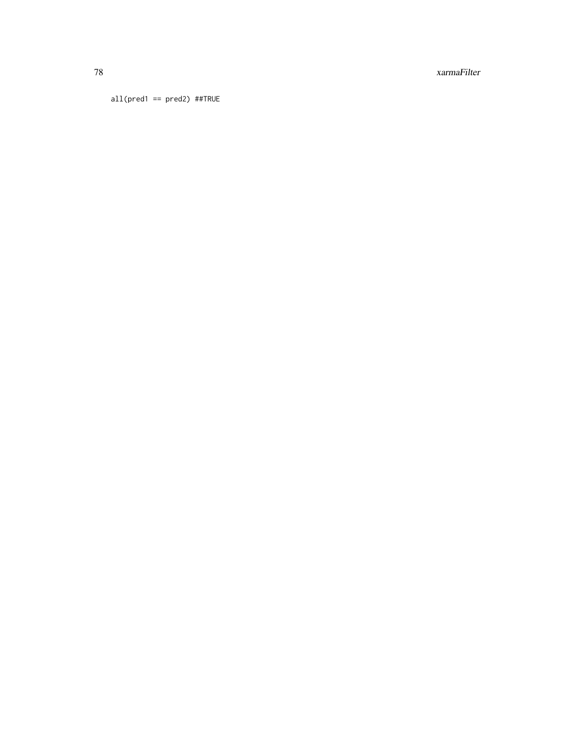all( $pred1 == pred2$ ) ##TRUE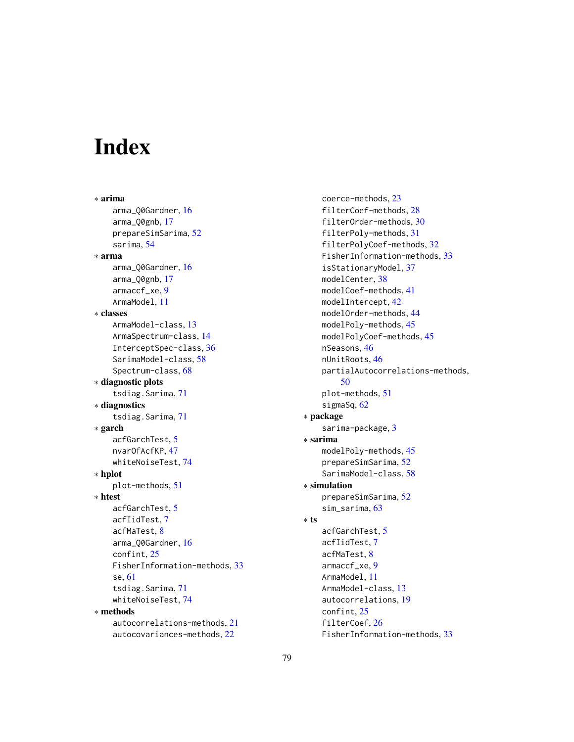# Index

∗ arima arma\_Q0Gardner, [16](#page-15-0) arma\_Q0gnb, [17](#page-16-0) prepareSimSarima, [52](#page-51-0) sarima, [54](#page-53-0) ∗ arma arma\_Q0Gardner, [16](#page-15-0) arma\_Q0gnb, [17](#page-16-0) armaccf\_xe, [9](#page-8-0) ArmaModel, [11](#page-10-0) ∗ classes ArmaModel-class, [13](#page-12-0) ArmaSpectrum-class, [14](#page-13-0) InterceptSpec-class, [36](#page-35-0) SarimaModel-class, [58](#page-57-0) Spectrum-class, [68](#page-67-0) ∗ diagnostic plots tsdiag.Sarima, [71](#page-70-1) ∗ diagnostics tsdiag.Sarima, [71](#page-70-1) ∗ garch acfGarchTest, [5](#page-4-1) nvarOfAcfKP, [47](#page-46-0) whiteNoiseTest, [74](#page-73-0) ∗ hplot plot-methods, [51](#page-50-0) ∗ htest acfGarchTest, [5](#page-4-1) acfIidTest, [7](#page-6-1) acfMaTest, [8](#page-7-1) arma\_Q0Gardner, [16](#page-15-0) confint, [25](#page-24-0) FisherInformation-methods, [33](#page-32-0) se, [61](#page-60-0) tsdiag.Sarima, [71](#page-70-1) whiteNoiseTest, [74](#page-73-0) ∗ methods autocorrelations-methods, [21](#page-20-0) autocovariances-methods, [22](#page-21-0)

coerce-methods, [23](#page-22-0) filterCoef-methods, [28](#page-27-0) filterOrder-methods, [30](#page-29-0) filterPoly-methods, [31](#page-30-0) filterPolyCoef-methods, [32](#page-31-0) FisherInformation-methods, [33](#page-32-0) isStationaryModel, [37](#page-36-0) modelCenter, [38](#page-37-0) modelCoef-methods, [41](#page-40-0) modelIntercept, [42](#page-41-0) modelOrder-methods, [44](#page-43-0) modelPoly-methods, [45](#page-44-0) modelPolyCoef-methods, [45](#page-44-0) nSeasons, [46](#page-45-0) nUnitRoots, [46](#page-45-0) partialAutocorrelations-methods, [50](#page-49-0) plot-methods, [51](#page-50-0) sigmaSq, [62](#page-61-0) ∗ package sarima-package, [3](#page-2-0) ∗ sarima modelPoly-methods, [45](#page-44-0) prepareSimSarima, [52](#page-51-0) SarimaModel-class, [58](#page-57-0) ∗ simulation prepareSimSarima, [52](#page-51-0) sim\_sarima, [63](#page-62-0) ∗ ts acfGarchTest, [5](#page-4-1) acfIidTest, [7](#page-6-1) acfMaTest, [8](#page-7-1) armaccf\_xe, [9](#page-8-0) ArmaModel, [11](#page-10-0) ArmaModel-class, [13](#page-12-0) autocorrelations, [19](#page-18-0) confint, [25](#page-24-0) filterCoef, [26](#page-25-0) FisherInformation-methods, [33](#page-32-0)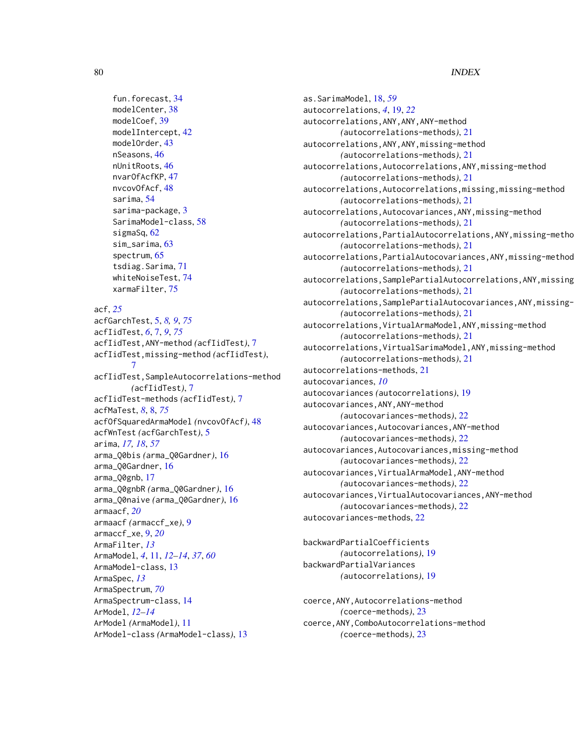```
fun.forecast, 34
modelCenter, 38
modelCoef, 39
modelIntercept, 42
modelOrder, 43
nSeasons, 46
nUnitRoots, 46
nvarOfAcfKP, 47
nvcovOfAcf, 48
sarima, 54
sarima-package, 3
SarimaModel-class, 58
sigmaSq, 62
sim_sarima, 63
spectrum, 65
tsdiag.Sarima, 71
whiteNoiseTest, 74
xarmaFilter, 75
```
acf, *[25](#page-24-0)*

acfGarchTest, [5,](#page-4-1) *[8,](#page-7-1) [9](#page-8-0)*, *[75](#page-74-0)* acfIidTest, *[6](#page-5-0)*, [7,](#page-6-1) *[9](#page-8-0)*, *[75](#page-74-0)* acfIidTest,ANY-method *(*acfIidTest*)*, [7](#page-6-1) acfIidTest,missing-method *(*acfIidTest*)*, [7](#page-6-1) acfIidTest,SampleAutocorrelations-method *(*acfIidTest*)*, [7](#page-6-1) acfIidTest-methods *(*acfIidTest*)*, [7](#page-6-1) acfMaTest, *[8](#page-7-1)*, [8,](#page-7-1) *[75](#page-74-0)* acfOfSquaredArmaModel *(*nvcovOfAcf*)*, [48](#page-47-0) acfWnTest *(*acfGarchTest*)*, [5](#page-4-1) arima, *[17,](#page-16-0) [18](#page-17-0)*, *[57](#page-56-0)* arma\_Q0bis *(*arma\_Q0Gardner*)*, [16](#page-15-0) arma\_Q0Gardner, [16](#page-15-0) arma\_Q0gnb, [17](#page-16-0) arma\_Q0gnbR *(*arma\_Q0Gardner*)*, [16](#page-15-0) arma\_Q0naive *(*arma\_Q0Gardner*)*, [16](#page-15-0) armaacf, *[20](#page-19-0)* armaacf *(*armaccf\_xe*)*, [9](#page-8-0) armaccf\_xe, [9,](#page-8-0) *[20](#page-19-0)* ArmaFilter, *[13](#page-12-0)* ArmaModel, *[4](#page-3-0)*, [11,](#page-10-0) *[12](#page-11-0)[–14](#page-13-0)*, *[37](#page-36-0)*, *[60](#page-59-0)* ArmaModel-class, [13](#page-12-0) ArmaSpec, *[13](#page-12-0)* ArmaSpectrum, *[70](#page-69-0)* ArmaSpectrum-class, [14](#page-13-0) ArModel, *[12](#page-11-0)[–14](#page-13-0)* ArModel *(*ArmaModel*)*, [11](#page-10-0) ArModel-class *(*ArmaModel-class*)*, [13](#page-12-0)

as.SarimaModel, [18,](#page-17-0) *[59](#page-58-0)* autocorrelations, *[4](#page-3-0)*, [19,](#page-18-0) *[22](#page-21-0)* autocorrelations,ANY,ANY,ANY-method *(*autocorrelations-methods*)*, [21](#page-20-0) autocorrelations,ANY,ANY,missing-method *(*autocorrelations-methods*)*, [21](#page-20-0) autocorrelations,Autocorrelations,ANY,missing-method *(*autocorrelations-methods*)*, [21](#page-20-0) autocorrelations,Autocorrelations,missing,missing-method *(*autocorrelations-methods*)*, [21](#page-20-0) autocorrelations,Autocovariances,ANY,missing-method *(*autocorrelations-methods*)*, [21](#page-20-0) autocorrelations, PartialAutocorrelations, ANY, missing-metho *(*autocorrelations-methods*)*, [21](#page-20-0) autocorrelations,PartialAutocovariances,ANY,missing-method *(*autocorrelations-methods*)*, [21](#page-20-0) autocorrelations, SamplePartialAutocorrelations, ANY, missing *(*autocorrelations-methods*)*, [21](#page-20-0) autocorrelations, SamplePartialAutocovariances, ANY, missing-*(*autocorrelations-methods*)*, [21](#page-20-0) autocorrelations,VirtualArmaModel,ANY,missing-method *(*autocorrelations-methods*)*, [21](#page-20-0) autocorrelations,VirtualSarimaModel,ANY,missing-method *(*autocorrelations-methods*)*, [21](#page-20-0) autocorrelations-methods, [21](#page-20-0) autocovariances, *[10](#page-9-0)* autocovariances *(*autocorrelations*)*, [19](#page-18-0) autocovariances,ANY,ANY-method *(*autocovariances-methods*)*, [22](#page-21-0) autocovariances,Autocovariances,ANY-method *(*autocovariances-methods*)*, [22](#page-21-0) autocovariances,Autocovariances,missing-method *(*autocovariances-methods*)*, [22](#page-21-0) autocovariances,VirtualArmaModel,ANY-method *(*autocovariances-methods*)*, [22](#page-21-0) autocovariances,VirtualAutocovariances,ANY-method *(*autocovariances-methods*)*, [22](#page-21-0) autocovariances-methods, [22](#page-21-0)

backwardPartialCoefficients *(*autocorrelations*)*, [19](#page-18-0) backwardPartialVariances *(*autocorrelations*)*, [19](#page-18-0)

coerce,ANY,Autocorrelations-method *(*coerce-methods*)*, [23](#page-22-0) coerce,ANY,ComboAutocorrelations-method *(*coerce-methods*)*, [23](#page-22-0)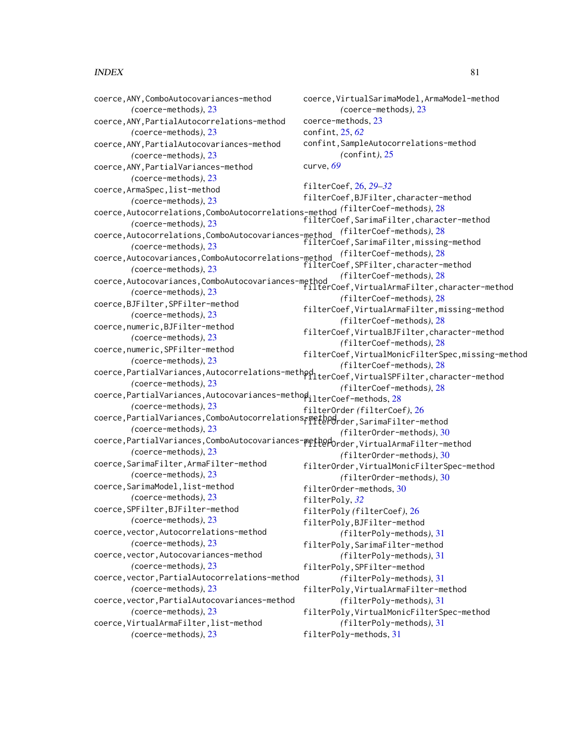coerce,ANY,ComboAutocovariances-method *(*coerce-methods*)*, [23](#page-22-0) coerce,ANY,PartialAutocorrelations-method *(*coerce-methods*)*, [23](#page-22-0) coerce,ANY,PartialAutocovariances-method *(*coerce-methods*)*, [23](#page-22-0) coerce,ANY,PartialVariances-method *(*coerce-methods*)*, [23](#page-22-0) coerce,ArmaSpec,list-method *(*coerce-methods*)*, [23](#page-22-0) coerce,Autocorrelations,ComboAutocorrelations-method *(*filterCoef-methods*)*, [28](#page-27-0) *(*coerce-methods*)*, [23](#page-22-0) coerce,Autocorrelations,ComboAutocovariances-method *(*filterCoef-methods*)*, [28](#page-27-0) *(*coerce-methods*)*, [23](#page-22-0) coerce,Autocovariances,ComboAutocorrelations-method *(*filterCoef-methods*)*, [28](#page-27-0) *(*coerce-methods*)*, [23](#page-22-0) coerce,Autocovariances,ComboAutocovariances-method *(*coerce-methods*)*, [23](#page-22-0) coerce,BJFilter,SPFilter-method *(*coerce-methods*)*, [23](#page-22-0) coerce,numeric,BJFilter-method *(*coerce-methods*)*, [23](#page-22-0) coerce,numeric,SPFilter-method *(*coerce-methods*)*, [23](#page-22-0) coerce,PartialVariances,Autocorrelations-method filterCoef,VirtualSPFilter,character-method *(*coerce-methods*)*, [23](#page-22-0) coerce,PartialVariances,Autocovariances-method filterCoef-methods, [28](#page-27-0) *(*coerce-methods*)*, [23](#page-22-0) coerce, PartialVariances, ComboAutocorrelations<sub>F</sub>method<sub>rder</sub>, SarimaFilter-method *(*coerce-methods*)*, [23](#page-22-0) coerce,PartialVariances,ComboAutocovariances-methodorder,VirtualArmaFilter-method *(*coerce-methods*)*, [23](#page-22-0) coerce,SarimaFilter,ArmaFilter-method *(*coerce-methods*)*, [23](#page-22-0) coerce,SarimaModel,list-method *(*coerce-methods*)*, [23](#page-22-0) coerce,SPFilter,BJFilter-method *(*coerce-methods*)*, [23](#page-22-0) coerce,vector,Autocorrelations-method *(*coerce-methods*)*, [23](#page-22-0) coerce,vector,Autocovariances-method *(*coerce-methods*)*, [23](#page-22-0) coerce,vector,PartialAutocorrelations-method *(*coerce-methods*)*, [23](#page-22-0) coerce-methods, [23](#page-22-0) confint, [25,](#page-24-0) *[62](#page-61-0)* curve, *[69](#page-68-0)* filterPoly, *[32](#page-31-0)*

coerce,vector,PartialAutocovariances-method *(*coerce-methods*)*, [23](#page-22-0) coerce,VirtualArmaFilter,list-method *(*coerce-methods*)*, [23](#page-22-0)

coerce,VirtualSarimaModel,ArmaModel-method *(*coerce-methods*)*, [23](#page-22-0) confint,SampleAutocorrelations-method *(*confint*)*, [25](#page-24-0) filterCoef, [26,](#page-25-0) *[29](#page-28-0)[–32](#page-31-0)* filterCoef,BJFilter,character-method filterCoef,SarimaFilter,character-method filterCoef,SarimaFilter,missing-method filterCoef,SPFilter,character-method *(*filterCoef-methods*)*, [28](#page-27-0) filterCoef,VirtualArmaFilter,character-method *(*filterCoef-methods*)*, [28](#page-27-0) filterCoef,VirtualArmaFilter,missing-method *(*filterCoef-methods*)*, [28](#page-27-0) filterCoef,VirtualBJFilter,character-method *(*filterCoef-methods*)*, [28](#page-27-0) filterCoef,VirtualMonicFilterSpec,missing-method *(*filterCoef-methods*)*, [28](#page-27-0) *(*filterCoef-methods*)*, [28](#page-27-0) filterOrder *(*filterCoef*)*, [26](#page-25-0) *(*filterOrder-methods*)*, [30](#page-29-0) *(*filterOrder-methods*)*, [30](#page-29-0) filterOrder,VirtualMonicFilterSpec-method *(*filterOrder-methods*)*, [30](#page-29-0) filterOrder-methods, [30](#page-29-0) filterPoly *(*filterCoef*)*, [26](#page-25-0) filterPoly,BJFilter-method *(*filterPoly-methods*)*, [31](#page-30-0) filterPoly,SarimaFilter-method *(*filterPoly-methods*)*, [31](#page-30-0) filterPoly,SPFilter-method *(*filterPoly-methods*)*, [31](#page-30-0) filterPoly,VirtualArmaFilter-method *(*filterPoly-methods*)*, [31](#page-30-0) filterPoly,VirtualMonicFilterSpec-method *(*filterPoly-methods*)*, [31](#page-30-0) filterPoly-methods, [31](#page-30-0)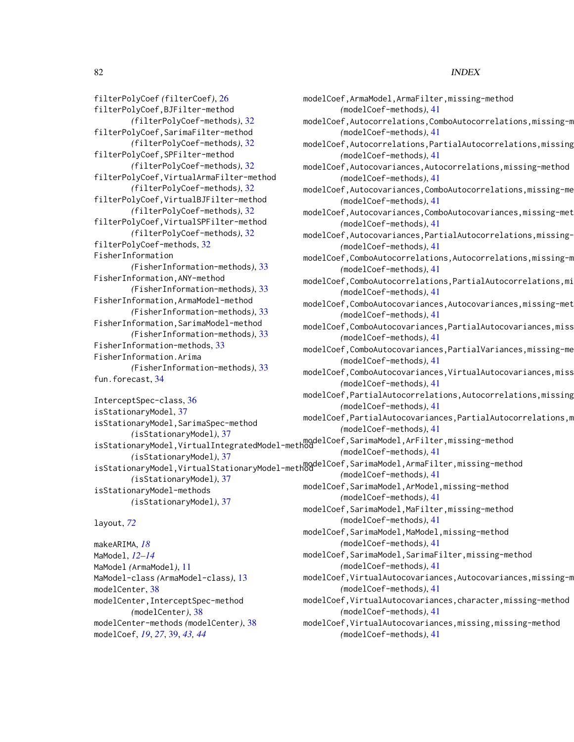filterPolyCoef *(*filterCoef*)*, [26](#page-25-0) filterPolyCoef,BJFilter-method *(*filterPolyCoef-methods*)*, [32](#page-31-0) filterPolyCoef,SarimaFilter-method *(*filterPolyCoef-methods*)*, [32](#page-31-0) filterPolyCoef,SPFilter-method *(*filterPolyCoef-methods*)*, [32](#page-31-0) filterPolyCoef,VirtualArmaFilter-method *(*filterPolyCoef-methods*)*, [32](#page-31-0) filterPolyCoef,VirtualBJFilter-method *(*filterPolyCoef-methods*)*, [32](#page-31-0) filterPolyCoef,VirtualSPFilter-method *(*filterPolyCoef-methods*)*, [32](#page-31-0) filterPolyCoef-methods, [32](#page-31-0) FisherInformation *(*FisherInformation-methods*)*, [33](#page-32-0) FisherInformation,ANY-method *(*FisherInformation-methods*)*, [33](#page-32-0) FisherInformation,ArmaModel-method *(*FisherInformation-methods*)*, [33](#page-32-0) FisherInformation,SarimaModel-method *(*FisherInformation-methods*)*, [33](#page-32-0) FisherInformation-methods, [33](#page-32-0) FisherInformation.Arima *(*FisherInformation-methods*)*, [33](#page-32-0) fun.forecast, [34](#page-33-0)

InterceptSpec-class, [36](#page-35-0) isStationaryModel, [37](#page-36-0) isStationaryModel,SarimaSpec-method *(*isStationaryModel*)*, [37](#page-36-0) *(*isStationaryModel*)*, [37](#page-36-0) *(*isStationaryModel*)*, [37](#page-36-0) isStationaryModel-methods *(*isStationaryModel*)*, [37](#page-36-0)

#### layout, *[72](#page-71-0)*

makeARIMA, *[18](#page-17-0)* MaModel, *[12](#page-11-0)[–14](#page-13-0)* MaModel *(*ArmaModel*)*, [11](#page-10-0) MaModel-class *(*ArmaModel-class*)*, [13](#page-12-0) modelCenter, [38](#page-37-0) modelCenter,InterceptSpec-method *(*modelCenter*)*, [38](#page-37-0) modelCenter-methods *(*modelCenter*)*, [38](#page-37-0) modelCoef, *[19](#page-18-0)*, *[27](#page-26-0)*, [39,](#page-38-0) *[43,](#page-42-0) [44](#page-43-0)*

modelCoef,ArmaModel,ArmaFilter,missing-method *(*modelCoef-methods*)*, [41](#page-40-0) modelCoef, Autocorrelations, ComboAutocorrelations, missing-m *(*modelCoef-methods*)*, [41](#page-40-0) modelCoef, Autocorrelations, PartialAutocorrelations, missing *(*modelCoef-methods*)*, [41](#page-40-0) modelCoef,Autocovariances,Autocorrelations,missing-method

*(*modelCoef-methods*)*, [41](#page-40-0) modelCoef,Autocovariances,ComboAutocorrelations,missing-me *(*modelCoef-methods*)*, [41](#page-40-0)

modelCoef,Autocovariances,ComboAutocovariances,missing-met *(*modelCoef-methods*)*, [41](#page-40-0)

modelCoef, Autocovariances, PartialAutocorrelations, missing-*(*modelCoef-methods*)*, [41](#page-40-0)

modelCoef,ComboAutocorrelations,Autocorrelations,missing-m *(*modelCoef-methods*)*, [41](#page-40-0)

modelCoef,ComboAutocorrelations,PartialAutocorrelations,mi *(*modelCoef-methods*)*, [41](#page-40-0)

modelCoef,ComboAutocovariances,Autocovariances,missing-met *(*modelCoef-methods*)*, [41](#page-40-0)

modelCoef,ComboAutocovariances,PartialAutocovariances,miss *(*modelCoef-methods*)*, [41](#page-40-0)

modelCoef,ComboAutocovariances,PartialVariances,missing-me *(*modelCoef-methods*)*, [41](#page-40-0)

modelCoef,ComboAutocovariances,VirtualAutocovariances,miss *(*modelCoef-methods*)*, [41](#page-40-0)

modelCoef, PartialAutocorrelations, Autocorrelations, missing *(*modelCoef-methods*)*, [41](#page-40-0)

modelCoef, PartialAutocovariances, PartialAutocorrelations, m *(*modelCoef-methods*)*, [41](#page-40-0)

isStationaryModel,VirtualIntegratedModel-method<br>isStationaryModel,VirtualIntegratedModel-method *(*modelCoef-methods*)*, [41](#page-40-0)

isStationaryModel,VirtualStationaryModel-method<br>isStationaryModel,VirtualStationaryModel-method *(*modelCoef-methods*)*, [41](#page-40-0) modelCoef,SarimaModel,ArModel,missing-method *(*modelCoef-methods*)*, [41](#page-40-0)

> modelCoef,SarimaModel,MaFilter,missing-method *(*modelCoef-methods*)*, [41](#page-40-0)

modelCoef,SarimaModel,MaModel,missing-method *(*modelCoef-methods*)*, [41](#page-40-0)

modelCoef,SarimaModel,SarimaFilter,missing-method *(*modelCoef-methods*)*, [41](#page-40-0)

modelCoef, VirtualAutocovariances, Autocovariances, missing-m *(*modelCoef-methods*)*, [41](#page-40-0)

modelCoef,VirtualAutocovariances,character,missing-method *(*modelCoef-methods*)*, [41](#page-40-0)

modelCoef,VirtualAutocovariances,missing,missing-method *(*modelCoef-methods*)*, [41](#page-40-0)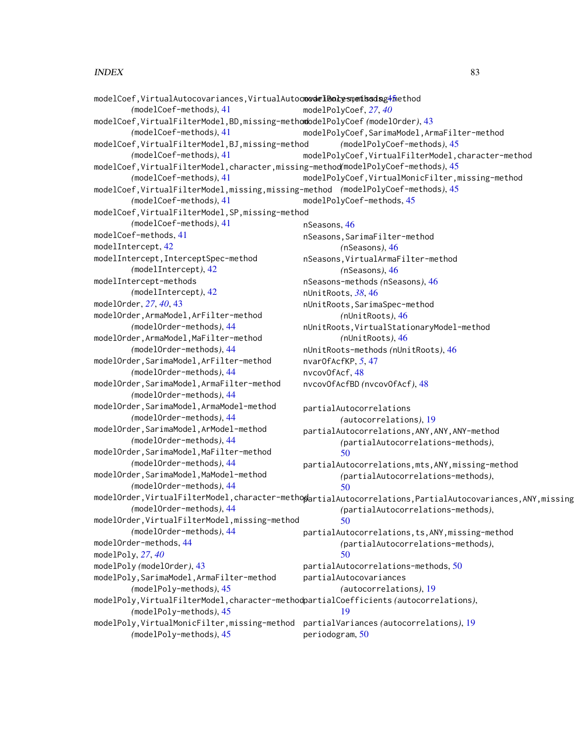```
modelCoef,VirtualAutocovariances,VirtualAutocmodelBolysmemissdsg4<mark>m</mark>ethod
        (modelCoef-methods), 41
modelCoef,VirtualFilterModel,BD,missing-method
modelPolyCoef (modelOrder), 43
        (modelCoef-methods), 41
modelCoef,VirtualFilterModel,BJ,missing-method
        (modelCoef-methods), 41
modelCoef,VirtualFilterModel,character,missing-method
(modelPolyCoef-methods), 45
        (modelCoef-methods), 41
modelCoef,VirtualFilterModel,missing,missing-method
(modelPolyCoef-methods), 45
        (modelCoef-methods), 41
modelCoef,VirtualFilterModel,SP,missing-method
        (modelCoef-methods), 41
modelCoef-methods, 41
modelIntercept, 42
modelIntercept,InterceptSpec-method
        (modelIntercept), 42
modelIntercept-methods
        (modelIntercept), 42
modelOrder, 27, 40, 43
modelOrder,ArmaModel,ArFilter-method
        (modelOrder-methods), 44
modelOrder,ArmaModel,MaFilter-method
        (modelOrder-methods), 44
modelOrder,SarimaModel,ArFilter-method
        (modelOrder-methods), 44
modelOrder,SarimaModel,ArmaFilter-method
        (modelOrder-methods), 44
modelOrder,SarimaModel,ArmaModel-method
        (modelOrder-methods), 44
modelOrder,SarimaModel,ArModel-method
        (modelOrder-methods), 44
modelOrder,SarimaModel,MaFilter-method
        (modelOrder-methods), 44
modelOrder,SarimaModel,MaModel-method
        (modelOrder-methods), 44
modelOrder,VirtualFilterModel,character-methopartialAutocorrelations,PartialAutocovariances,ANY,missing
        (modelOrder-methods), 44
modelOrder,VirtualFilterModel,missing-method
        (modelOrder-methods), 44
modelOrder-methods, 44
modelPoly, 27, 40
modelPoly (modelOrder), 43
modelPoly,SarimaModel,ArmaFilter-method
        (modelPoly-methods), 45
modelPoly,VirtualFilterModel,character-method
partialCoefficients (autocorrelations),
        (modelPoly-methods), 45
modelPoly,VirtualMonicFilter,missing-method
partialVariances (autocorrelations), 19
        (modelPoly-methods), 45
                                              modelPolyCoef, 27, 40
                                              modelPolyCoef,SarimaModel,ArmaFilter-method
                                                       (modelPolyCoef-methods), 45
                                              modelPolyCoef,VirtualFilterModel,character-method
                                              modelPolyCoef,VirtualMonicFilter,missing-method
                                              modelPolyCoef-methods, 45
                                               nSeasons, 46
                                              nSeasons,SarimaFilter-method
                                                       (nSeasons), 46
                                               nSeasons,VirtualArmaFilter-method
                                                       (nSeasons), 46
                                               nSeasons-methods (nSeasons), 46
                                              nUnitRoots, 38, 46
                                              nUnitRoots,SarimaSpec-method
                                                       (nUnitRoots), 46
                                              nUnitRoots,VirtualStationaryModel-method
                                                       (nUnitRoots), 46
                                              nUnitRoots-methods (nUnitRoots), 46
                                               nvarOfAcfKP, 5, 47
                                              nvcovOfAcf, 48
                                              nvcovOfAcfBD (nvcovOfAcf), 48
                                              partialAutocorrelations
                                                       (autocorrelations), 19
                                               partialAutocorrelations,ANY,ANY,ANY-method
                                                       (partialAutocorrelations-methods),
                                                       50
                                               partialAutocorrelations,mts,ANY,missing-method
                                                       (partialAutocorrelations-methods),
                                                       50
                                                       (partialAutocorrelations-methods),
                                                       50
                                              partialAutocorrelations,ts,ANY,missing-method
                                                       (partialAutocorrelations-methods),
                                                       50
                                               partialAutocorrelations-methods, 50
                                              partialAutocovariances
                                                       (autocorrelations), 19
                                                       19
                                              periodogram, 50
```